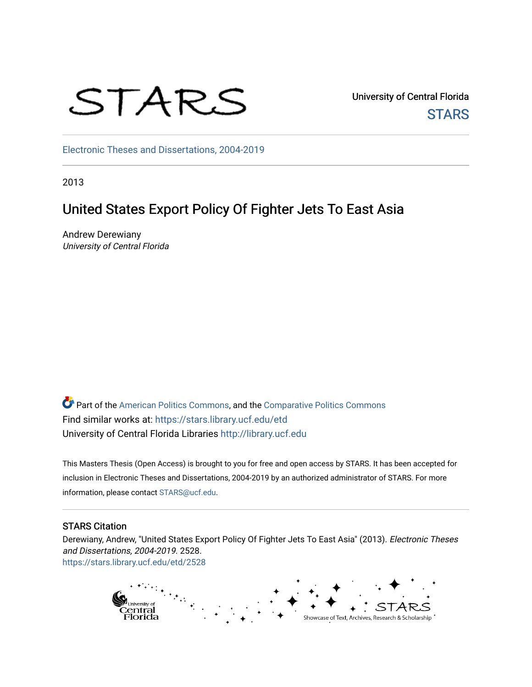

University of Central Florida **STARS** 

[Electronic Theses and Dissertations, 2004-2019](https://stars.library.ucf.edu/etd) 

2013

# United States Export Policy Of Fighter Jets To East Asia

Andrew Derewiany University of Central Florida

Part of the [American Politics Commons,](http://network.bepress.com/hgg/discipline/387?utm_source=stars.library.ucf.edu%2Fetd%2F2528&utm_medium=PDF&utm_campaign=PDFCoverPages) and the [Comparative Politics Commons](http://network.bepress.com/hgg/discipline/388?utm_source=stars.library.ucf.edu%2Fetd%2F2528&utm_medium=PDF&utm_campaign=PDFCoverPages) Find similar works at: <https://stars.library.ucf.edu/etd> University of Central Florida Libraries [http://library.ucf.edu](http://library.ucf.edu/) 

This Masters Thesis (Open Access) is brought to you for free and open access by STARS. It has been accepted for inclusion in Electronic Theses and Dissertations, 2004-2019 by an authorized administrator of STARS. For more information, please contact [STARS@ucf.edu.](mailto:STARS@ucf.edu)

#### STARS Citation

Derewiany, Andrew, "United States Export Policy Of Fighter Jets To East Asia" (2013). Electronic Theses and Dissertations, 2004-2019. 2528. [https://stars.library.ucf.edu/etd/2528](https://stars.library.ucf.edu/etd/2528?utm_source=stars.library.ucf.edu%2Fetd%2F2528&utm_medium=PDF&utm_campaign=PDFCoverPages) 

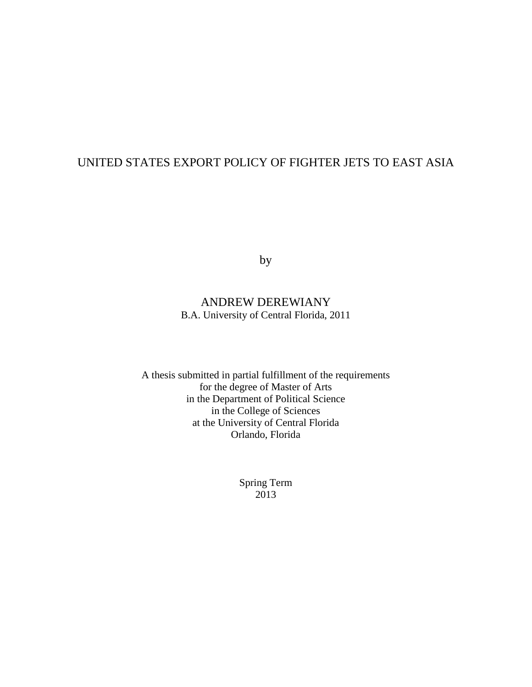## UNITED STATES EXPORT POLICY OF FIGHTER JETS TO EAST ASIA

by

## ANDREW DEREWIANY B.A. University of Central Florida, 2011

A thesis submitted in partial fulfillment of the requirements for the degree of Master of Arts in the Department of Political Science in the College of Sciences at the University of Central Florida Orlando, Florida

> Spring Term 2013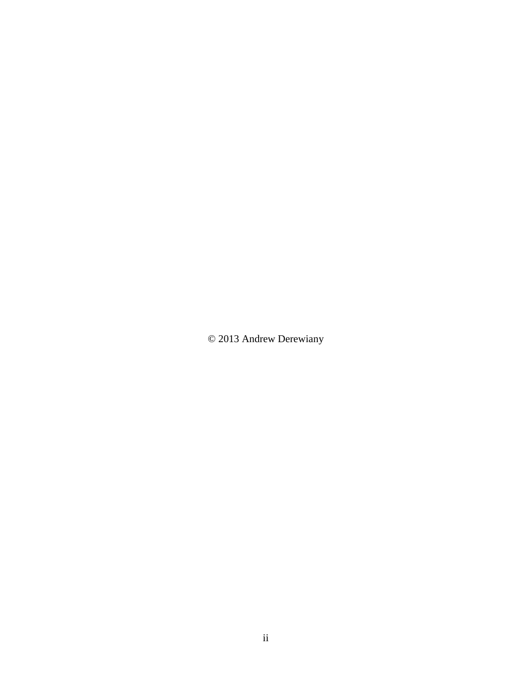© 2013 Andrew Derewiany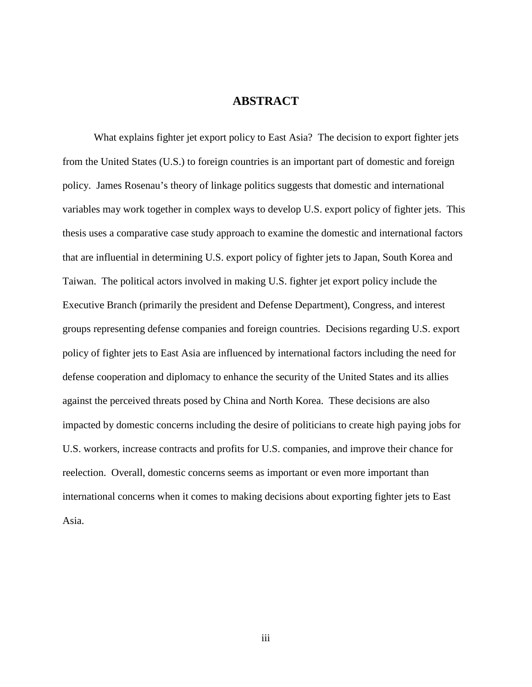### **ABSTRACT**

What explains fighter jet export policy to East Asia? The decision to export fighter jets from the United States (U.S.) to foreign countries is an important part of domestic and foreign policy. James Rosenau's theory of linkage politics suggests that domestic and international variables may work together in complex ways to develop U.S. export policy of fighter jets. This thesis uses a comparative case study approach to examine the domestic and international factors that are influential in determining U.S. export policy of fighter jets to Japan, South Korea and Taiwan. The political actors involved in making U.S. fighter jet export policy include the Executive Branch (primarily the president and Defense Department), Congress, and interest groups representing defense companies and foreign countries. Decisions regarding U.S. export policy of fighter jets to East Asia are influenced by international factors including the need for defense cooperation and diplomacy to enhance the security of the United States and its allies against the perceived threats posed by China and North Korea. These decisions are also impacted by domestic concerns including the desire of politicians to create high paying jobs for U.S. workers, increase contracts and profits for U.S. companies, and improve their chance for reelection. Overall, domestic concerns seems as important or even more important than international concerns when it comes to making decisions about exporting fighter jets to East Asia.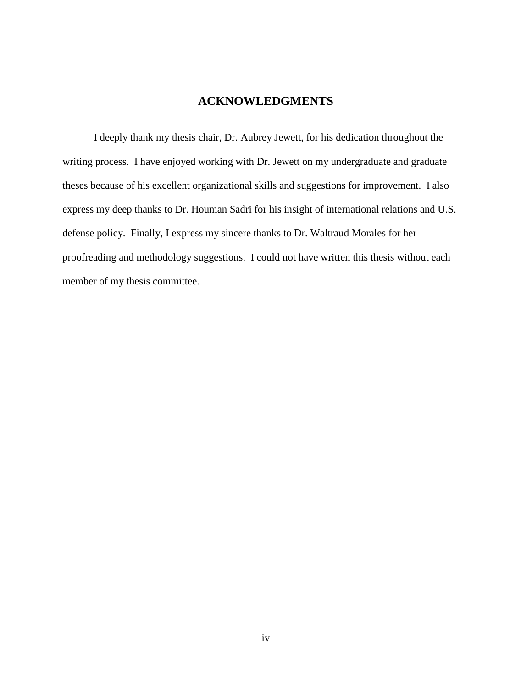### **ACKNOWLEDGMENTS**

I deeply thank my thesis chair, Dr. Aubrey Jewett, for his dedication throughout the writing process. I have enjoyed working with Dr. Jewett on my undergraduate and graduate theses because of his excellent organizational skills and suggestions for improvement. I also express my deep thanks to Dr. Houman Sadri for his insight of international relations and U.S. defense policy. Finally, I express my sincere thanks to Dr. Waltraud Morales for her proofreading and methodology suggestions. I could not have written this thesis without each member of my thesis committee.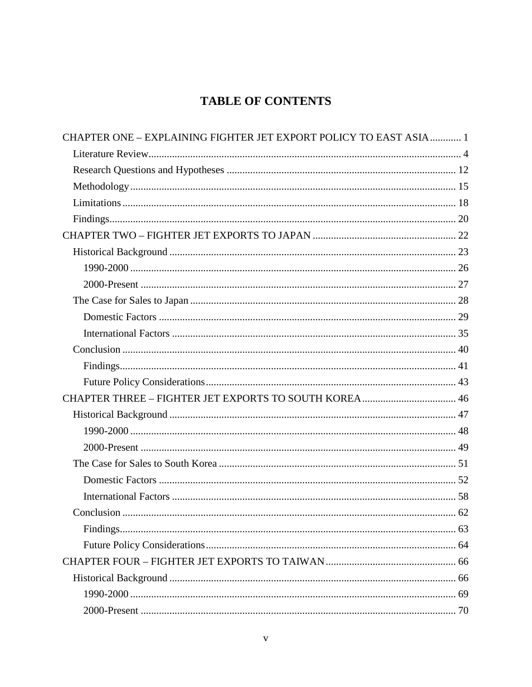# **TABLE OF CONTENTS**

| CHAPTER ONE - EXPLAINING FIGHTER JET EXPORT POLICY TO EAST ASIA 1 |  |
|-------------------------------------------------------------------|--|
|                                                                   |  |
|                                                                   |  |
|                                                                   |  |
|                                                                   |  |
|                                                                   |  |
|                                                                   |  |
|                                                                   |  |
|                                                                   |  |
|                                                                   |  |
|                                                                   |  |
|                                                                   |  |
|                                                                   |  |
|                                                                   |  |
|                                                                   |  |
|                                                                   |  |
|                                                                   |  |
|                                                                   |  |
|                                                                   |  |
|                                                                   |  |
|                                                                   |  |
|                                                                   |  |
|                                                                   |  |
|                                                                   |  |
|                                                                   |  |
|                                                                   |  |
|                                                                   |  |
|                                                                   |  |
|                                                                   |  |
|                                                                   |  |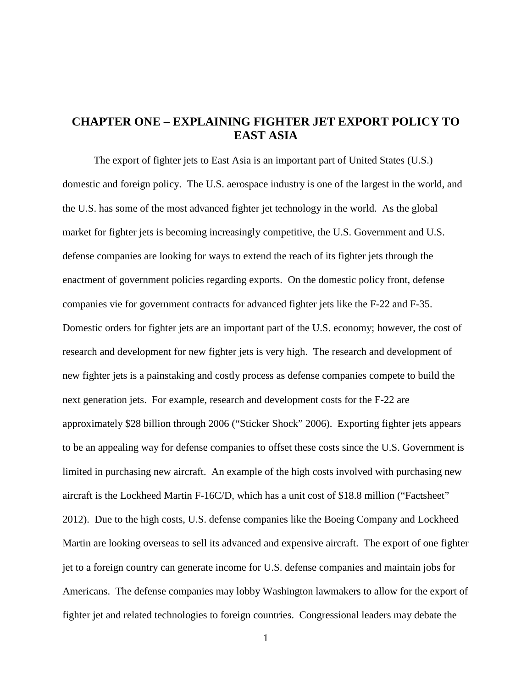### <span id="page-7-0"></span>**CHAPTER ONE – EXPLAINING FIGHTER JET EXPORT POLICY TO EAST ASIA**

The export of fighter jets to East Asia is an important part of United States (U.S.) domestic and foreign policy. The U.S. aerospace industry is one of the largest in the world, and the U.S. has some of the most advanced fighter jet technology in the world. As the global market for fighter jets is becoming increasingly competitive, the U.S. Government and U.S. defense companies are looking for ways to extend the reach of its fighter jets through the enactment of government policies regarding exports. On the domestic policy front, defense companies vie for government contracts for advanced fighter jets like the F-22 and F-35. Domestic orders for fighter jets are an important part of the U.S. economy; however, the cost of research and development for new fighter jets is very high. The research and development of new fighter jets is a painstaking and costly process as defense companies compete to build the next generation jets. For example, research and development costs for the F-22 are approximately \$28 billion through 2006 ("Sticker Shock" 2006). Exporting fighter jets appears to be an appealing way for defense companies to offset these costs since the U.S. Government is limited in purchasing new aircraft. An example of the high costs involved with purchasing new aircraft is the Lockheed Martin F-16C/D, which has a unit cost of \$18.8 million ("Factsheet" 2012). Due to the high costs, U.S. defense companies like the Boeing Company and Lockheed Martin are looking overseas to sell its advanced and expensive aircraft. The export of one fighter jet to a foreign country can generate income for U.S. defense companies and maintain jobs for Americans. The defense companies may lobby Washington lawmakers to allow for the export of fighter jet and related technologies to foreign countries. Congressional leaders may debate the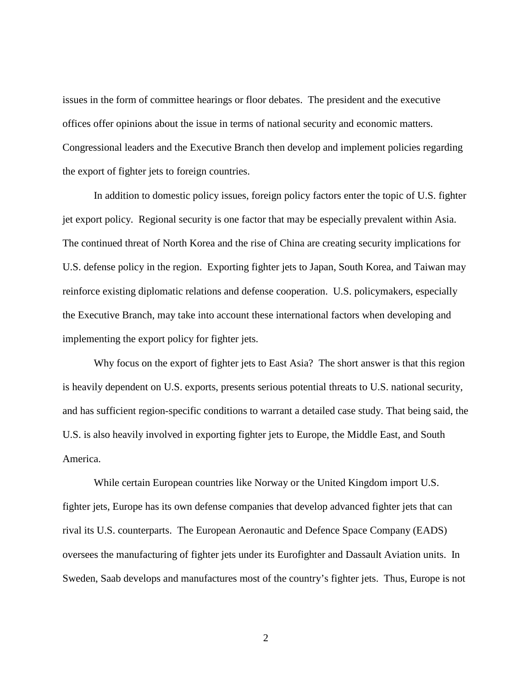issues in the form of committee hearings or floor debates. The president and the executive offices offer opinions about the issue in terms of national security and economic matters. Congressional leaders and the Executive Branch then develop and implement policies regarding the export of fighter jets to foreign countries.

In addition to domestic policy issues, foreign policy factors enter the topic of U.S. fighter jet export policy. Regional security is one factor that may be especially prevalent within Asia. The continued threat of North Korea and the rise of China are creating security implications for U.S. defense policy in the region. Exporting fighter jets to Japan, South Korea, and Taiwan may reinforce existing diplomatic relations and defense cooperation. U.S. policymakers, especially the Executive Branch, may take into account these international factors when developing and implementing the export policy for fighter jets.

Why focus on the export of fighter jets to East Asia? The short answer is that this region is heavily dependent on U.S. exports, presents serious potential threats to U.S. national security, and has sufficient region-specific conditions to warrant a detailed case study. That being said, the U.S. is also heavily involved in exporting fighter jets to Europe, the Middle East, and South America.

While certain European countries like Norway or the United Kingdom import U.S. fighter jets, Europe has its own defense companies that develop advanced fighter jets that can rival its U.S. counterparts. The European Aeronautic and Defence Space Company (EADS) oversees the manufacturing of fighter jets under its Eurofighter and Dassault Aviation units. In Sweden, Saab develops and manufactures most of the country's fighter jets. Thus, Europe is not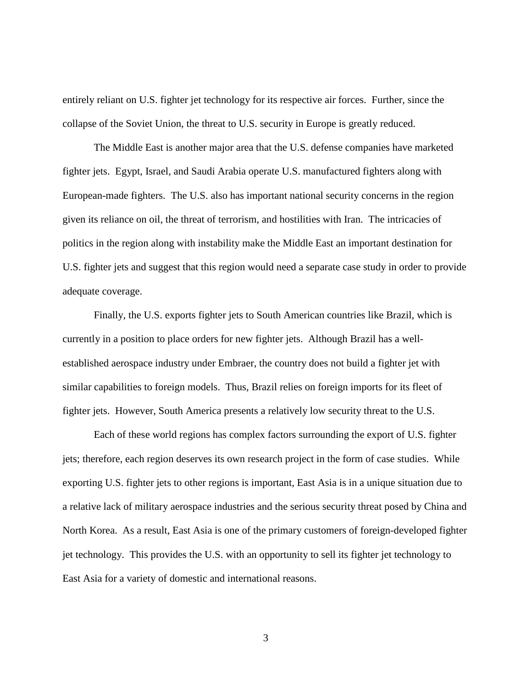entirely reliant on U.S. fighter jet technology for its respective air forces. Further, since the collapse of the Soviet Union, the threat to U.S. security in Europe is greatly reduced.

The Middle East is another major area that the U.S. defense companies have marketed fighter jets. Egypt, Israel, and Saudi Arabia operate U.S. manufactured fighters along with European-made fighters. The U.S. also has important national security concerns in the region given its reliance on oil, the threat of terrorism, and hostilities with Iran. The intricacies of politics in the region along with instability make the Middle East an important destination for U.S. fighter jets and suggest that this region would need a separate case study in order to provide adequate coverage.

Finally, the U.S. exports fighter jets to South American countries like Brazil, which is currently in a position to place orders for new fighter jets. Although Brazil has a wellestablished aerospace industry under Embraer, the country does not build a fighter jet with similar capabilities to foreign models. Thus, Brazil relies on foreign imports for its fleet of fighter jets. However, South America presents a relatively low security threat to the U.S.

Each of these world regions has complex factors surrounding the export of U.S. fighter jets; therefore, each region deserves its own research project in the form of case studies. While exporting U.S. fighter jets to other regions is important, East Asia is in a unique situation due to a relative lack of military aerospace industries and the serious security threat posed by China and North Korea. As a result, East Asia is one of the primary customers of foreign-developed fighter jet technology. This provides the U.S. with an opportunity to sell its fighter jet technology to East Asia for a variety of domestic and international reasons.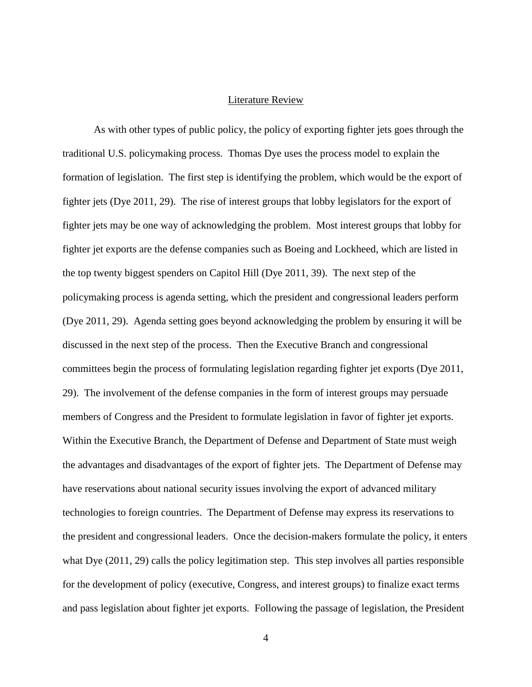#### Literature Review

<span id="page-10-0"></span>As with other types of public policy, the policy of exporting fighter jets goes through the traditional U.S. policymaking process. Thomas Dye uses the process model to explain the formation of legislation. The first step is identifying the problem, which would be the export of fighter jets (Dye 2011, 29). The rise of interest groups that lobby legislators for the export of fighter jets may be one way of acknowledging the problem. Most interest groups that lobby for fighter jet exports are the defense companies such as Boeing and Lockheed, which are listed in the top twenty biggest spenders on Capitol Hill (Dye 2011, 39). The next step of the policymaking process is agenda setting, which the president and congressional leaders perform (Dye 2011, 29). Agenda setting goes beyond acknowledging the problem by ensuring it will be discussed in the next step of the process. Then the Executive Branch and congressional committees begin the process of formulating legislation regarding fighter jet exports (Dye 2011, 29). The involvement of the defense companies in the form of interest groups may persuade members of Congress and the President to formulate legislation in favor of fighter jet exports. Within the Executive Branch, the Department of Defense and Department of State must weigh the advantages and disadvantages of the export of fighter jets. The Department of Defense may have reservations about national security issues involving the export of advanced military technologies to foreign countries. The Department of Defense may express its reservations to the president and congressional leaders. Once the decision-makers formulate the policy, it enters what Dye (2011, 29) calls the policy legitimation step. This step involves all parties responsible for the development of policy (executive, Congress, and interest groups) to finalize exact terms and pass legislation about fighter jet exports. Following the passage of legislation, the President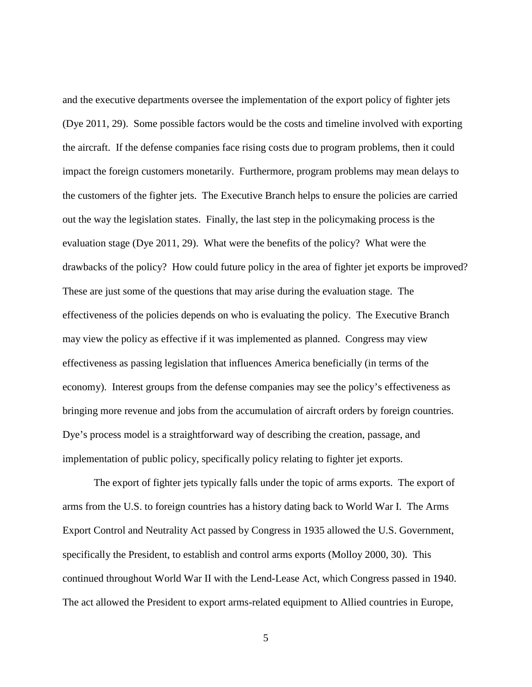and the executive departments oversee the implementation of the export policy of fighter jets (Dye 2011, 29). Some possible factors would be the costs and timeline involved with exporting the aircraft. If the defense companies face rising costs due to program problems, then it could impact the foreign customers monetarily. Furthermore, program problems may mean delays to the customers of the fighter jets. The Executive Branch helps to ensure the policies are carried out the way the legislation states. Finally, the last step in the policymaking process is the evaluation stage (Dye 2011, 29). What were the benefits of the policy? What were the drawbacks of the policy? How could future policy in the area of fighter jet exports be improved? These are just some of the questions that may arise during the evaluation stage. The effectiveness of the policies depends on who is evaluating the policy. The Executive Branch may view the policy as effective if it was implemented as planned. Congress may view effectiveness as passing legislation that influences America beneficially (in terms of the economy). Interest groups from the defense companies may see the policy's effectiveness as bringing more revenue and jobs from the accumulation of aircraft orders by foreign countries. Dye's process model is a straightforward way of describing the creation, passage, and implementation of public policy, specifically policy relating to fighter jet exports.

The export of fighter jets typically falls under the topic of arms exports. The export of arms from the U.S. to foreign countries has a history dating back to World War I. The Arms Export Control and Neutrality Act passed by Congress in 1935 allowed the U.S. Government, specifically the President, to establish and control arms exports (Molloy 2000, 30). This continued throughout World War II with the Lend-Lease Act, which Congress passed in 1940. The act allowed the President to export arms-related equipment to Allied countries in Europe,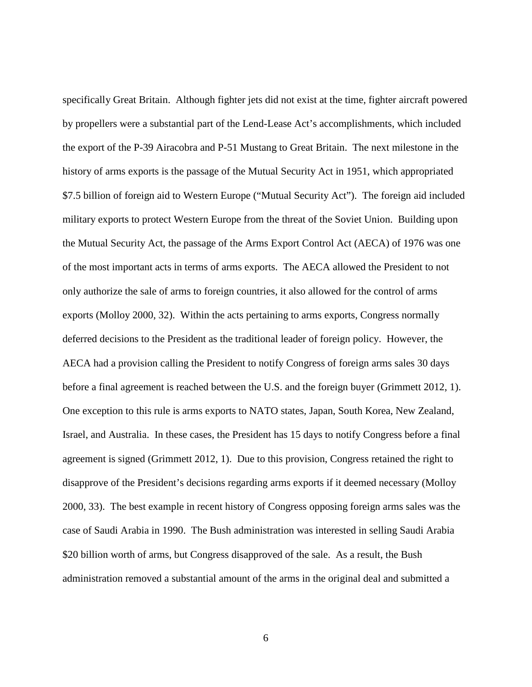specifically Great Britain. Although fighter jets did not exist at the time, fighter aircraft powered by propellers were a substantial part of the Lend-Lease Act's accomplishments, which included the export of the P-39 Airacobra and P-51 Mustang to Great Britain. The next milestone in the history of arms exports is the passage of the Mutual Security Act in 1951, which appropriated \$7.5 billion of foreign aid to Western Europe ("Mutual Security Act"). The foreign aid included military exports to protect Western Europe from the threat of the Soviet Union. Building upon the Mutual Security Act, the passage of the Arms Export Control Act (AECA) of 1976 was one of the most important acts in terms of arms exports. The AECA allowed the President to not only authorize the sale of arms to foreign countries, it also allowed for the control of arms exports (Molloy 2000, 32). Within the acts pertaining to arms exports, Congress normally deferred decisions to the President as the traditional leader of foreign policy. However, the AECA had a provision calling the President to notify Congress of foreign arms sales 30 days before a final agreement is reached between the U.S. and the foreign buyer (Grimmett 2012, 1). One exception to this rule is arms exports to NATO states, Japan, South Korea, New Zealand, Israel, and Australia. In these cases, the President has 15 days to notify Congress before a final agreement is signed (Grimmett 2012, 1). Due to this provision, Congress retained the right to disapprove of the President's decisions regarding arms exports if it deemed necessary (Molloy 2000, 33). The best example in recent history of Congress opposing foreign arms sales was the case of Saudi Arabia in 1990. The Bush administration was interested in selling Saudi Arabia \$20 billion worth of arms, but Congress disapproved of the sale. As a result, the Bush administration removed a substantial amount of the arms in the original deal and submitted a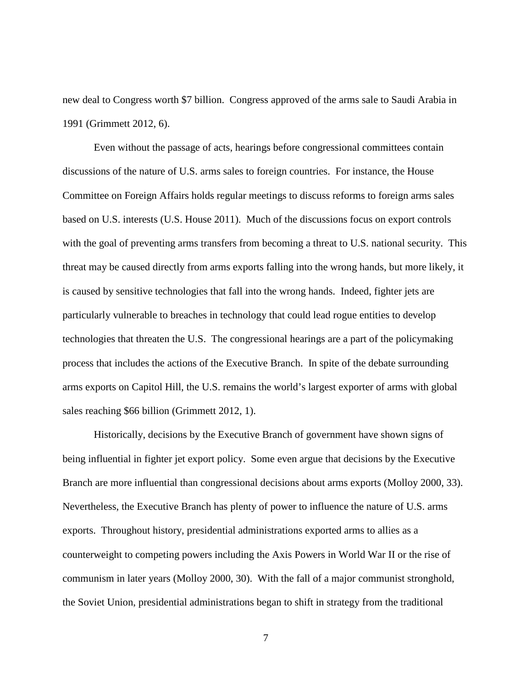new deal to Congress worth \$7 billion. Congress approved of the arms sale to Saudi Arabia in 1991 (Grimmett 2012, 6).

Even without the passage of acts, hearings before congressional committees contain discussions of the nature of U.S. arms sales to foreign countries. For instance, the House Committee on Foreign Affairs holds regular meetings to discuss reforms to foreign arms sales based on U.S. interests (U.S. House 2011). Much of the discussions focus on export controls with the goal of preventing arms transfers from becoming a threat to U.S. national security. This threat may be caused directly from arms exports falling into the wrong hands, but more likely, it is caused by sensitive technologies that fall into the wrong hands. Indeed, fighter jets are particularly vulnerable to breaches in technology that could lead rogue entities to develop technologies that threaten the U.S. The congressional hearings are a part of the policymaking process that includes the actions of the Executive Branch. In spite of the debate surrounding arms exports on Capitol Hill, the U.S. remains the world's largest exporter of arms with global sales reaching \$66 billion (Grimmett 2012, 1).

Historically, decisions by the Executive Branch of government have shown signs of being influential in fighter jet export policy. Some even argue that decisions by the Executive Branch are more influential than congressional decisions about arms exports (Molloy 2000, 33). Nevertheless, the Executive Branch has plenty of power to influence the nature of U.S. arms exports. Throughout history, presidential administrations exported arms to allies as a counterweight to competing powers including the Axis Powers in World War II or the rise of communism in later years (Molloy 2000, 30). With the fall of a major communist stronghold, the Soviet Union, presidential administrations began to shift in strategy from the traditional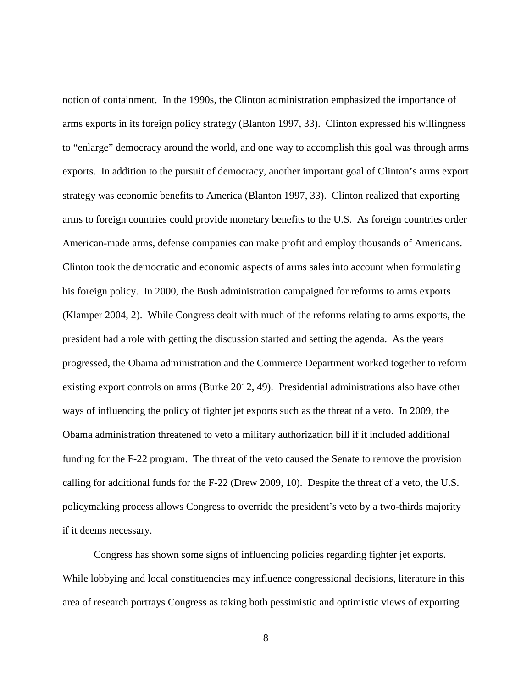notion of containment. In the 1990s, the Clinton administration emphasized the importance of arms exports in its foreign policy strategy (Blanton 1997, 33). Clinton expressed his willingness to "enlarge" democracy around the world, and one way to accomplish this goal was through arms exports. In addition to the pursuit of democracy, another important goal of Clinton's arms export strategy was economic benefits to America (Blanton 1997, 33). Clinton realized that exporting arms to foreign countries could provide monetary benefits to the U.S. As foreign countries order American-made arms, defense companies can make profit and employ thousands of Americans. Clinton took the democratic and economic aspects of arms sales into account when formulating his foreign policy. In 2000, the Bush administration campaigned for reforms to arms exports (Klamper 2004, 2). While Congress dealt with much of the reforms relating to arms exports, the president had a role with getting the discussion started and setting the agenda. As the years progressed, the Obama administration and the Commerce Department worked together to reform existing export controls on arms (Burke 2012, 49). Presidential administrations also have other ways of influencing the policy of fighter jet exports such as the threat of a veto. In 2009, the Obama administration threatened to veto a military authorization bill if it included additional funding for the F-22 program. The threat of the veto caused the Senate to remove the provision calling for additional funds for the F-22 (Drew 2009, 10). Despite the threat of a veto, the U.S. policymaking process allows Congress to override the president's veto by a two-thirds majority if it deems necessary.

Congress has shown some signs of influencing policies regarding fighter jet exports. While lobbying and local constituencies may influence congressional decisions, literature in this area of research portrays Congress as taking both pessimistic and optimistic views of exporting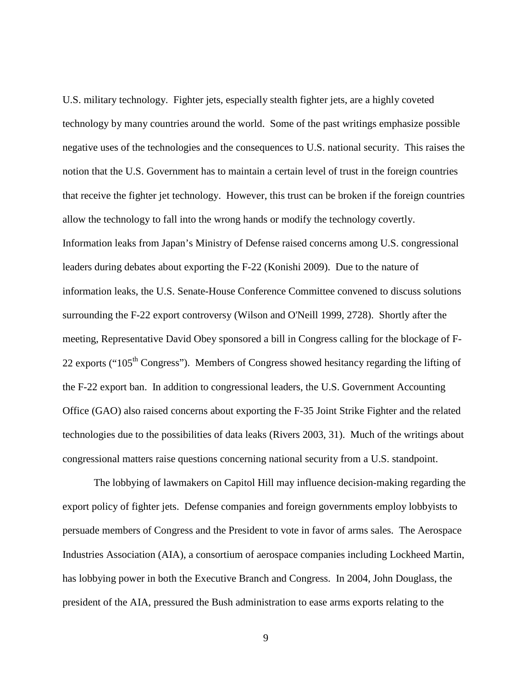U.S. military technology. Fighter jets, especially stealth fighter jets, are a highly coveted technology by many countries around the world. Some of the past writings emphasize possible negative uses of the technologies and the consequences to U.S. national security. This raises the notion that the U.S. Government has to maintain a certain level of trust in the foreign countries that receive the fighter jet technology. However, this trust can be broken if the foreign countries allow the technology to fall into the wrong hands or modify the technology covertly. Information leaks from Japan's Ministry of Defense raised concerns among U.S. congressional leaders during debates about exporting the F-22 (Konishi 2009). Due to the nature of information leaks, the U.S. Senate-House Conference Committee convened to discuss solutions surrounding the F-22 export controversy (Wilson and O'Neill 1999, 2728). Shortly after the meeting, Representative David Obey sponsored a bill in Congress calling for the blockage of F-22 exports (" $105<sup>th</sup> Congress$ "). Members of Congress showed hesitancy regarding the lifting of the F-22 export ban. In addition to congressional leaders, the U.S. Government Accounting Office (GAO) also raised concerns about exporting the F-35 Joint Strike Fighter and the related technologies due to the possibilities of data leaks (Rivers 2003, 31). Much of the writings about congressional matters raise questions concerning national security from a U.S. standpoint.

The lobbying of lawmakers on Capitol Hill may influence decision-making regarding the export policy of fighter jets. Defense companies and foreign governments employ lobbyists to persuade members of Congress and the President to vote in favor of arms sales. The Aerospace Industries Association (AIA), a consortium of aerospace companies including Lockheed Martin, has lobbying power in both the Executive Branch and Congress. In 2004, John Douglass, the president of the AIA, pressured the Bush administration to ease arms exports relating to the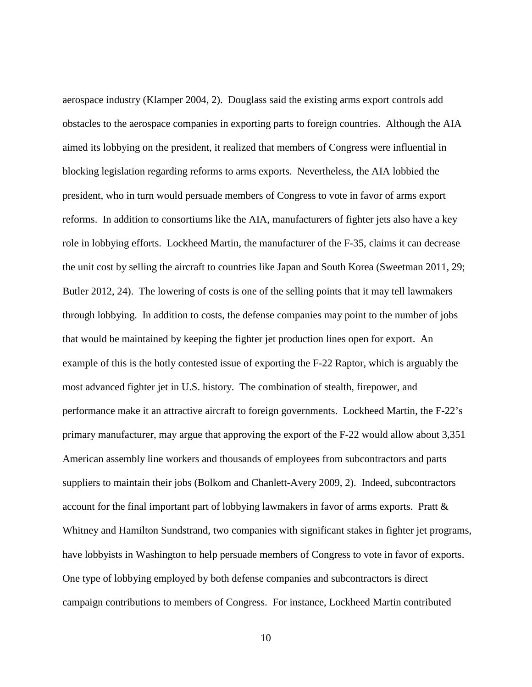aerospace industry (Klamper 2004, 2). Douglass said the existing arms export controls add obstacles to the aerospace companies in exporting parts to foreign countries. Although the AIA aimed its lobbying on the president, it realized that members of Congress were influential in blocking legislation regarding reforms to arms exports. Nevertheless, the AIA lobbied the president, who in turn would persuade members of Congress to vote in favor of arms export reforms. In addition to consortiums like the AIA, manufacturers of fighter jets also have a key role in lobbying efforts. Lockheed Martin, the manufacturer of the F-35, claims it can decrease the unit cost by selling the aircraft to countries like Japan and South Korea (Sweetman 2011, 29; Butler 2012, 24). The lowering of costs is one of the selling points that it may tell lawmakers through lobbying. In addition to costs, the defense companies may point to the number of jobs that would be maintained by keeping the fighter jet production lines open for export. An example of this is the hotly contested issue of exporting the F-22 Raptor, which is arguably the most advanced fighter jet in U.S. history. The combination of stealth, firepower, and performance make it an attractive aircraft to foreign governments. Lockheed Martin, the F-22's primary manufacturer, may argue that approving the export of the F-22 would allow about 3,351 American assembly line workers and thousands of employees from subcontractors and parts suppliers to maintain their jobs (Bolkom and Chanlett-Avery 2009, 2). Indeed, subcontractors account for the final important part of lobbying lawmakers in favor of arms exports. Pratt & Whitney and Hamilton Sundstrand, two companies with significant stakes in fighter jet programs, have lobbyists in Washington to help persuade members of Congress to vote in favor of exports. One type of lobbying employed by both defense companies and subcontractors is direct campaign contributions to members of Congress. For instance, Lockheed Martin contributed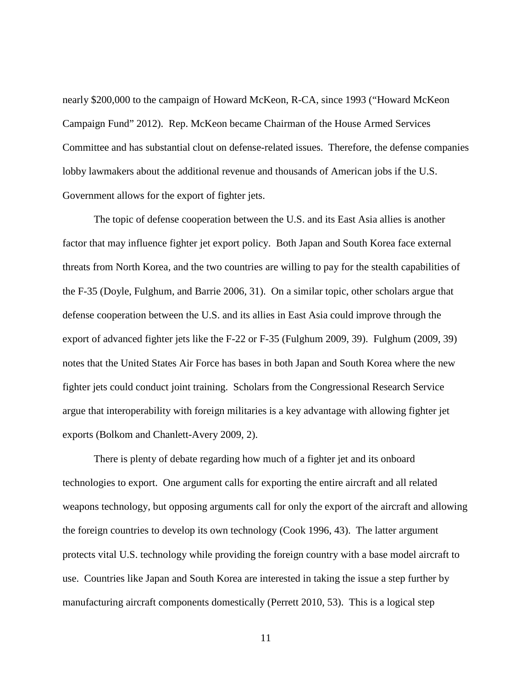nearly \$200,000 to the campaign of Howard McKeon, R-CA, since 1993 ("Howard McKeon Campaign Fund" 2012). Rep. McKeon became Chairman of the House Armed Services Committee and has substantial clout on defense-related issues. Therefore, the defense companies lobby lawmakers about the additional revenue and thousands of American jobs if the U.S. Government allows for the export of fighter jets.

The topic of defense cooperation between the U.S. and its East Asia allies is another factor that may influence fighter jet export policy. Both Japan and South Korea face external threats from North Korea, and the two countries are willing to pay for the stealth capabilities of the F-35 (Doyle, Fulghum, and Barrie 2006, 31). On a similar topic, other scholars argue that defense cooperation between the U.S. and its allies in East Asia could improve through the export of advanced fighter jets like the F-22 or F-35 (Fulghum 2009, 39). Fulghum (2009, 39) notes that the United States Air Force has bases in both Japan and South Korea where the new fighter jets could conduct joint training. Scholars from the Congressional Research Service argue that interoperability with foreign militaries is a key advantage with allowing fighter jet exports (Bolkom and Chanlett-Avery 2009, 2).

There is plenty of debate regarding how much of a fighter jet and its onboard technologies to export. One argument calls for exporting the entire aircraft and all related weapons technology, but opposing arguments call for only the export of the aircraft and allowing the foreign countries to develop its own technology (Cook 1996, 43). The latter argument protects vital U.S. technology while providing the foreign country with a base model aircraft to use. Countries like Japan and South Korea are interested in taking the issue a step further by manufacturing aircraft components domestically (Perrett 2010, 53). This is a logical step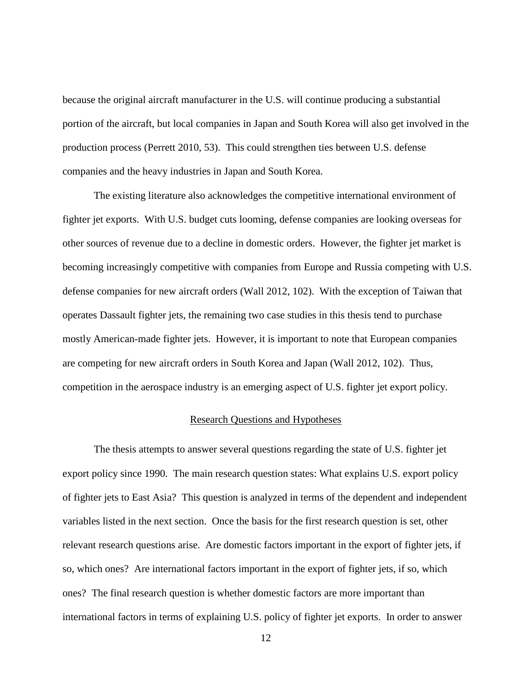because the original aircraft manufacturer in the U.S. will continue producing a substantial portion of the aircraft, but local companies in Japan and South Korea will also get involved in the production process (Perrett 2010, 53). This could strengthen ties between U.S. defense companies and the heavy industries in Japan and South Korea.

The existing literature also acknowledges the competitive international environment of fighter jet exports. With U.S. budget cuts looming, defense companies are looking overseas for other sources of revenue due to a decline in domestic orders. However, the fighter jet market is becoming increasingly competitive with companies from Europe and Russia competing with U.S. defense companies for new aircraft orders (Wall 2012, 102). With the exception of Taiwan that operates Dassault fighter jets, the remaining two case studies in this thesis tend to purchase mostly American-made fighter jets. However, it is important to note that European companies are competing for new aircraft orders in South Korea and Japan (Wall 2012, 102). Thus, competition in the aerospace industry is an emerging aspect of U.S. fighter jet export policy.

#### Research Questions and Hypotheses

<span id="page-18-0"></span>The thesis attempts to answer several questions regarding the state of U.S. fighter jet export policy since 1990. The main research question states: What explains U.S. export policy of fighter jets to East Asia? This question is analyzed in terms of the dependent and independent variables listed in the next section. Once the basis for the first research question is set, other relevant research questions arise. Are domestic factors important in the export of fighter jets, if so, which ones? Are international factors important in the export of fighter jets, if so, which ones? The final research question is whether domestic factors are more important than international factors in terms of explaining U.S. policy of fighter jet exports. In order to answer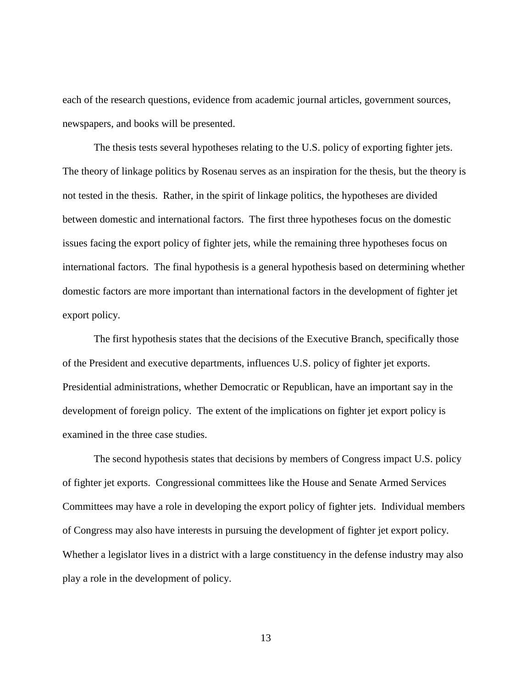each of the research questions, evidence from academic journal articles, government sources, newspapers, and books will be presented.

The thesis tests several hypotheses relating to the U.S. policy of exporting fighter jets. The theory of linkage politics by Rosenau serves as an inspiration for the thesis, but the theory is not tested in the thesis. Rather, in the spirit of linkage politics, the hypotheses are divided between domestic and international factors. The first three hypotheses focus on the domestic issues facing the export policy of fighter jets, while the remaining three hypotheses focus on international factors. The final hypothesis is a general hypothesis based on determining whether domestic factors are more important than international factors in the development of fighter jet export policy.

The first hypothesis states that the decisions of the Executive Branch, specifically those of the President and executive departments, influences U.S. policy of fighter jet exports. Presidential administrations, whether Democratic or Republican, have an important say in the development of foreign policy. The extent of the implications on fighter jet export policy is examined in the three case studies.

The second hypothesis states that decisions by members of Congress impact U.S. policy of fighter jet exports. Congressional committees like the House and Senate Armed Services Committees may have a role in developing the export policy of fighter jets. Individual members of Congress may also have interests in pursuing the development of fighter jet export policy. Whether a legislator lives in a district with a large constituency in the defense industry may also play a role in the development of policy.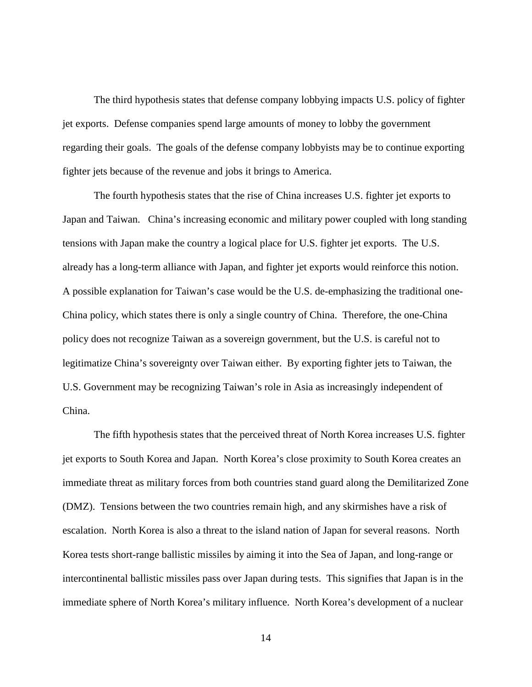The third hypothesis states that defense company lobbying impacts U.S. policy of fighter jet exports. Defense companies spend large amounts of money to lobby the government regarding their goals. The goals of the defense company lobbyists may be to continue exporting fighter jets because of the revenue and jobs it brings to America.

The fourth hypothesis states that the rise of China increases U.S. fighter jet exports to Japan and Taiwan. China's increasing economic and military power coupled with long standing tensions with Japan make the country a logical place for U.S. fighter jet exports. The U.S. already has a long-term alliance with Japan, and fighter jet exports would reinforce this notion. A possible explanation for Taiwan's case would be the U.S. de-emphasizing the traditional one-China policy, which states there is only a single country of China. Therefore, the one-China policy does not recognize Taiwan as a sovereign government, but the U.S. is careful not to legitimatize China's sovereignty over Taiwan either. By exporting fighter jets to Taiwan, the U.S. Government may be recognizing Taiwan's role in Asia as increasingly independent of China.

The fifth hypothesis states that the perceived threat of North Korea increases U.S. fighter jet exports to South Korea and Japan. North Korea's close proximity to South Korea creates an immediate threat as military forces from both countries stand guard along the Demilitarized Zone (DMZ). Tensions between the two countries remain high, and any skirmishes have a risk of escalation. North Korea is also a threat to the island nation of Japan for several reasons. North Korea tests short-range ballistic missiles by aiming it into the Sea of Japan, and long-range or intercontinental ballistic missiles pass over Japan during tests. This signifies that Japan is in the immediate sphere of North Korea's military influence. North Korea's development of a nuclear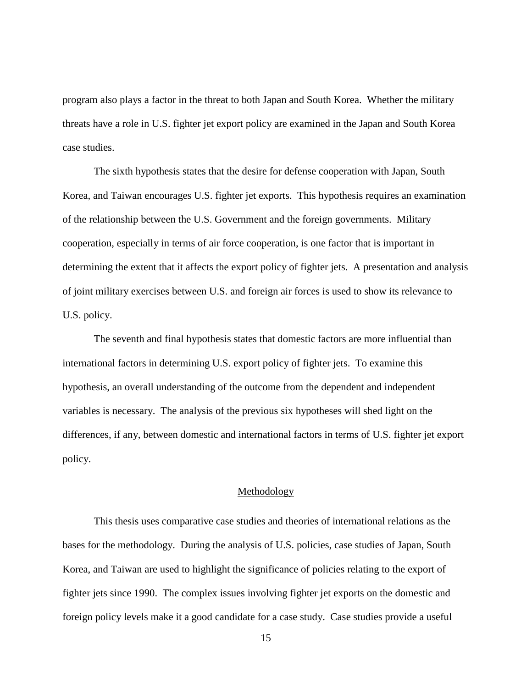program also plays a factor in the threat to both Japan and South Korea. Whether the military threats have a role in U.S. fighter jet export policy are examined in the Japan and South Korea case studies.

The sixth hypothesis states that the desire for defense cooperation with Japan, South Korea, and Taiwan encourages U.S. fighter jet exports. This hypothesis requires an examination of the relationship between the U.S. Government and the foreign governments. Military cooperation, especially in terms of air force cooperation, is one factor that is important in determining the extent that it affects the export policy of fighter jets. A presentation and analysis of joint military exercises between U.S. and foreign air forces is used to show its relevance to U.S. policy.

The seventh and final hypothesis states that domestic factors are more influential than international factors in determining U.S. export policy of fighter jets. To examine this hypothesis, an overall understanding of the outcome from the dependent and independent variables is necessary. The analysis of the previous six hypotheses will shed light on the differences, if any, between domestic and international factors in terms of U.S. fighter jet export policy.

#### Methodology

<span id="page-21-0"></span>This thesis uses comparative case studies and theories of international relations as the bases for the methodology. During the analysis of U.S. policies, case studies of Japan, South Korea, and Taiwan are used to highlight the significance of policies relating to the export of fighter jets since 1990. The complex issues involving fighter jet exports on the domestic and foreign policy levels make it a good candidate for a case study. Case studies provide a useful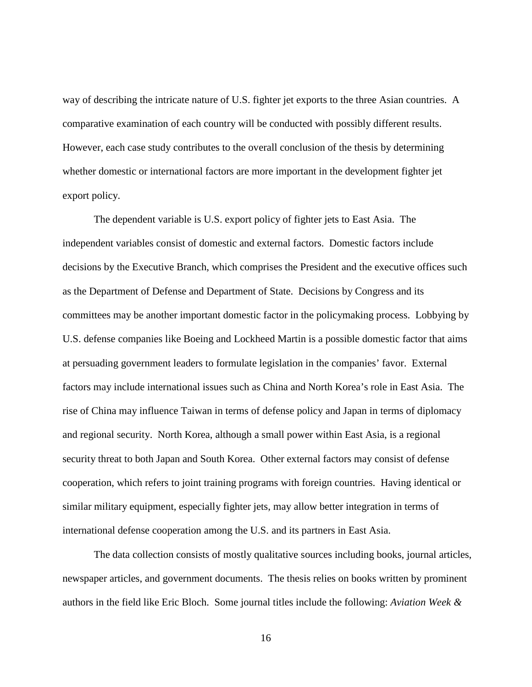way of describing the intricate nature of U.S. fighter jet exports to the three Asian countries. A comparative examination of each country will be conducted with possibly different results. However, each case study contributes to the overall conclusion of the thesis by determining whether domestic or international factors are more important in the development fighter jet export policy.

The dependent variable is U.S. export policy of fighter jets to East Asia. The independent variables consist of domestic and external factors. Domestic factors include decisions by the Executive Branch, which comprises the President and the executive offices such as the Department of Defense and Department of State. Decisions by Congress and its committees may be another important domestic factor in the policymaking process. Lobbying by U.S. defense companies like Boeing and Lockheed Martin is a possible domestic factor that aims at persuading government leaders to formulate legislation in the companies' favor. External factors may include international issues such as China and North Korea's role in East Asia. The rise of China may influence Taiwan in terms of defense policy and Japan in terms of diplomacy and regional security. North Korea, although a small power within East Asia, is a regional security threat to both Japan and South Korea. Other external factors may consist of defense cooperation, which refers to joint training programs with foreign countries. Having identical or similar military equipment, especially fighter jets, may allow better integration in terms of international defense cooperation among the U.S. and its partners in East Asia.

The data collection consists of mostly qualitative sources including books, journal articles, newspaper articles, and government documents. The thesis relies on books written by prominent authors in the field like Eric Bloch. Some journal titles include the following: *Aviation Week &*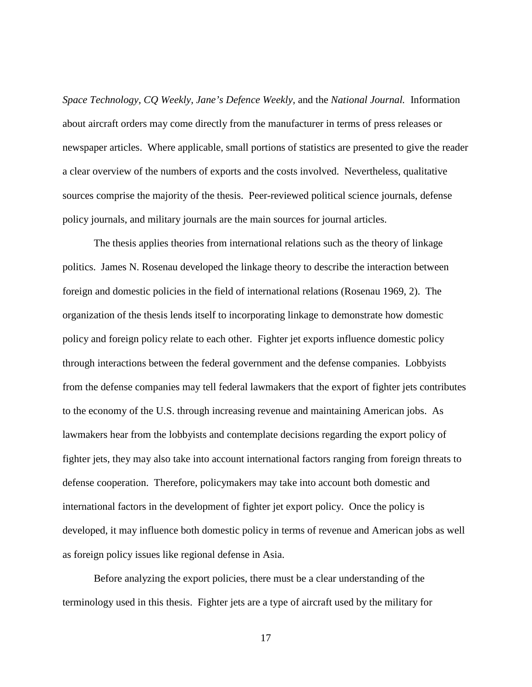*Space Technology, CQ Weekly, Jane's Defence Weekly,* and the *National Journal.* Information about aircraft orders may come directly from the manufacturer in terms of press releases or newspaper articles. Where applicable, small portions of statistics are presented to give the reader a clear overview of the numbers of exports and the costs involved. Nevertheless, qualitative sources comprise the majority of the thesis. Peer-reviewed political science journals, defense policy journals, and military journals are the main sources for journal articles.

The thesis applies theories from international relations such as the theory of linkage politics. James N. Rosenau developed the linkage theory to describe the interaction between foreign and domestic policies in the field of international relations (Rosenau 1969, 2). The organization of the thesis lends itself to incorporating linkage to demonstrate how domestic policy and foreign policy relate to each other. Fighter jet exports influence domestic policy through interactions between the federal government and the defense companies. Lobbyists from the defense companies may tell federal lawmakers that the export of fighter jets contributes to the economy of the U.S. through increasing revenue and maintaining American jobs. As lawmakers hear from the lobbyists and contemplate decisions regarding the export policy of fighter jets, they may also take into account international factors ranging from foreign threats to defense cooperation. Therefore, policymakers may take into account both domestic and international factors in the development of fighter jet export policy. Once the policy is developed, it may influence both domestic policy in terms of revenue and American jobs as well as foreign policy issues like regional defense in Asia.

Before analyzing the export policies, there must be a clear understanding of the terminology used in this thesis. Fighter jets are a type of aircraft used by the military for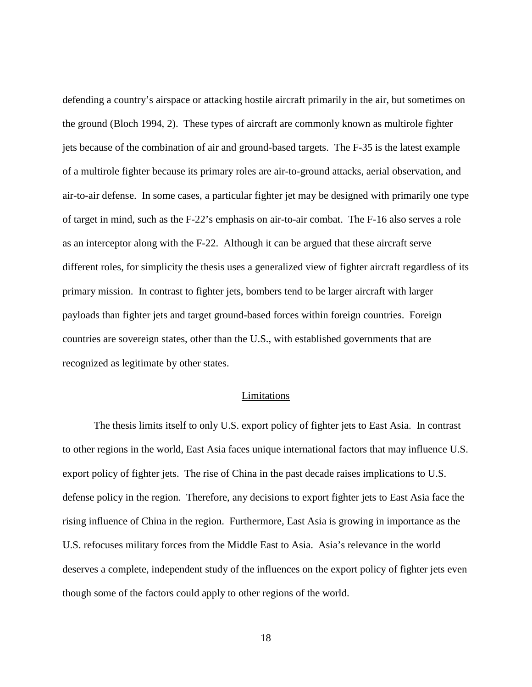defending a country's airspace or attacking hostile aircraft primarily in the air, but sometimes on the ground (Bloch 1994, 2). These types of aircraft are commonly known as multirole fighter jets because of the combination of air and ground-based targets. The F-35 is the latest example of a multirole fighter because its primary roles are air-to-ground attacks, aerial observation, and air-to-air defense. In some cases, a particular fighter jet may be designed with primarily one type of target in mind, such as the F-22's emphasis on air-to-air combat. The F-16 also serves a role as an interceptor along with the F-22. Although it can be argued that these aircraft serve different roles, for simplicity the thesis uses a generalized view of fighter aircraft regardless of its primary mission. In contrast to fighter jets, bombers tend to be larger aircraft with larger payloads than fighter jets and target ground-based forces within foreign countries. Foreign countries are sovereign states, other than the U.S., with established governments that are recognized as legitimate by other states.

#### Limitations

<span id="page-24-0"></span>The thesis limits itself to only U.S. export policy of fighter jets to East Asia. In contrast to other regions in the world, East Asia faces unique international factors that may influence U.S. export policy of fighter jets. The rise of China in the past decade raises implications to U.S. defense policy in the region. Therefore, any decisions to export fighter jets to East Asia face the rising influence of China in the region. Furthermore, East Asia is growing in importance as the U.S. refocuses military forces from the Middle East to Asia. Asia's relevance in the world deserves a complete, independent study of the influences on the export policy of fighter jets even though some of the factors could apply to other regions of the world.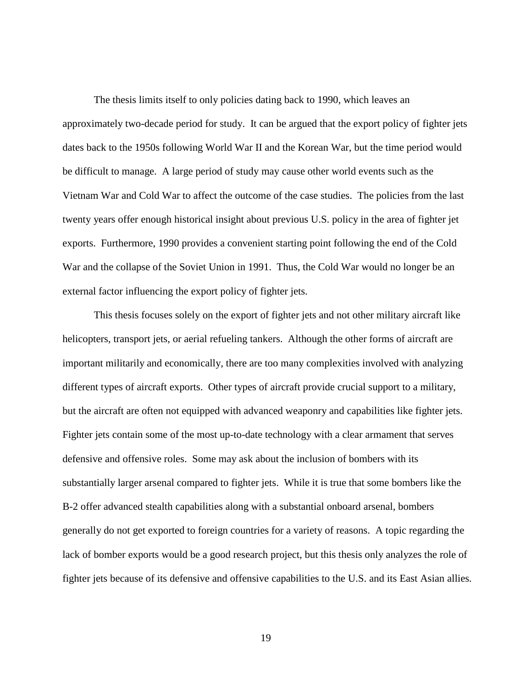The thesis limits itself to only policies dating back to 1990, which leaves an approximately two-decade period for study. It can be argued that the export policy of fighter jets dates back to the 1950s following World War II and the Korean War, but the time period would be difficult to manage. A large period of study may cause other world events such as the Vietnam War and Cold War to affect the outcome of the case studies. The policies from the last twenty years offer enough historical insight about previous U.S. policy in the area of fighter jet exports. Furthermore, 1990 provides a convenient starting point following the end of the Cold War and the collapse of the Soviet Union in 1991. Thus, the Cold War would no longer be an external factor influencing the export policy of fighter jets.

This thesis focuses solely on the export of fighter jets and not other military aircraft like helicopters, transport jets, or aerial refueling tankers. Although the other forms of aircraft are important militarily and economically, there are too many complexities involved with analyzing different types of aircraft exports. Other types of aircraft provide crucial support to a military, but the aircraft are often not equipped with advanced weaponry and capabilities like fighter jets. Fighter jets contain some of the most up-to-date technology with a clear armament that serves defensive and offensive roles. Some may ask about the inclusion of bombers with its substantially larger arsenal compared to fighter jets. While it is true that some bombers like the B-2 offer advanced stealth capabilities along with a substantial onboard arsenal, bombers generally do not get exported to foreign countries for a variety of reasons. A topic regarding the lack of bomber exports would be a good research project, but this thesis only analyzes the role of fighter jets because of its defensive and offensive capabilities to the U.S. and its East Asian allies.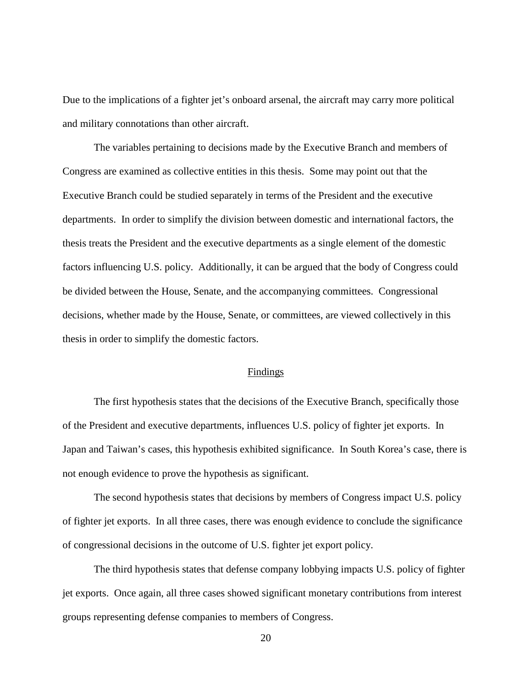Due to the implications of a fighter jet's onboard arsenal, the aircraft may carry more political and military connotations than other aircraft.

The variables pertaining to decisions made by the Executive Branch and members of Congress are examined as collective entities in this thesis. Some may point out that the Executive Branch could be studied separately in terms of the President and the executive departments. In order to simplify the division between domestic and international factors, the thesis treats the President and the executive departments as a single element of the domestic factors influencing U.S. policy. Additionally, it can be argued that the body of Congress could be divided between the House, Senate, and the accompanying committees. Congressional decisions, whether made by the House, Senate, or committees, are viewed collectively in this thesis in order to simplify the domestic factors.

#### Findings

<span id="page-26-0"></span>The first hypothesis states that the decisions of the Executive Branch, specifically those of the President and executive departments, influences U.S. policy of fighter jet exports. In Japan and Taiwan's cases, this hypothesis exhibited significance. In South Korea's case, there is not enough evidence to prove the hypothesis as significant.

The second hypothesis states that decisions by members of Congress impact U.S. policy of fighter jet exports. In all three cases, there was enough evidence to conclude the significance of congressional decisions in the outcome of U.S. fighter jet export policy.

The third hypothesis states that defense company lobbying impacts U.S. policy of fighter jet exports. Once again, all three cases showed significant monetary contributions from interest groups representing defense companies to members of Congress.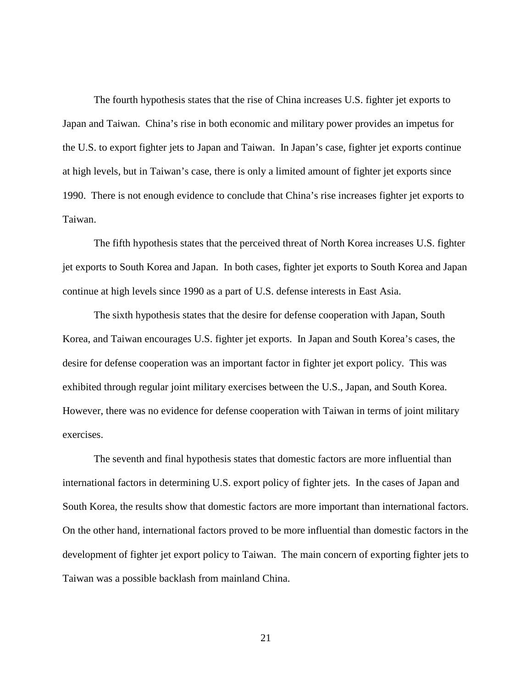The fourth hypothesis states that the rise of China increases U.S. fighter jet exports to Japan and Taiwan. China's rise in both economic and military power provides an impetus for the U.S. to export fighter jets to Japan and Taiwan. In Japan's case, fighter jet exports continue at high levels, but in Taiwan's case, there is only a limited amount of fighter jet exports since 1990. There is not enough evidence to conclude that China's rise increases fighter jet exports to Taiwan.

The fifth hypothesis states that the perceived threat of North Korea increases U.S. fighter jet exports to South Korea and Japan. In both cases, fighter jet exports to South Korea and Japan continue at high levels since 1990 as a part of U.S. defense interests in East Asia.

The sixth hypothesis states that the desire for defense cooperation with Japan, South Korea, and Taiwan encourages U.S. fighter jet exports. In Japan and South Korea's cases, the desire for defense cooperation was an important factor in fighter jet export policy. This was exhibited through regular joint military exercises between the U.S., Japan, and South Korea. However, there was no evidence for defense cooperation with Taiwan in terms of joint military exercises.

The seventh and final hypothesis states that domestic factors are more influential than international factors in determining U.S. export policy of fighter jets. In the cases of Japan and South Korea, the results show that domestic factors are more important than international factors. On the other hand, international factors proved to be more influential than domestic factors in the development of fighter jet export policy to Taiwan. The main concern of exporting fighter jets to Taiwan was a possible backlash from mainland China.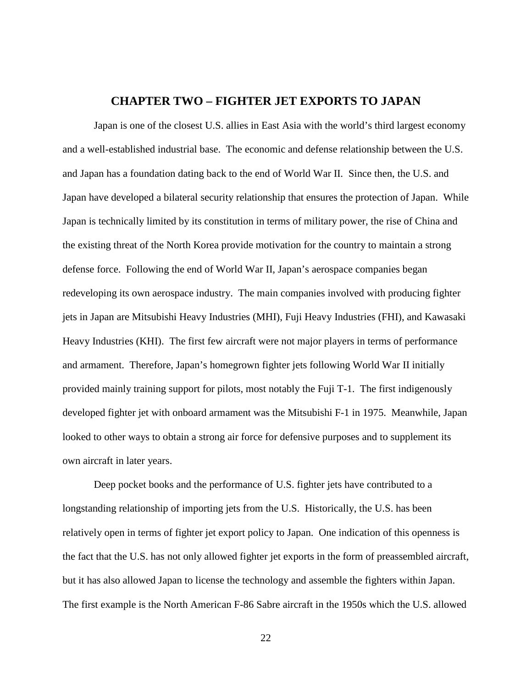### **CHAPTER TWO – FIGHTER JET EXPORTS TO JAPAN**

<span id="page-28-0"></span>Japan is one of the closest U.S. allies in East Asia with the world's third largest economy and a well-established industrial base. The economic and defense relationship between the U.S. and Japan has a foundation dating back to the end of World War II. Since then, the U.S. and Japan have developed a bilateral security relationship that ensures the protection of Japan. While Japan is technically limited by its constitution in terms of military power, the rise of China and the existing threat of the North Korea provide motivation for the country to maintain a strong defense force. Following the end of World War II, Japan's aerospace companies began redeveloping its own aerospace industry. The main companies involved with producing fighter jets in Japan are Mitsubishi Heavy Industries (MHI), Fuji Heavy Industries (FHI), and Kawasaki Heavy Industries (KHI). The first few aircraft were not major players in terms of performance and armament. Therefore, Japan's homegrown fighter jets following World War II initially provided mainly training support for pilots, most notably the Fuji T-1. The first indigenously developed fighter jet with onboard armament was the Mitsubishi F-1 in 1975. Meanwhile, Japan looked to other ways to obtain a strong air force for defensive purposes and to supplement its own aircraft in later years.

Deep pocket books and the performance of U.S. fighter jets have contributed to a longstanding relationship of importing jets from the U.S. Historically, the U.S. has been relatively open in terms of fighter jet export policy to Japan. One indication of this openness is the fact that the U.S. has not only allowed fighter jet exports in the form of preassembled aircraft, but it has also allowed Japan to license the technology and assemble the fighters within Japan. The first example is the North American F-86 Sabre aircraft in the 1950s which the U.S. allowed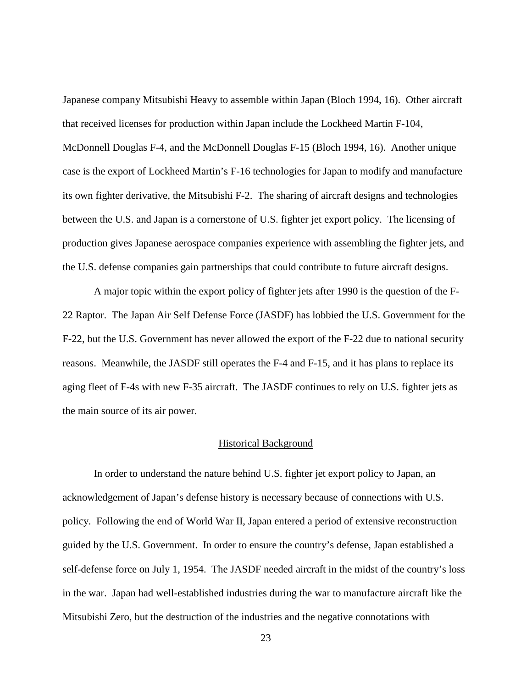Japanese company Mitsubishi Heavy to assemble within Japan (Bloch 1994, 16). Other aircraft that received licenses for production within Japan include the Lockheed Martin F-104, McDonnell Douglas F-4, and the McDonnell Douglas F-15 (Bloch 1994, 16). Another unique case is the export of Lockheed Martin's F-16 technologies for Japan to modify and manufacture its own fighter derivative, the Mitsubishi F-2. The sharing of aircraft designs and technologies between the U.S. and Japan is a cornerstone of U.S. fighter jet export policy. The licensing of production gives Japanese aerospace companies experience with assembling the fighter jets, and the U.S. defense companies gain partnerships that could contribute to future aircraft designs.

A major topic within the export policy of fighter jets after 1990 is the question of the F-22 Raptor. The Japan Air Self Defense Force (JASDF) has lobbied the U.S. Government for the F-22, but the U.S. Government has never allowed the export of the F-22 due to national security reasons. Meanwhile, the JASDF still operates the F-4 and F-15, and it has plans to replace its aging fleet of F-4s with new F-35 aircraft. The JASDF continues to rely on U.S. fighter jets as the main source of its air power.

#### Historical Background

<span id="page-29-0"></span>In order to understand the nature behind U.S. fighter jet export policy to Japan, an acknowledgement of Japan's defense history is necessary because of connections with U.S. policy. Following the end of World War II, Japan entered a period of extensive reconstruction guided by the U.S. Government. In order to ensure the country's defense, Japan established a self-defense force on July 1, 1954. The JASDF needed aircraft in the midst of the country's loss in the war. Japan had well-established industries during the war to manufacture aircraft like the Mitsubishi Zero, but the destruction of the industries and the negative connotations with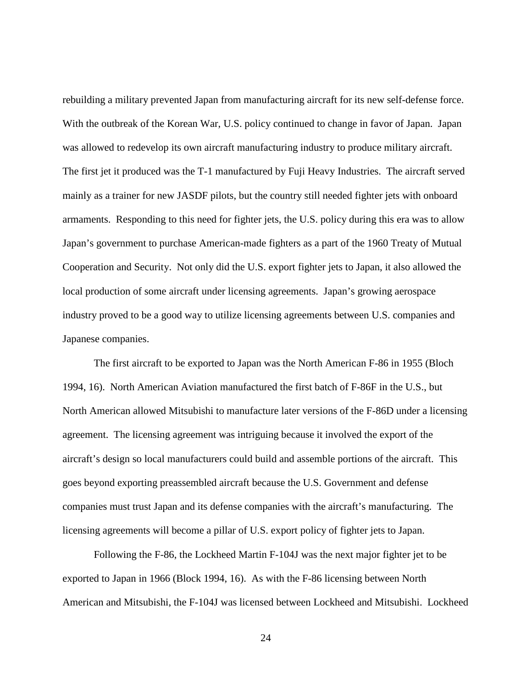rebuilding a military prevented Japan from manufacturing aircraft for its new self-defense force. With the outbreak of the Korean War, U.S. policy continued to change in favor of Japan. Japan was allowed to redevelop its own aircraft manufacturing industry to produce military aircraft. The first jet it produced was the T-1 manufactured by Fuji Heavy Industries. The aircraft served mainly as a trainer for new JASDF pilots, but the country still needed fighter jets with onboard armaments. Responding to this need for fighter jets, the U.S. policy during this era was to allow Japan's government to purchase American-made fighters as a part of the 1960 Treaty of Mutual Cooperation and Security. Not only did the U.S. export fighter jets to Japan, it also allowed the local production of some aircraft under licensing agreements. Japan's growing aerospace industry proved to be a good way to utilize licensing agreements between U.S. companies and Japanese companies.

The first aircraft to be exported to Japan was the North American F-86 in 1955 (Bloch 1994, 16). North American Aviation manufactured the first batch of F-86F in the U.S., but North American allowed Mitsubishi to manufacture later versions of the F-86D under a licensing agreement. The licensing agreement was intriguing because it involved the export of the aircraft's design so local manufacturers could build and assemble portions of the aircraft. This goes beyond exporting preassembled aircraft because the U.S. Government and defense companies must trust Japan and its defense companies with the aircraft's manufacturing. The licensing agreements will become a pillar of U.S. export policy of fighter jets to Japan.

Following the F-86, the Lockheed Martin F-104J was the next major fighter jet to be exported to Japan in 1966 (Block 1994, 16). As with the F-86 licensing between North American and Mitsubishi, the F-104J was licensed between Lockheed and Mitsubishi. Lockheed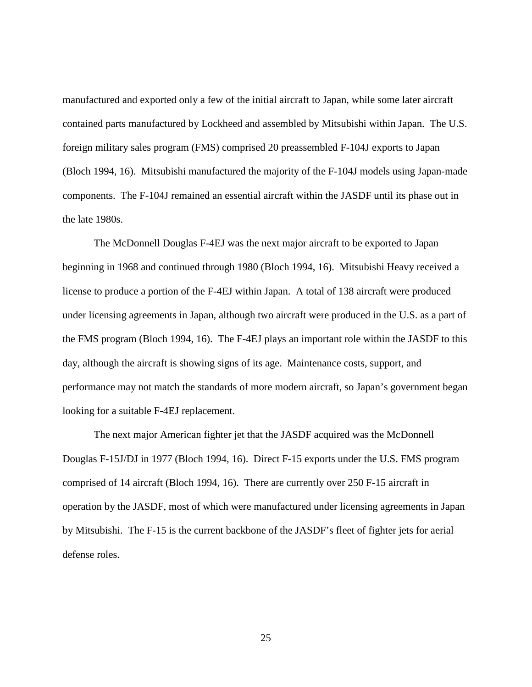manufactured and exported only a few of the initial aircraft to Japan, while some later aircraft contained parts manufactured by Lockheed and assembled by Mitsubishi within Japan. The U.S. foreign military sales program (FMS) comprised 20 preassembled F-104J exports to Japan (Bloch 1994, 16). Mitsubishi manufactured the majority of the F-104J models using Japan-made components. The F-104J remained an essential aircraft within the JASDF until its phase out in the late 1980s.

The McDonnell Douglas F-4EJ was the next major aircraft to be exported to Japan beginning in 1968 and continued through 1980 (Bloch 1994, 16). Mitsubishi Heavy received a license to produce a portion of the F-4EJ within Japan. A total of 138 aircraft were produced under licensing agreements in Japan, although two aircraft were produced in the U.S. as a part of the FMS program (Bloch 1994, 16). The F-4EJ plays an important role within the JASDF to this day, although the aircraft is showing signs of its age. Maintenance costs, support, and performance may not match the standards of more modern aircraft, so Japan's government began looking for a suitable F-4EJ replacement.

The next major American fighter jet that the JASDF acquired was the McDonnell Douglas F-15J/DJ in 1977 (Bloch 1994, 16). Direct F-15 exports under the U.S. FMS program comprised of 14 aircraft (Bloch 1994, 16). There are currently over 250 F-15 aircraft in operation by the JASDF, most of which were manufactured under licensing agreements in Japan by Mitsubishi. The F-15 is the current backbone of the JASDF's fleet of fighter jets for aerial defense roles.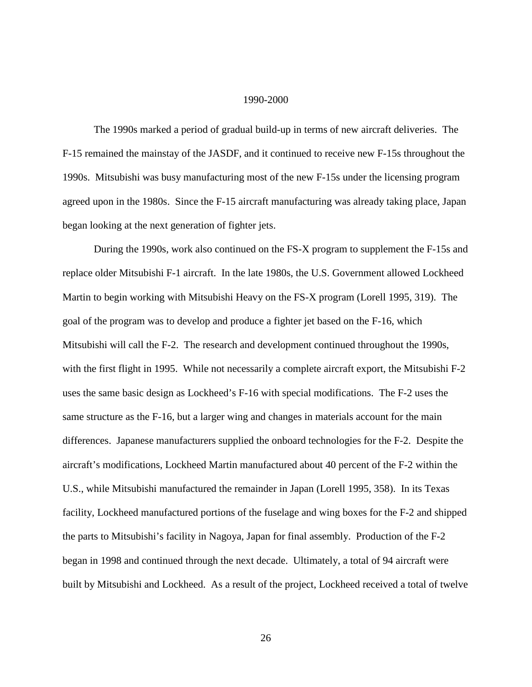#### 1990-2000

<span id="page-32-0"></span>The 1990s marked a period of gradual build-up in terms of new aircraft deliveries. The F-15 remained the mainstay of the JASDF, and it continued to receive new F-15s throughout the 1990s. Mitsubishi was busy manufacturing most of the new F-15s under the licensing program agreed upon in the 1980s. Since the F-15 aircraft manufacturing was already taking place, Japan began looking at the next generation of fighter jets.

During the 1990s, work also continued on the FS-X program to supplement the F-15s and replace older Mitsubishi F-1 aircraft. In the late 1980s, the U.S. Government allowed Lockheed Martin to begin working with Mitsubishi Heavy on the FS-X program (Lorell 1995, 319). The goal of the program was to develop and produce a fighter jet based on the F-16, which Mitsubishi will call the F-2. The research and development continued throughout the 1990s, with the first flight in 1995. While not necessarily a complete aircraft export, the Mitsubishi F-2 uses the same basic design as Lockheed's F-16 with special modifications. The F-2 uses the same structure as the F-16, but a larger wing and changes in materials account for the main differences. Japanese manufacturers supplied the onboard technologies for the F-2. Despite the aircraft's modifications, Lockheed Martin manufactured about 40 percent of the F-2 within the U.S., while Mitsubishi manufactured the remainder in Japan (Lorell 1995, 358). In its Texas facility, Lockheed manufactured portions of the fuselage and wing boxes for the F-2 and shipped the parts to Mitsubishi's facility in Nagoya, Japan for final assembly. Production of the F-2 began in 1998 and continued through the next decade. Ultimately, a total of 94 aircraft were built by Mitsubishi and Lockheed. As a result of the project, Lockheed received a total of twelve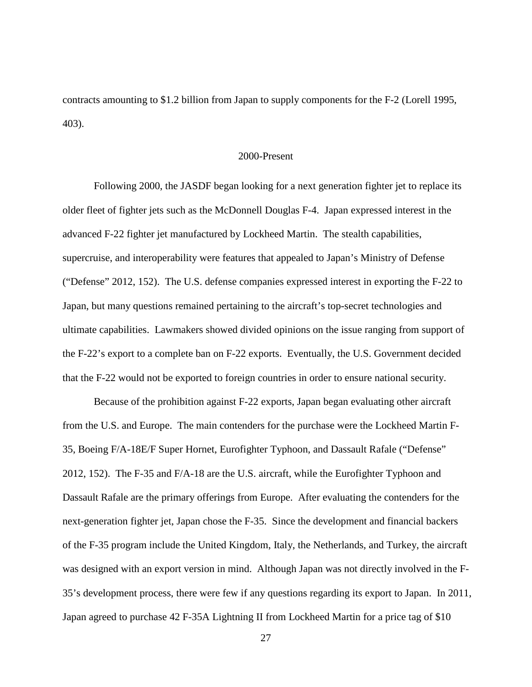contracts amounting to \$1.2 billion from Japan to supply components for the F-2 (Lorell 1995, 403).

#### 2000-Present

<span id="page-33-0"></span>Following 2000, the JASDF began looking for a next generation fighter jet to replace its older fleet of fighter jets such as the McDonnell Douglas F-4. Japan expressed interest in the advanced F-22 fighter jet manufactured by Lockheed Martin. The stealth capabilities, supercruise, and interoperability were features that appealed to Japan's Ministry of Defense ("Defense" 2012, 152). The U.S. defense companies expressed interest in exporting the F-22 to Japan, but many questions remained pertaining to the aircraft's top-secret technologies and ultimate capabilities. Lawmakers showed divided opinions on the issue ranging from support of the F-22's export to a complete ban on F-22 exports. Eventually, the U.S. Government decided that the F-22 would not be exported to foreign countries in order to ensure national security.

Because of the prohibition against F-22 exports, Japan began evaluating other aircraft from the U.S. and Europe. The main contenders for the purchase were the Lockheed Martin F-35, Boeing F/A-18E/F Super Hornet, Eurofighter Typhoon, and Dassault Rafale ("Defense" 2012, 152). The F-35 and F/A-18 are the U.S. aircraft, while the Eurofighter Typhoon and Dassault Rafale are the primary offerings from Europe. After evaluating the contenders for the next-generation fighter jet, Japan chose the F-35. Since the development and financial backers of the F-35 program include the United Kingdom, Italy, the Netherlands, and Turkey, the aircraft was designed with an export version in mind. Although Japan was not directly involved in the F-35's development process, there were few if any questions regarding its export to Japan. In 2011, Japan agreed to purchase 42 F-35A Lightning II from Lockheed Martin for a price tag of \$10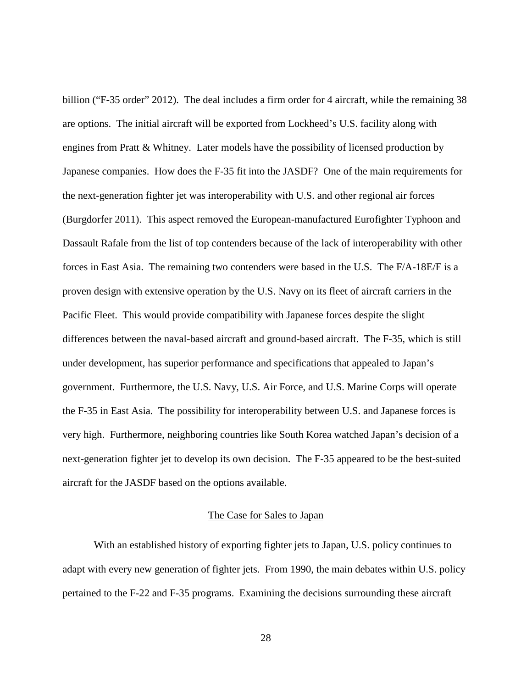billion ("F-35 order" 2012). The deal includes a firm order for 4 aircraft, while the remaining 38 are options. The initial aircraft will be exported from Lockheed's U.S. facility along with engines from Pratt & Whitney. Later models have the possibility of licensed production by Japanese companies. How does the F-35 fit into the JASDF? One of the main requirements for the next-generation fighter jet was interoperability with U.S. and other regional air forces (Burgdorfer 2011). This aspect removed the European-manufactured Eurofighter Typhoon and Dassault Rafale from the list of top contenders because of the lack of interoperability with other forces in East Asia. The remaining two contenders were based in the U.S. The F/A-18E/F is a proven design with extensive operation by the U.S. Navy on its fleet of aircraft carriers in the Pacific Fleet. This would provide compatibility with Japanese forces despite the slight differences between the naval-based aircraft and ground-based aircraft. The F-35, which is still under development, has superior performance and specifications that appealed to Japan's government. Furthermore, the U.S. Navy, U.S. Air Force, and U.S. Marine Corps will operate the F-35 in East Asia. The possibility for interoperability between U.S. and Japanese forces is very high. Furthermore, neighboring countries like South Korea watched Japan's decision of a next-generation fighter jet to develop its own decision. The F-35 appeared to be the best-suited aircraft for the JASDF based on the options available.

#### The Case for Sales to Japan

<span id="page-34-0"></span>With an established history of exporting fighter jets to Japan, U.S. policy continues to adapt with every new generation of fighter jets. From 1990, the main debates within U.S. policy pertained to the F-22 and F-35 programs. Examining the decisions surrounding these aircraft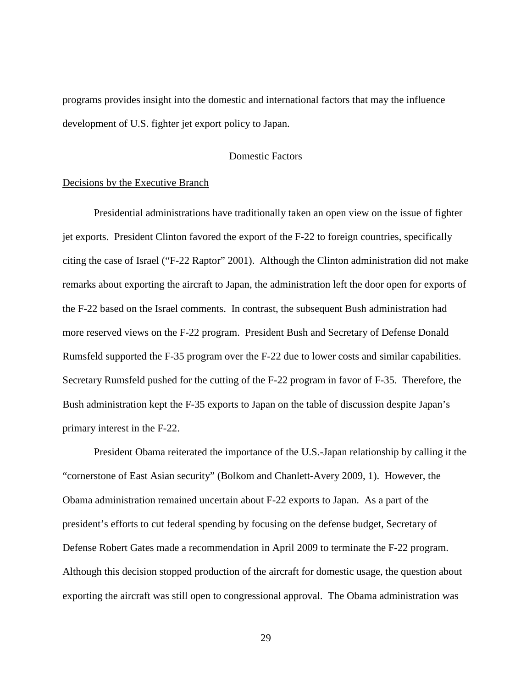programs provides insight into the domestic and international factors that may the influence development of U.S. fighter jet export policy to Japan.

#### Domestic Factors

#### <span id="page-35-0"></span>Decisions by the Executive Branch

Presidential administrations have traditionally taken an open view on the issue of fighter jet exports. President Clinton favored the export of the F-22 to foreign countries, specifically citing the case of Israel ("F-22 Raptor" 2001). Although the Clinton administration did not make remarks about exporting the aircraft to Japan, the administration left the door open for exports of the F-22 based on the Israel comments. In contrast, the subsequent Bush administration had more reserved views on the F-22 program. President Bush and Secretary of Defense Donald Rumsfeld supported the F-35 program over the F-22 due to lower costs and similar capabilities. Secretary Rumsfeld pushed for the cutting of the F-22 program in favor of F-35. Therefore, the Bush administration kept the F-35 exports to Japan on the table of discussion despite Japan's primary interest in the F-22.

President Obama reiterated the importance of the U.S.-Japan relationship by calling it the "cornerstone of East Asian security" (Bolkom and Chanlett-Avery 2009, 1). However, the Obama administration remained uncertain about F-22 exports to Japan. As a part of the president's efforts to cut federal spending by focusing on the defense budget, Secretary of Defense Robert Gates made a recommendation in April 2009 to terminate the F-22 program. Although this decision stopped production of the aircraft for domestic usage, the question about exporting the aircraft was still open to congressional approval. The Obama administration was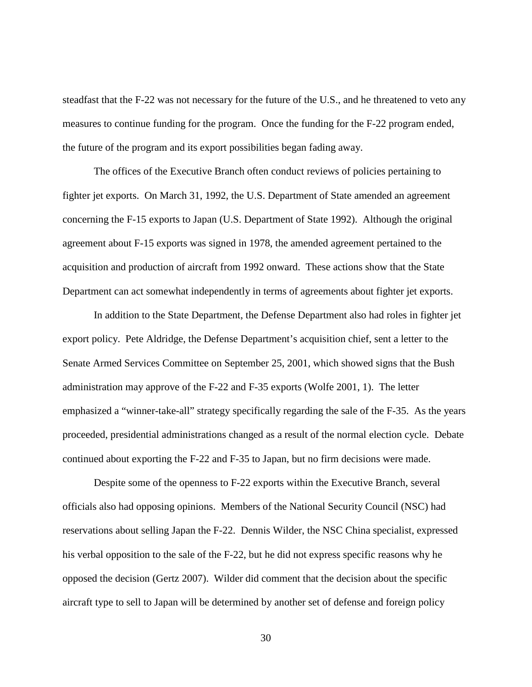steadfast that the F-22 was not necessary for the future of the U.S., and he threatened to veto any measures to continue funding for the program. Once the funding for the F-22 program ended, the future of the program and its export possibilities began fading away.

The offices of the Executive Branch often conduct reviews of policies pertaining to fighter jet exports. On March 31, 1992, the U.S. Department of State amended an agreement concerning the F-15 exports to Japan (U.S. Department of State 1992). Although the original agreement about F-15 exports was signed in 1978, the amended agreement pertained to the acquisition and production of aircraft from 1992 onward. These actions show that the State Department can act somewhat independently in terms of agreements about fighter jet exports.

In addition to the State Department, the Defense Department also had roles in fighter jet export policy. Pete Aldridge, the Defense Department's acquisition chief, sent a letter to the Senate Armed Services Committee on September 25, 2001, which showed signs that the Bush administration may approve of the F-22 and F-35 exports (Wolfe 2001, 1). The letter emphasized a "winner-take-all" strategy specifically regarding the sale of the F-35. As the years proceeded, presidential administrations changed as a result of the normal election cycle. Debate continued about exporting the F-22 and F-35 to Japan, but no firm decisions were made.

Despite some of the openness to F-22 exports within the Executive Branch, several officials also had opposing opinions. Members of the National Security Council (NSC) had reservations about selling Japan the F-22. Dennis Wilder, the NSC China specialist, expressed his verbal opposition to the sale of the F-22, but he did not express specific reasons why he opposed the decision (Gertz 2007). Wilder did comment that the decision about the specific aircraft type to sell to Japan will be determined by another set of defense and foreign policy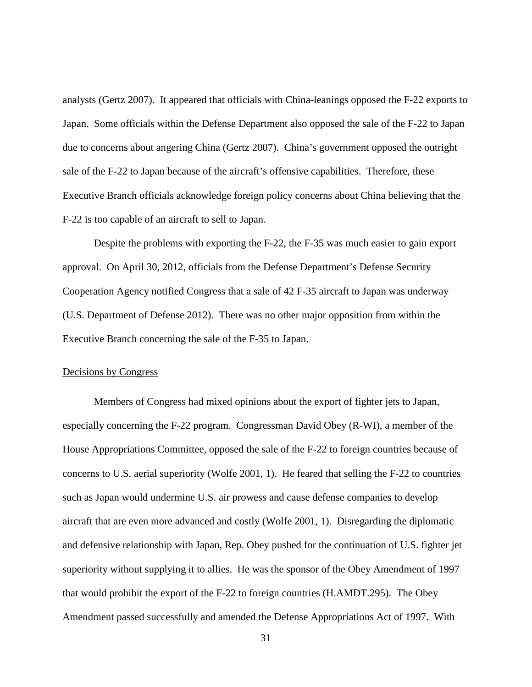analysts (Gertz 2007). It appeared that officials with China-leanings opposed the F-22 exports to Japan. Some officials within the Defense Department also opposed the sale of the F-22 to Japan due to concerns about angering China (Gertz 2007). China's government opposed the outright sale of the F-22 to Japan because of the aircraft's offensive capabilities. Therefore, these Executive Branch officials acknowledge foreign policy concerns about China believing that the F-22 is too capable of an aircraft to sell to Japan.

Despite the problems with exporting the F-22, the F-35 was much easier to gain export approval. On April 30, 2012, officials from the Defense Department's Defense Security Cooperation Agency notified Congress that a sale of 42 F-35 aircraft to Japan was underway (U.S. Department of Defense 2012). There was no other major opposition from within the Executive Branch concerning the sale of the F-35 to Japan.

### Decisions by Congress

Members of Congress had mixed opinions about the export of fighter jets to Japan, especially concerning the F-22 program. Congressman David Obey (R-WI), a member of the House Appropriations Committee, opposed the sale of the F-22 to foreign countries because of concerns to U.S. aerial superiority (Wolfe 2001, 1). He feared that selling the F-22 to countries such as Japan would undermine U.S. air prowess and cause defense companies to develop aircraft that are even more advanced and costly (Wolfe 2001, 1). Disregarding the diplomatic and defensive relationship with Japan, Rep. Obey pushed for the continuation of U.S. fighter jet superiority without supplying it to allies. He was the sponsor of the Obey Amendment of 1997 that would prohibit the export of the F-22 to foreign countries (H.AMDT.295). The Obey Amendment passed successfully and amended the Defense Appropriations Act of 1997. With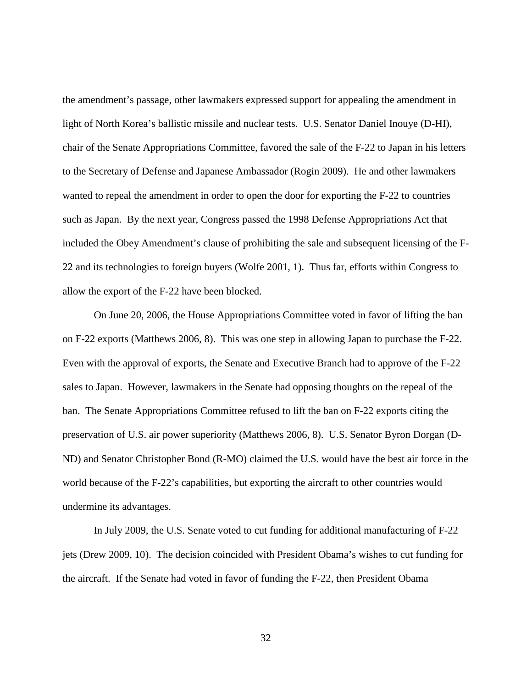the amendment's passage, other lawmakers expressed support for appealing the amendment in light of North Korea's ballistic missile and nuclear tests. U.S. Senator Daniel Inouye (D-HI), chair of the Senate Appropriations Committee, favored the sale of the F-22 to Japan in his letters to the Secretary of Defense and Japanese Ambassador (Rogin 2009). He and other lawmakers wanted to repeal the amendment in order to open the door for exporting the F-22 to countries such as Japan. By the next year, Congress passed the 1998 Defense Appropriations Act that included the Obey Amendment's clause of prohibiting the sale and subsequent licensing of the F-22 and its technologies to foreign buyers (Wolfe 2001, 1). Thus far, efforts within Congress to allow the export of the F-22 have been blocked.

On June 20, 2006, the House Appropriations Committee voted in favor of lifting the ban on F-22 exports (Matthews 2006, 8). This was one step in allowing Japan to purchase the F-22. Even with the approval of exports, the Senate and Executive Branch had to approve of the F-22 sales to Japan. However, lawmakers in the Senate had opposing thoughts on the repeal of the ban. The Senate Appropriations Committee refused to lift the ban on F-22 exports citing the preservation of U.S. air power superiority (Matthews 2006, 8). U.S. Senator Byron Dorgan (D-ND) and Senator Christopher Bond (R-MO) claimed the U.S. would have the best air force in the world because of the F-22's capabilities, but exporting the aircraft to other countries would undermine its advantages.

In July 2009, the U.S. Senate voted to cut funding for additional manufacturing of F-22 jets (Drew 2009, 10). The decision coincided with President Obama's wishes to cut funding for the aircraft. If the Senate had voted in favor of funding the F-22, then President Obama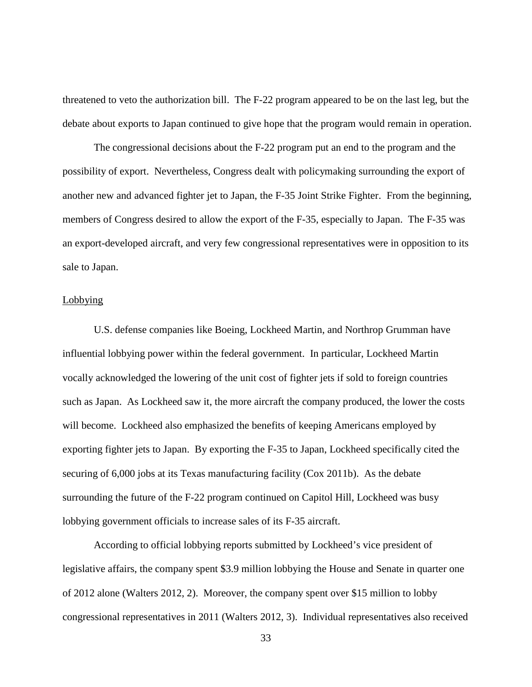threatened to veto the authorization bill. The F-22 program appeared to be on the last leg, but the debate about exports to Japan continued to give hope that the program would remain in operation.

The congressional decisions about the F-22 program put an end to the program and the possibility of export. Nevertheless, Congress dealt with policymaking surrounding the export of another new and advanced fighter jet to Japan, the F-35 Joint Strike Fighter. From the beginning, members of Congress desired to allow the export of the F-35, especially to Japan. The F-35 was an export-developed aircraft, and very few congressional representatives were in opposition to its sale to Japan.

### Lobbying

U.S. defense companies like Boeing, Lockheed Martin, and Northrop Grumman have influential lobbying power within the federal government. In particular, Lockheed Martin vocally acknowledged the lowering of the unit cost of fighter jets if sold to foreign countries such as Japan. As Lockheed saw it, the more aircraft the company produced, the lower the costs will become. Lockheed also emphasized the benefits of keeping Americans employed by exporting fighter jets to Japan. By exporting the F-35 to Japan, Lockheed specifically cited the securing of 6,000 jobs at its Texas manufacturing facility (Cox 2011b). As the debate surrounding the future of the F-22 program continued on Capitol Hill, Lockheed was busy lobbying government officials to increase sales of its F-35 aircraft.

According to official lobbying reports submitted by Lockheed's vice president of legislative affairs, the company spent \$3.9 million lobbying the House and Senate in quarter one of 2012 alone (Walters 2012, 2). Moreover, the company spent over \$15 million to lobby congressional representatives in 2011 (Walters 2012, 3). Individual representatives also received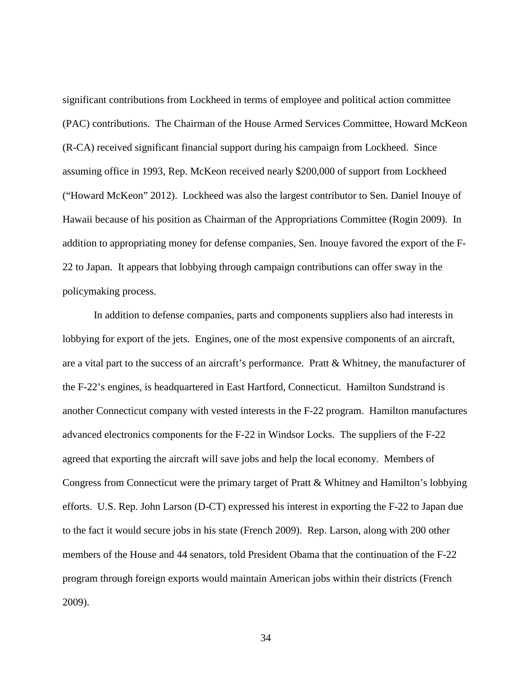significant contributions from Lockheed in terms of employee and political action committee (PAC) contributions. The Chairman of the House Armed Services Committee, Howard McKeon (R-CA) received significant financial support during his campaign from Lockheed. Since assuming office in 1993, Rep. McKeon received nearly \$200,000 of support from Lockheed ("Howard McKeon" 2012). Lockheed was also the largest contributor to Sen. Daniel Inouye of Hawaii because of his position as Chairman of the Appropriations Committee (Rogin 2009). In addition to appropriating money for defense companies, Sen. Inouye favored the export of the F-22 to Japan. It appears that lobbying through campaign contributions can offer sway in the policymaking process.

In addition to defense companies, parts and components suppliers also had interests in lobbying for export of the jets. Engines, one of the most expensive components of an aircraft, are a vital part to the success of an aircraft's performance. Pratt & Whitney, the manufacturer of the F-22's engines, is headquartered in East Hartford, Connecticut. Hamilton Sundstrand is another Connecticut company with vested interests in the F-22 program. Hamilton manufactures advanced electronics components for the F-22 in Windsor Locks. The suppliers of the F-22 agreed that exporting the aircraft will save jobs and help the local economy. Members of Congress from Connecticut were the primary target of Pratt & Whitney and Hamilton's lobbying efforts. U.S. Rep. John Larson (D-CT) expressed his interest in exporting the F-22 to Japan due to the fact it would secure jobs in his state (French 2009). Rep. Larson, along with 200 other members of the House and 44 senators, told President Obama that the continuation of the F-22 program through foreign exports would maintain American jobs within their districts (French 2009).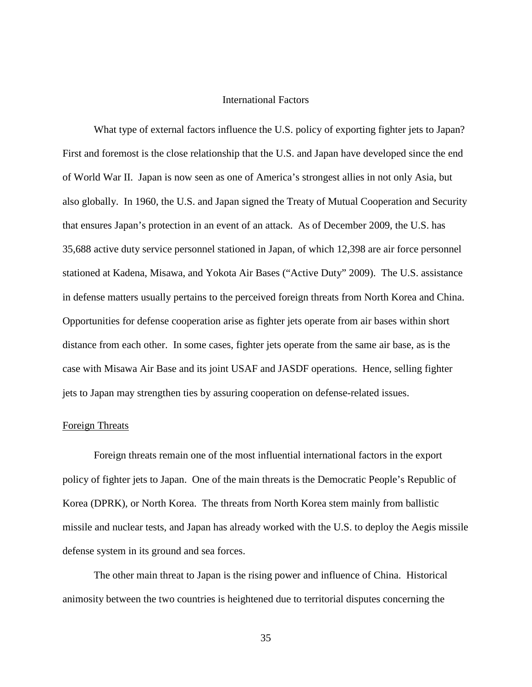## International Factors

What type of external factors influence the U.S. policy of exporting fighter jets to Japan? First and foremost is the close relationship that the U.S. and Japan have developed since the end of World War II. Japan is now seen as one of America's strongest allies in not only Asia, but also globally. In 1960, the U.S. and Japan signed the Treaty of Mutual Cooperation and Security that ensures Japan's protection in an event of an attack. As of December 2009, the U.S. has 35,688 active duty service personnel stationed in Japan, of which 12,398 are air force personnel stationed at Kadena, Misawa, and Yokota Air Bases ("Active Duty" 2009). The U.S. assistance in defense matters usually pertains to the perceived foreign threats from North Korea and China. Opportunities for defense cooperation arise as fighter jets operate from air bases within short distance from each other. In some cases, fighter jets operate from the same air base, as is the case with Misawa Air Base and its joint USAF and JASDF operations. Hence, selling fighter jets to Japan may strengthen ties by assuring cooperation on defense-related issues.

### Foreign Threats

Foreign threats remain one of the most influential international factors in the export policy of fighter jets to Japan. One of the main threats is the Democratic People's Republic of Korea (DPRK), or North Korea. The threats from North Korea stem mainly from ballistic missile and nuclear tests, and Japan has already worked with the U.S. to deploy the Aegis missile defense system in its ground and sea forces.

The other main threat to Japan is the rising power and influence of China. Historical animosity between the two countries is heightened due to territorial disputes concerning the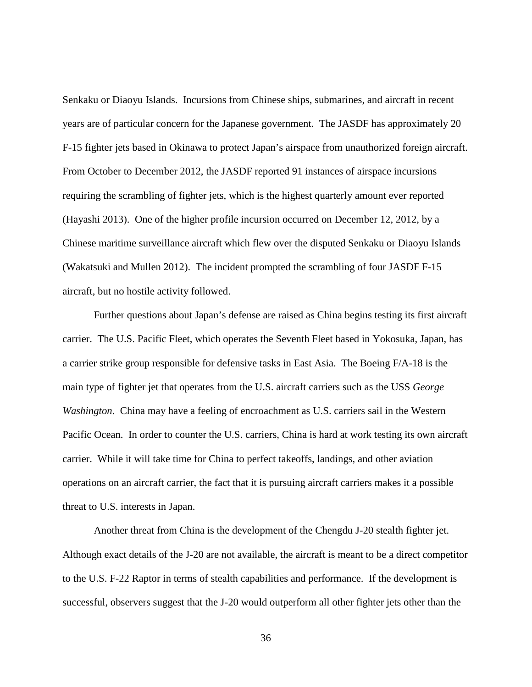Senkaku or Diaoyu Islands. Incursions from Chinese ships, submarines, and aircraft in recent years are of particular concern for the Japanese government. The JASDF has approximately 20 F-15 fighter jets based in Okinawa to protect Japan's airspace from unauthorized foreign aircraft. From October to December 2012, the JASDF reported 91 instances of airspace incursions requiring the scrambling of fighter jets, which is the highest quarterly amount ever reported (Hayashi 2013). One of the higher profile incursion occurred on December 12, 2012, by a Chinese maritime surveillance aircraft which flew over the disputed Senkaku or Diaoyu Islands (Wakatsuki and Mullen 2012). The incident prompted the scrambling of four JASDF F-15 aircraft, but no hostile activity followed.

Further questions about Japan's defense are raised as China begins testing its first aircraft carrier. The U.S. Pacific Fleet, which operates the Seventh Fleet based in Yokosuka, Japan, has a carrier strike group responsible for defensive tasks in East Asia. The Boeing F/A-18 is the main type of fighter jet that operates from the U.S. aircraft carriers such as the USS *George Washington*. China may have a feeling of encroachment as U.S. carriers sail in the Western Pacific Ocean. In order to counter the U.S. carriers, China is hard at work testing its own aircraft carrier. While it will take time for China to perfect takeoffs, landings, and other aviation operations on an aircraft carrier, the fact that it is pursuing aircraft carriers makes it a possible threat to U.S. interests in Japan.

Another threat from China is the development of the Chengdu J-20 stealth fighter jet. Although exact details of the J-20 are not available, the aircraft is meant to be a direct competitor to the U.S. F-22 Raptor in terms of stealth capabilities and performance. If the development is successful, observers suggest that the J-20 would outperform all other fighter jets other than the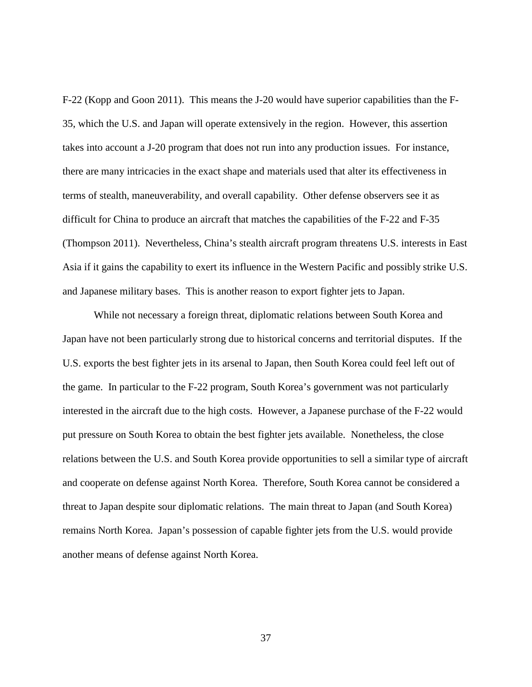F-22 (Kopp and Goon 2011). This means the J-20 would have superior capabilities than the F-35, which the U.S. and Japan will operate extensively in the region. However, this assertion takes into account a J-20 program that does not run into any production issues. For instance, there are many intricacies in the exact shape and materials used that alter its effectiveness in terms of stealth, maneuverability, and overall capability. Other defense observers see it as difficult for China to produce an aircraft that matches the capabilities of the F-22 and F-35 (Thompson 2011). Nevertheless, China's stealth aircraft program threatens U.S. interests in East Asia if it gains the capability to exert its influence in the Western Pacific and possibly strike U.S. and Japanese military bases. This is another reason to export fighter jets to Japan.

While not necessary a foreign threat, diplomatic relations between South Korea and Japan have not been particularly strong due to historical concerns and territorial disputes. If the U.S. exports the best fighter jets in its arsenal to Japan, then South Korea could feel left out of the game. In particular to the F-22 program, South Korea's government was not particularly interested in the aircraft due to the high costs. However, a Japanese purchase of the F-22 would put pressure on South Korea to obtain the best fighter jets available. Nonetheless, the close relations between the U.S. and South Korea provide opportunities to sell a similar type of aircraft and cooperate on defense against North Korea. Therefore, South Korea cannot be considered a threat to Japan despite sour diplomatic relations. The main threat to Japan (and South Korea) remains North Korea. Japan's possession of capable fighter jets from the U.S. would provide another means of defense against North Korea.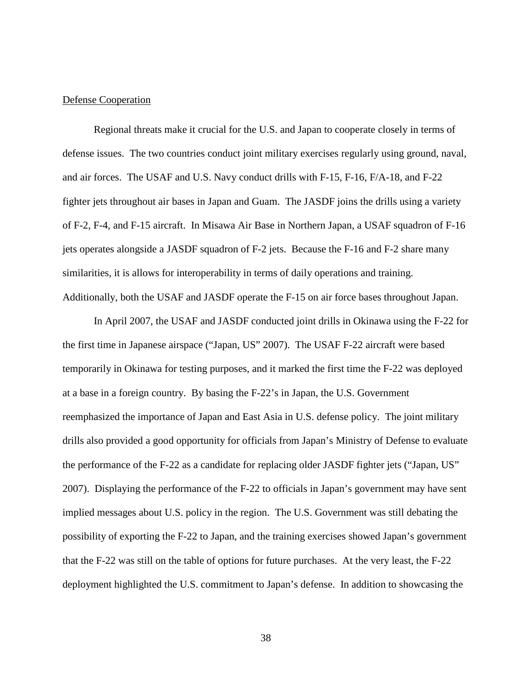## Defense Cooperation

Regional threats make it crucial for the U.S. and Japan to cooperate closely in terms of defense issues. The two countries conduct joint military exercises regularly using ground, naval, and air forces. The USAF and U.S. Navy conduct drills with F-15, F-16, F/A-18, and F-22 fighter jets throughout air bases in Japan and Guam. The JASDF joins the drills using a variety of F-2, F-4, and F-15 aircraft. In Misawa Air Base in Northern Japan, a USAF squadron of F-16 jets operates alongside a JASDF squadron of F-2 jets. Because the F-16 and F-2 share many similarities, it is allows for interoperability in terms of daily operations and training. Additionally, both the USAF and JASDF operate the F-15 on air force bases throughout Japan.

In April 2007, the USAF and JASDF conducted joint drills in Okinawa using the F-22 for the first time in Japanese airspace ("Japan, US" 2007). The USAF F-22 aircraft were based temporarily in Okinawa for testing purposes, and it marked the first time the F-22 was deployed at a base in a foreign country. By basing the F-22's in Japan, the U.S. Government reemphasized the importance of Japan and East Asia in U.S. defense policy. The joint military drills also provided a good opportunity for officials from Japan's Ministry of Defense to evaluate the performance of the F-22 as a candidate for replacing older JASDF fighter jets ("Japan, US" 2007). Displaying the performance of the F-22 to officials in Japan's government may have sent implied messages about U.S. policy in the region. The U.S. Government was still debating the possibility of exporting the F-22 to Japan, and the training exercises showed Japan's government that the F-22 was still on the table of options for future purchases. At the very least, the F-22 deployment highlighted the U.S. commitment to Japan's defense. In addition to showcasing the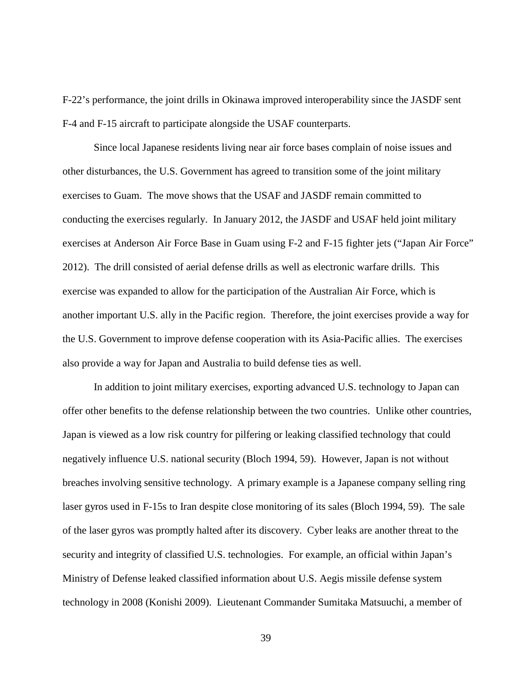F-22's performance, the joint drills in Okinawa improved interoperability since the JASDF sent F-4 and F-15 aircraft to participate alongside the USAF counterparts.

Since local Japanese residents living near air force bases complain of noise issues and other disturbances, the U.S. Government has agreed to transition some of the joint military exercises to Guam. The move shows that the USAF and JASDF remain committed to conducting the exercises regularly. In January 2012, the JASDF and USAF held joint military exercises at Anderson Air Force Base in Guam using F-2 and F-15 fighter jets ("Japan Air Force" 2012). The drill consisted of aerial defense drills as well as electronic warfare drills. This exercise was expanded to allow for the participation of the Australian Air Force, which is another important U.S. ally in the Pacific region. Therefore, the joint exercises provide a way for the U.S. Government to improve defense cooperation with its Asia-Pacific allies. The exercises also provide a way for Japan and Australia to build defense ties as well.

In addition to joint military exercises, exporting advanced U.S. technology to Japan can offer other benefits to the defense relationship between the two countries. Unlike other countries, Japan is viewed as a low risk country for pilfering or leaking classified technology that could negatively influence U.S. national security (Bloch 1994, 59). However, Japan is not without breaches involving sensitive technology. A primary example is a Japanese company selling ring laser gyros used in F-15s to Iran despite close monitoring of its sales (Bloch 1994, 59). The sale of the laser gyros was promptly halted after its discovery. Cyber leaks are another threat to the security and integrity of classified U.S. technologies. For example, an official within Japan's Ministry of Defense leaked classified information about U.S. Aegis missile defense system technology in 2008 (Konishi 2009). Lieutenant Commander Sumitaka Matsuuchi, a member of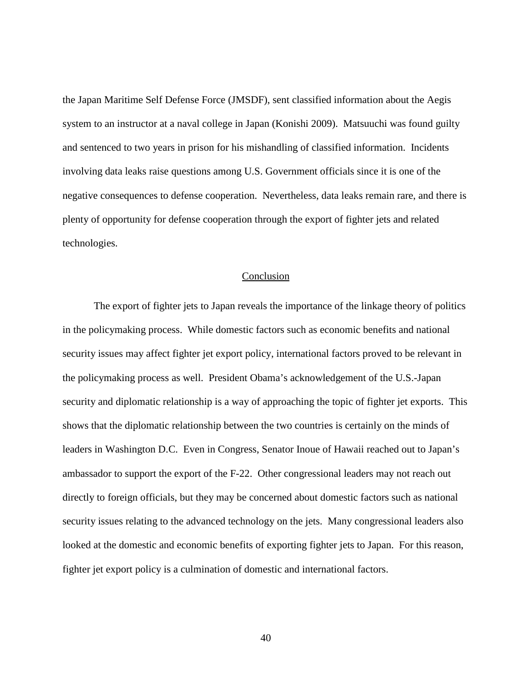the Japan Maritime Self Defense Force (JMSDF), sent classified information about the Aegis system to an instructor at a naval college in Japan (Konishi 2009). Matsuuchi was found guilty and sentenced to two years in prison for his mishandling of classified information. Incidents involving data leaks raise questions among U.S. Government officials since it is one of the negative consequences to defense cooperation. Nevertheless, data leaks remain rare, and there is plenty of opportunity for defense cooperation through the export of fighter jets and related technologies.

### Conclusion

The export of fighter jets to Japan reveals the importance of the linkage theory of politics in the policymaking process. While domestic factors such as economic benefits and national security issues may affect fighter jet export policy, international factors proved to be relevant in the policymaking process as well. President Obama's acknowledgement of the U.S.-Japan security and diplomatic relationship is a way of approaching the topic of fighter jet exports. This shows that the diplomatic relationship between the two countries is certainly on the minds of leaders in Washington D.C. Even in Congress, Senator Inoue of Hawaii reached out to Japan's ambassador to support the export of the F-22. Other congressional leaders may not reach out directly to foreign officials, but they may be concerned about domestic factors such as national security issues relating to the advanced technology on the jets. Many congressional leaders also looked at the domestic and economic benefits of exporting fighter jets to Japan. For this reason, fighter jet export policy is a culmination of domestic and international factors.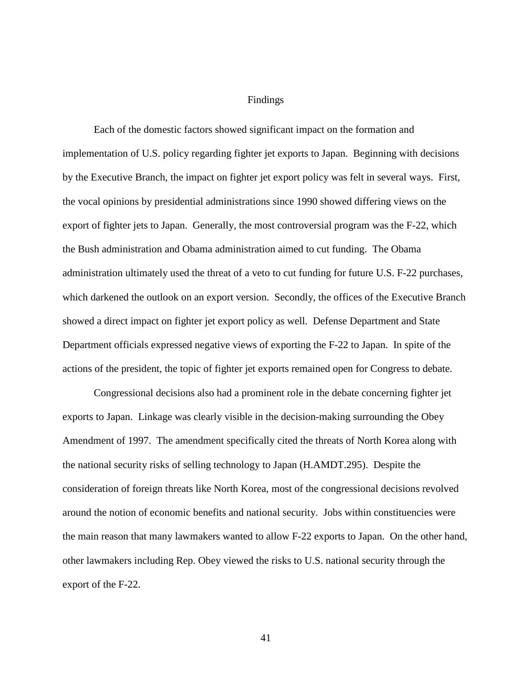### Findings

Each of the domestic factors showed significant impact on the formation and implementation of U.S. policy regarding fighter jet exports to Japan. Beginning with decisions by the Executive Branch, the impact on fighter jet export policy was felt in several ways. First, the vocal opinions by presidential administrations since 1990 showed differing views on the export of fighter jets to Japan. Generally, the most controversial program was the F-22, which the Bush administration and Obama administration aimed to cut funding. The Obama administration ultimately used the threat of a veto to cut funding for future U.S. F-22 purchases, which darkened the outlook on an export version. Secondly, the offices of the Executive Branch showed a direct impact on fighter jet export policy as well. Defense Department and State Department officials expressed negative views of exporting the F-22 to Japan. In spite of the actions of the president, the topic of fighter jet exports remained open for Congress to debate.

Congressional decisions also had a prominent role in the debate concerning fighter jet exports to Japan. Linkage was clearly visible in the decision-making surrounding the Obey Amendment of 1997. The amendment specifically cited the threats of North Korea along with the national security risks of selling technology to Japan (H.AMDT.295). Despite the consideration of foreign threats like North Korea, most of the congressional decisions revolved around the notion of economic benefits and national security. Jobs within constituencies were the main reason that many lawmakers wanted to allow F-22 exports to Japan. On the other hand, other lawmakers including Rep. Obey viewed the risks to U.S. national security through the export of the F-22.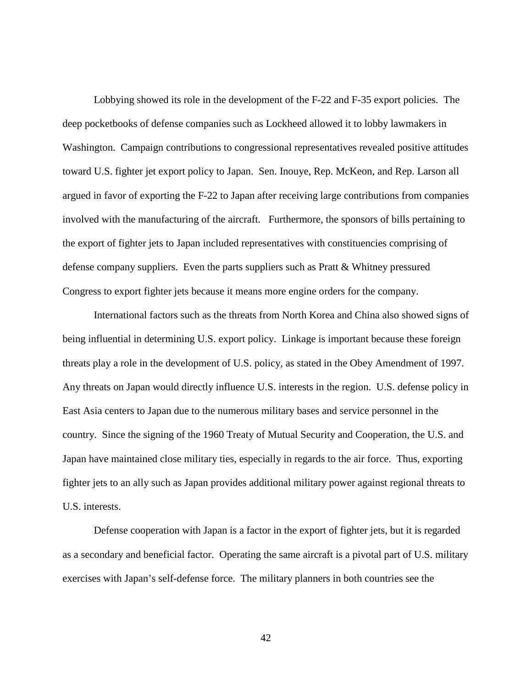Lobbying showed its role in the development of the F-22 and F-35 export policies. The deep pocketbooks of defense companies such as Lockheed allowed it to lobby lawmakers in Washington. Campaign contributions to congressional representatives revealed positive attitudes toward U.S. fighter jet export policy to Japan. Sen. Inouye, Rep. McKeon, and Rep. Larson all argued in favor of exporting the F-22 to Japan after receiving large contributions from companies involved with the manufacturing of the aircraft. Furthermore, the sponsors of bills pertaining to the export of fighter jets to Japan included representatives with constituencies comprising of defense company suppliers. Even the parts suppliers such as Pratt & Whitney pressured Congress to export fighter jets because it means more engine orders for the company.

International factors such as the threats from North Korea and China also showed signs of being influential in determining U.S. export policy. Linkage is important because these foreign threats play a role in the development of U.S. policy, as stated in the Obey Amendment of 1997. Any threats on Japan would directly influence U.S. interests in the region. U.S. defense policy in East Asia centers to Japan due to the numerous military bases and service personnel in the country. Since the signing of the 1960 Treaty of Mutual Security and Cooperation, the U.S. and Japan have maintained close military ties, especially in regards to the air force. Thus, exporting fighter jets to an ally such as Japan provides additional military power against regional threats to U.S. interests.

Defense cooperation with Japan is a factor in the export of fighter jets, but it is regarded as a secondary and beneficial factor. Operating the same aircraft is a pivotal part of U.S. military exercises with Japan's self-defense force. The military planners in both countries see the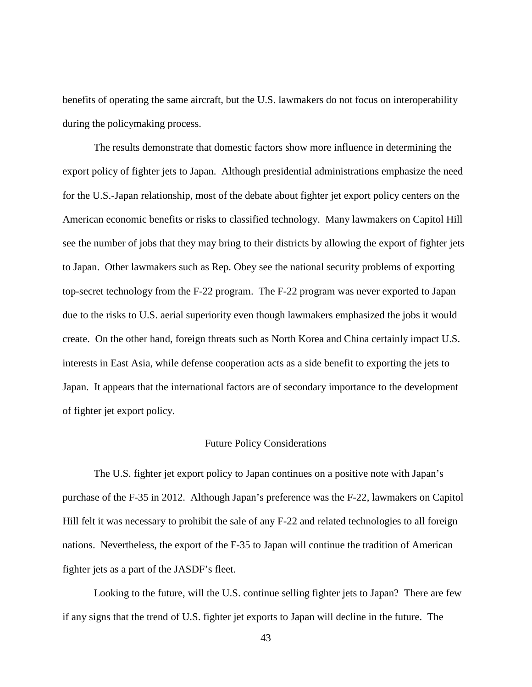benefits of operating the same aircraft, but the U.S. lawmakers do not focus on interoperability during the policymaking process.

The results demonstrate that domestic factors show more influence in determining the export policy of fighter jets to Japan. Although presidential administrations emphasize the need for the U.S.-Japan relationship, most of the debate about fighter jet export policy centers on the American economic benefits or risks to classified technology. Many lawmakers on Capitol Hill see the number of jobs that they may bring to their districts by allowing the export of fighter jets to Japan. Other lawmakers such as Rep. Obey see the national security problems of exporting top-secret technology from the F-22 program. The F-22 program was never exported to Japan due to the risks to U.S. aerial superiority even though lawmakers emphasized the jobs it would create. On the other hand, foreign threats such as North Korea and China certainly impact U.S. interests in East Asia, while defense cooperation acts as a side benefit to exporting the jets to Japan. It appears that the international factors are of secondary importance to the development of fighter jet export policy.

### Future Policy Considerations

The U.S. fighter jet export policy to Japan continues on a positive note with Japan's purchase of the F-35 in 2012. Although Japan's preference was the F-22, lawmakers on Capitol Hill felt it was necessary to prohibit the sale of any F-22 and related technologies to all foreign nations. Nevertheless, the export of the F-35 to Japan will continue the tradition of American fighter jets as a part of the JASDF's fleet.

Looking to the future, will the U.S. continue selling fighter jets to Japan? There are few if any signs that the trend of U.S. fighter jet exports to Japan will decline in the future. The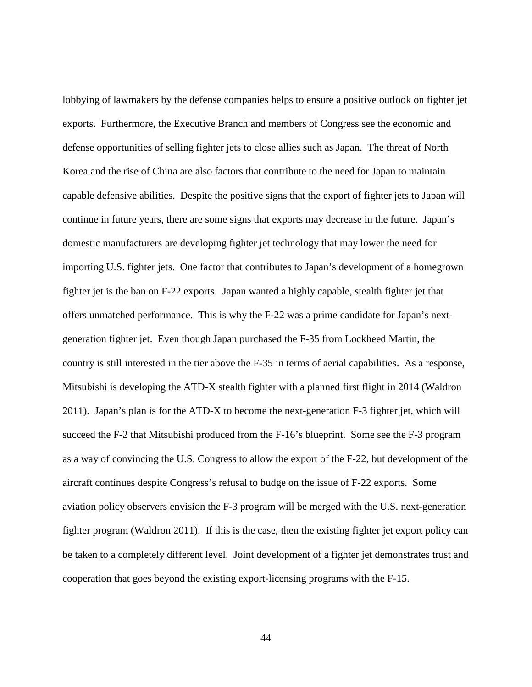lobbying of lawmakers by the defense companies helps to ensure a positive outlook on fighter jet exports. Furthermore, the Executive Branch and members of Congress see the economic and defense opportunities of selling fighter jets to close allies such as Japan. The threat of North Korea and the rise of China are also factors that contribute to the need for Japan to maintain capable defensive abilities. Despite the positive signs that the export of fighter jets to Japan will continue in future years, there are some signs that exports may decrease in the future. Japan's domestic manufacturers are developing fighter jet technology that may lower the need for importing U.S. fighter jets. One factor that contributes to Japan's development of a homegrown fighter jet is the ban on F-22 exports. Japan wanted a highly capable, stealth fighter jet that offers unmatched performance. This is why the F-22 was a prime candidate for Japan's nextgeneration fighter jet. Even though Japan purchased the F-35 from Lockheed Martin, the country is still interested in the tier above the F-35 in terms of aerial capabilities. As a response, Mitsubishi is developing the ATD-X stealth fighter with a planned first flight in 2014 (Waldron 2011). Japan's plan is for the ATD-X to become the next-generation F-3 fighter jet, which will succeed the F-2 that Mitsubishi produced from the F-16's blueprint. Some see the F-3 program as a way of convincing the U.S. Congress to allow the export of the F-22, but development of the aircraft continues despite Congress's refusal to budge on the issue of F-22 exports. Some aviation policy observers envision the F-3 program will be merged with the U.S. next-generation fighter program (Waldron 2011). If this is the case, then the existing fighter jet export policy can be taken to a completely different level. Joint development of a fighter jet demonstrates trust and cooperation that goes beyond the existing export-licensing programs with the F-15.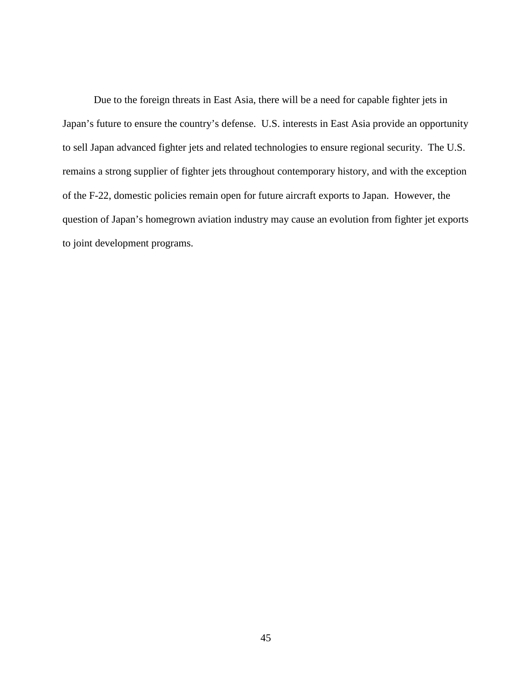Due to the foreign threats in East Asia, there will be a need for capable fighter jets in Japan's future to ensure the country's defense. U.S. interests in East Asia provide an opportunity to sell Japan advanced fighter jets and related technologies to ensure regional security. The U.S. remains a strong supplier of fighter jets throughout contemporary history, and with the exception of the F-22, domestic policies remain open for future aircraft exports to Japan. However, the question of Japan's homegrown aviation industry may cause an evolution from fighter jet exports to joint development programs.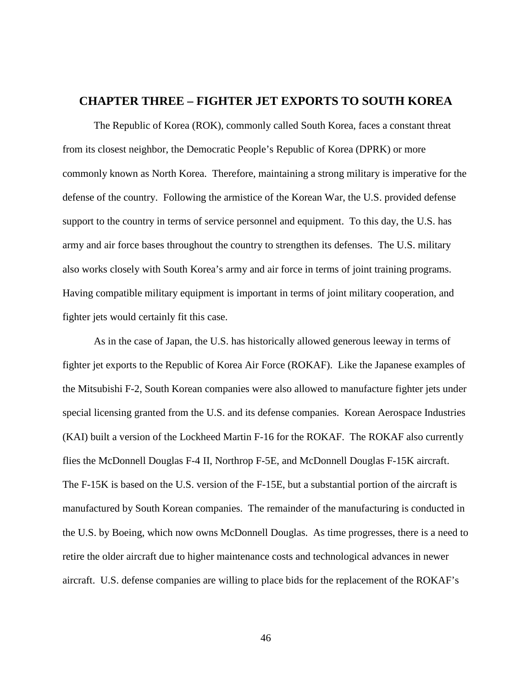# **CHAPTER THREE – FIGHTER JET EXPORTS TO SOUTH KOREA**

The Republic of Korea (ROK), commonly called South Korea, faces a constant threat from its closest neighbor, the Democratic People's Republic of Korea (DPRK) or more commonly known as North Korea. Therefore, maintaining a strong military is imperative for the defense of the country. Following the armistice of the Korean War, the U.S. provided defense support to the country in terms of service personnel and equipment. To this day, the U.S. has army and air force bases throughout the country to strengthen its defenses. The U.S. military also works closely with South Korea's army and air force in terms of joint training programs. Having compatible military equipment is important in terms of joint military cooperation, and fighter jets would certainly fit this case.

As in the case of Japan, the U.S. has historically allowed generous leeway in terms of fighter jet exports to the Republic of Korea Air Force (ROKAF). Like the Japanese examples of the Mitsubishi F-2, South Korean companies were also allowed to manufacture fighter jets under special licensing granted from the U.S. and its defense companies. Korean Aerospace Industries (KAI) built a version of the Lockheed Martin F-16 for the ROKAF. The ROKAF also currently flies the McDonnell Douglas F-4 II, Northrop F-5E, and McDonnell Douglas F-15K aircraft. The F-15K is based on the U.S. version of the F-15E, but a substantial portion of the aircraft is manufactured by South Korean companies. The remainder of the manufacturing is conducted in the U.S. by Boeing, which now owns McDonnell Douglas. As time progresses, there is a need to retire the older aircraft due to higher maintenance costs and technological advances in newer aircraft. U.S. defense companies are willing to place bids for the replacement of the ROKAF's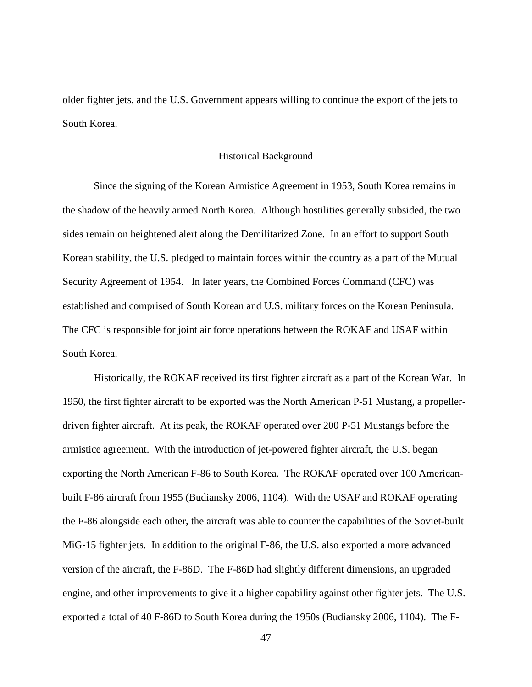older fighter jets, and the U.S. Government appears willing to continue the export of the jets to South Korea.

#### Historical Background

Since the signing of the Korean Armistice Agreement in 1953, South Korea remains in the shadow of the heavily armed North Korea. Although hostilities generally subsided, the two sides remain on heightened alert along the Demilitarized Zone. In an effort to support South Korean stability, the U.S. pledged to maintain forces within the country as a part of the Mutual Security Agreement of 1954. In later years, the Combined Forces Command (CFC) was established and comprised of South Korean and U.S. military forces on the Korean Peninsula. The CFC is responsible for joint air force operations between the ROKAF and USAF within South Korea.

Historically, the ROKAF received its first fighter aircraft as a part of the Korean War. In 1950, the first fighter aircraft to be exported was the North American P-51 Mustang, a propellerdriven fighter aircraft. At its peak, the ROKAF operated over 200 P-51 Mustangs before the armistice agreement. With the introduction of jet-powered fighter aircraft, the U.S. began exporting the North American F-86 to South Korea. The ROKAF operated over 100 Americanbuilt F-86 aircraft from 1955 (Budiansky 2006, 1104). With the USAF and ROKAF operating the F-86 alongside each other, the aircraft was able to counter the capabilities of the Soviet-built MiG-15 fighter jets. In addition to the original F-86, the U.S. also exported a more advanced version of the aircraft, the F-86D. The F-86D had slightly different dimensions, an upgraded engine, and other improvements to give it a higher capability against other fighter jets. The U.S. exported a total of 40 F-86D to South Korea during the 1950s (Budiansky 2006, 1104). The F-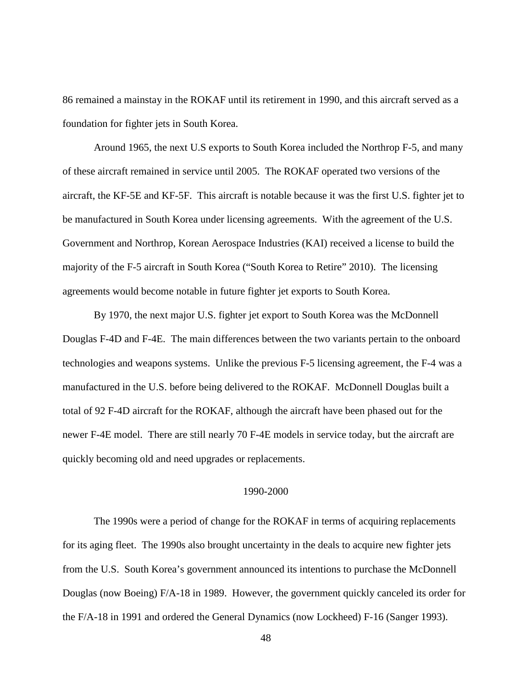86 remained a mainstay in the ROKAF until its retirement in 1990, and this aircraft served as a foundation for fighter jets in South Korea.

Around 1965, the next U.S exports to South Korea included the Northrop F-5, and many of these aircraft remained in service until 2005. The ROKAF operated two versions of the aircraft, the KF-5E and KF-5F. This aircraft is notable because it was the first U.S. fighter jet to be manufactured in South Korea under licensing agreements. With the agreement of the U.S. Government and Northrop, Korean Aerospace Industries (KAI) received a license to build the majority of the F-5 aircraft in South Korea ("South Korea to Retire" 2010). The licensing agreements would become notable in future fighter jet exports to South Korea.

By 1970, the next major U.S. fighter jet export to South Korea was the McDonnell Douglas F-4D and F-4E. The main differences between the two variants pertain to the onboard technologies and weapons systems. Unlike the previous F-5 licensing agreement, the F-4 was a manufactured in the U.S. before being delivered to the ROKAF. McDonnell Douglas built a total of 92 F-4D aircraft for the ROKAF, although the aircraft have been phased out for the newer F-4E model. There are still nearly 70 F-4E models in service today, but the aircraft are quickly becoming old and need upgrades or replacements.

## 1990-2000

The 1990s were a period of change for the ROKAF in terms of acquiring replacements for its aging fleet. The 1990s also brought uncertainty in the deals to acquire new fighter jets from the U.S. South Korea's government announced its intentions to purchase the McDonnell Douglas (now Boeing) F/A-18 in 1989. However, the government quickly canceled its order for the F/A-18 in 1991 and ordered the General Dynamics (now Lockheed) F-16 (Sanger 1993).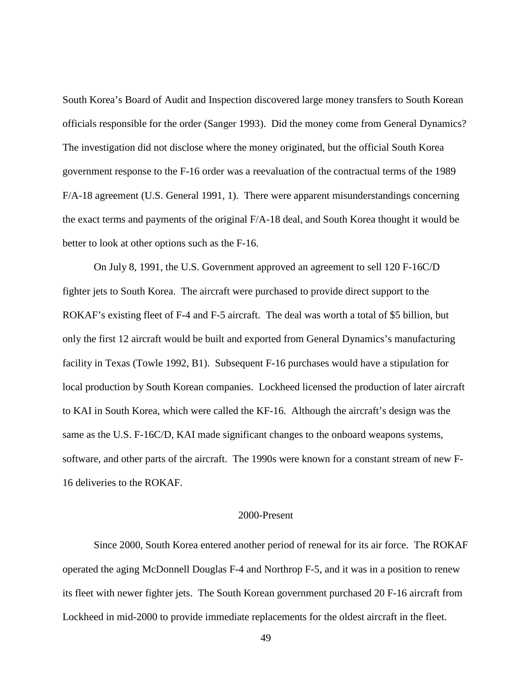South Korea's Board of Audit and Inspection discovered large money transfers to South Korean officials responsible for the order (Sanger 1993). Did the money come from General Dynamics? The investigation did not disclose where the money originated, but the official South Korea government response to the F-16 order was a reevaluation of the contractual terms of the 1989 F/A-18 agreement (U.S. General 1991, 1). There were apparent misunderstandings concerning the exact terms and payments of the original F/A-18 deal, and South Korea thought it would be better to look at other options such as the F-16.

On July 8, 1991, the U.S. Government approved an agreement to sell 120 F-16C/D fighter jets to South Korea. The aircraft were purchased to provide direct support to the ROKAF's existing fleet of F-4 and F-5 aircraft. The deal was worth a total of \$5 billion, but only the first 12 aircraft would be built and exported from General Dynamics's manufacturing facility in Texas (Towle 1992, B1). Subsequent F-16 purchases would have a stipulation for local production by South Korean companies. Lockheed licensed the production of later aircraft to KAI in South Korea, which were called the KF-16. Although the aircraft's design was the same as the U.S. F-16C/D, KAI made significant changes to the onboard weapons systems, software, and other parts of the aircraft. The 1990s were known for a constant stream of new F-16 deliveries to the ROKAF.

### 2000-Present

Since 2000, South Korea entered another period of renewal for its air force. The ROKAF operated the aging McDonnell Douglas F-4 and Northrop F-5, and it was in a position to renew its fleet with newer fighter jets. The South Korean government purchased 20 F-16 aircraft from Lockheed in mid-2000 to provide immediate replacements for the oldest aircraft in the fleet.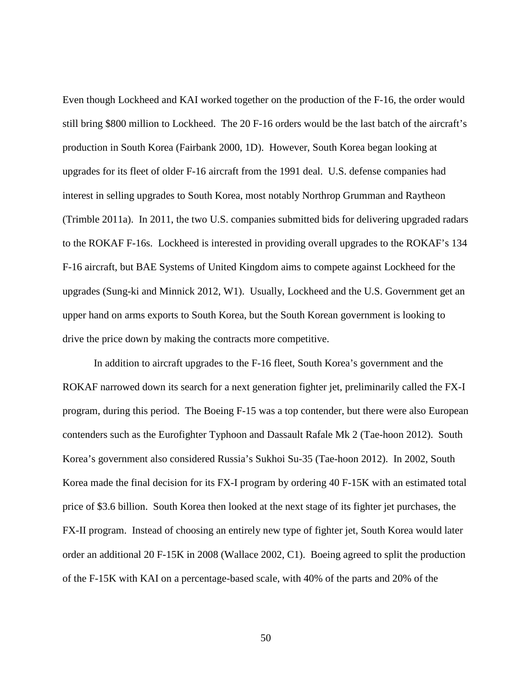Even though Lockheed and KAI worked together on the production of the F-16, the order would still bring \$800 million to Lockheed. The 20 F-16 orders would be the last batch of the aircraft's production in South Korea (Fairbank 2000, 1D). However, South Korea began looking at upgrades for its fleet of older F-16 aircraft from the 1991 deal. U.S. defense companies had interest in selling upgrades to South Korea, most notably Northrop Grumman and Raytheon (Trimble 2011a). In 2011, the two U.S. companies submitted bids for delivering upgraded radars to the ROKAF F-16s. Lockheed is interested in providing overall upgrades to the ROKAF's 134 F-16 aircraft, but BAE Systems of United Kingdom aims to compete against Lockheed for the upgrades (Sung-ki and Minnick 2012, W1). Usually, Lockheed and the U.S. Government get an upper hand on arms exports to South Korea, but the South Korean government is looking to drive the price down by making the contracts more competitive.

In addition to aircraft upgrades to the F-16 fleet, South Korea's government and the ROKAF narrowed down its search for a next generation fighter jet, preliminarily called the FX-I program, during this period. The Boeing F-15 was a top contender, but there were also European contenders such as the Eurofighter Typhoon and Dassault Rafale Mk 2 (Tae-hoon 2012). South Korea's government also considered Russia's Sukhoi Su-35 (Tae-hoon 2012). In 2002, South Korea made the final decision for its FX-I program by ordering 40 F-15K with an estimated total price of \$3.6 billion. South Korea then looked at the next stage of its fighter jet purchases, the FX-II program. Instead of choosing an entirely new type of fighter jet, South Korea would later order an additional 20 F-15K in 2008 (Wallace 2002, C1). Boeing agreed to split the production of the F-15K with KAI on a percentage-based scale, with 40% of the parts and 20% of the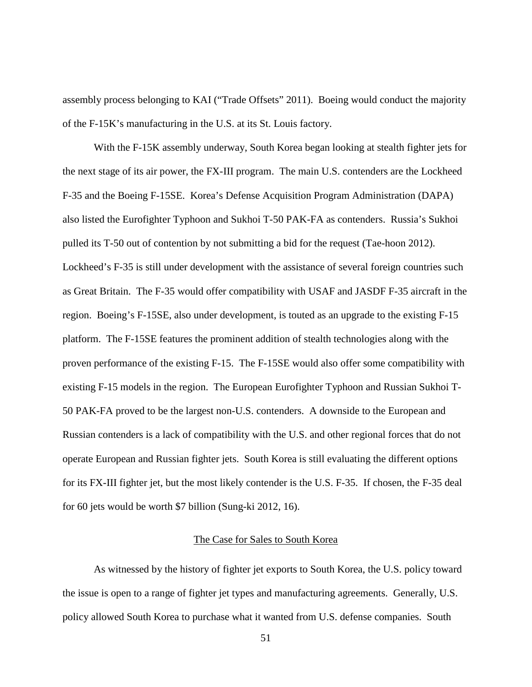assembly process belonging to KAI ("Trade Offsets" 2011). Boeing would conduct the majority of the F-15K's manufacturing in the U.S. at its St. Louis factory.

With the F-15K assembly underway, South Korea began looking at stealth fighter jets for the next stage of its air power, the FX-III program. The main U.S. contenders are the Lockheed F-35 and the Boeing F-15SE. Korea's Defense Acquisition Program Administration (DAPA) also listed the Eurofighter Typhoon and Sukhoi T-50 PAK-FA as contenders. Russia's Sukhoi pulled its T-50 out of contention by not submitting a bid for the request (Tae-hoon 2012). Lockheed's F-35 is still under development with the assistance of several foreign countries such as Great Britain. The F-35 would offer compatibility with USAF and JASDF F-35 aircraft in the region. Boeing's F-15SE, also under development, is touted as an upgrade to the existing F-15 platform. The F-15SE features the prominent addition of stealth technologies along with the proven performance of the existing F-15. The F-15SE would also offer some compatibility with existing F-15 models in the region. The European Eurofighter Typhoon and Russian Sukhoi T-50 PAK-FA proved to be the largest non-U.S. contenders. A downside to the European and Russian contenders is a lack of compatibility with the U.S. and other regional forces that do not operate European and Russian fighter jets. South Korea is still evaluating the different options for its FX-III fighter jet, but the most likely contender is the U.S. F-35. If chosen, the F-35 deal for 60 jets would be worth \$7 billion (Sung-ki 2012, 16).

# The Case for Sales to South Korea

As witnessed by the history of fighter jet exports to South Korea, the U.S. policy toward the issue is open to a range of fighter jet types and manufacturing agreements. Generally, U.S. policy allowed South Korea to purchase what it wanted from U.S. defense companies. South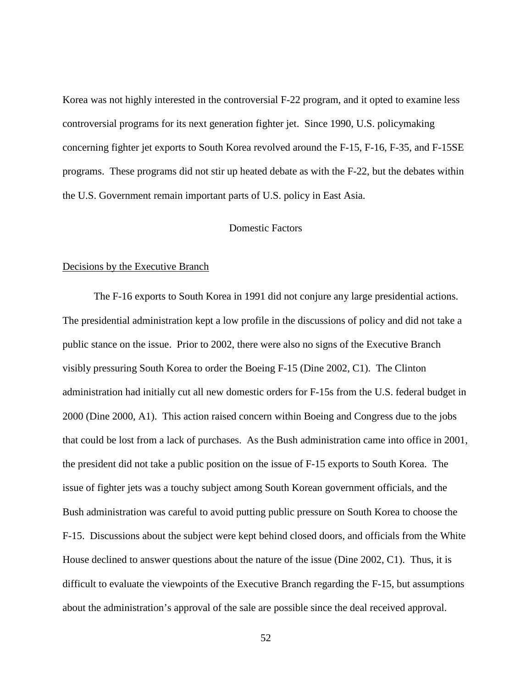Korea was not highly interested in the controversial F-22 program, and it opted to examine less controversial programs for its next generation fighter jet. Since 1990, U.S. policymaking concerning fighter jet exports to South Korea revolved around the F-15, F-16, F-35, and F-15SE programs. These programs did not stir up heated debate as with the F-22, but the debates within the U.S. Government remain important parts of U.S. policy in East Asia.

## Domestic Factors

### Decisions by the Executive Branch

The F-16 exports to South Korea in 1991 did not conjure any large presidential actions. The presidential administration kept a low profile in the discussions of policy and did not take a public stance on the issue. Prior to 2002, there were also no signs of the Executive Branch visibly pressuring South Korea to order the Boeing F-15 (Dine 2002, C1). The Clinton administration had initially cut all new domestic orders for F-15s from the U.S. federal budget in 2000 (Dine 2000, A1). This action raised concern within Boeing and Congress due to the jobs that could be lost from a lack of purchases. As the Bush administration came into office in 2001, the president did not take a public position on the issue of F-15 exports to South Korea. The issue of fighter jets was a touchy subject among South Korean government officials, and the Bush administration was careful to avoid putting public pressure on South Korea to choose the F-15. Discussions about the subject were kept behind closed doors, and officials from the White House declined to answer questions about the nature of the issue (Dine 2002, C1). Thus, it is difficult to evaluate the viewpoints of the Executive Branch regarding the F-15, but assumptions about the administration's approval of the sale are possible since the deal received approval.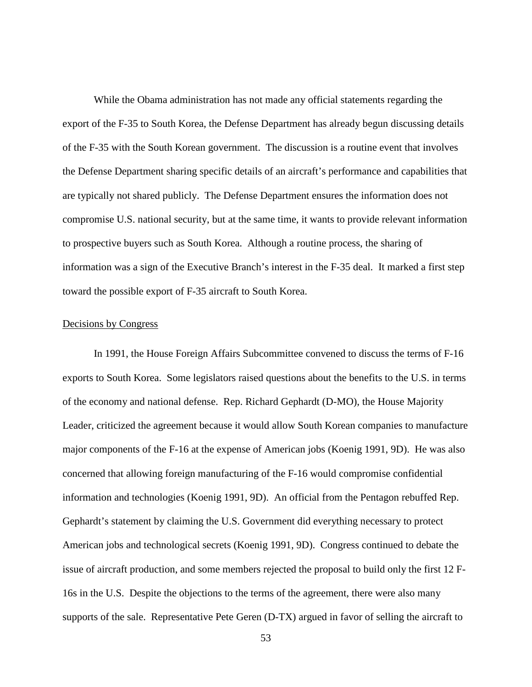While the Obama administration has not made any official statements regarding the export of the F-35 to South Korea, the Defense Department has already begun discussing details of the F-35 with the South Korean government. The discussion is a routine event that involves the Defense Department sharing specific details of an aircraft's performance and capabilities that are typically not shared publicly. The Defense Department ensures the information does not compromise U.S. national security, but at the same time, it wants to provide relevant information to prospective buyers such as South Korea. Although a routine process, the sharing of information was a sign of the Executive Branch's interest in the F-35 deal. It marked a first step toward the possible export of F-35 aircraft to South Korea.

### Decisions by Congress

In 1991, the House Foreign Affairs Subcommittee convened to discuss the terms of F-16 exports to South Korea. Some legislators raised questions about the benefits to the U.S. in terms of the economy and national defense. Rep. Richard Gephardt (D-MO), the House Majority Leader, criticized the agreement because it would allow South Korean companies to manufacture major components of the F-16 at the expense of American jobs (Koenig 1991, 9D). He was also concerned that allowing foreign manufacturing of the F-16 would compromise confidential information and technologies (Koenig 1991, 9D). An official from the Pentagon rebuffed Rep. Gephardt's statement by claiming the U.S. Government did everything necessary to protect American jobs and technological secrets (Koenig 1991, 9D). Congress continued to debate the issue of aircraft production, and some members rejected the proposal to build only the first 12 F-16s in the U.S. Despite the objections to the terms of the agreement, there were also many supports of the sale. Representative Pete Geren (D-TX) argued in favor of selling the aircraft to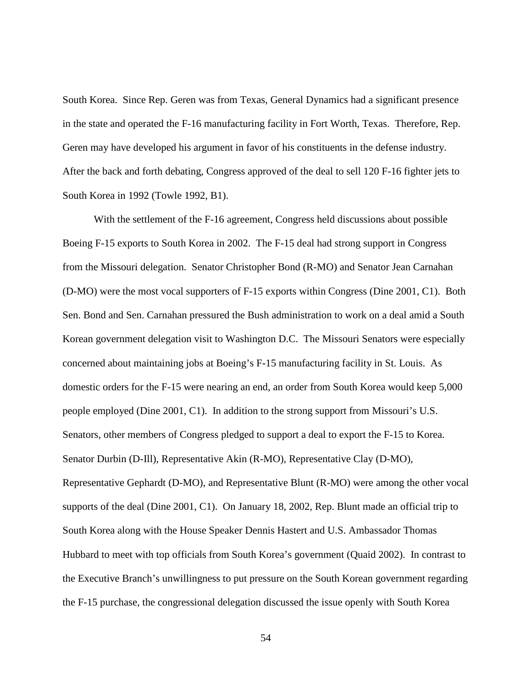South Korea. Since Rep. Geren was from Texas, General Dynamics had a significant presence in the state and operated the F-16 manufacturing facility in Fort Worth, Texas. Therefore, Rep. Geren may have developed his argument in favor of his constituents in the defense industry. After the back and forth debating, Congress approved of the deal to sell 120 F-16 fighter jets to South Korea in 1992 (Towle 1992, B1).

With the settlement of the F-16 agreement, Congress held discussions about possible Boeing F-15 exports to South Korea in 2002. The F-15 deal had strong support in Congress from the Missouri delegation. Senator Christopher Bond (R-MO) and Senator Jean Carnahan (D-MO) were the most vocal supporters of F-15 exports within Congress (Dine 2001, C1). Both Sen. Bond and Sen. Carnahan pressured the Bush administration to work on a deal amid a South Korean government delegation visit to Washington D.C. The Missouri Senators were especially concerned about maintaining jobs at Boeing's F-15 manufacturing facility in St. Louis. As domestic orders for the F-15 were nearing an end, an order from South Korea would keep 5,000 people employed (Dine 2001, C1). In addition to the strong support from Missouri's U.S. Senators, other members of Congress pledged to support a deal to export the F-15 to Korea. Senator Durbin (D-Ill), Representative Akin (R-MO), Representative Clay (D-MO), Representative Gephardt (D-MO), and Representative Blunt (R-MO) were among the other vocal supports of the deal (Dine 2001, C1). On January 18, 2002, Rep. Blunt made an official trip to South Korea along with the House Speaker Dennis Hastert and U.S. Ambassador Thomas Hubbard to meet with top officials from South Korea's government (Quaid 2002). In contrast to the Executive Branch's unwillingness to put pressure on the South Korean government regarding the F-15 purchase, the congressional delegation discussed the issue openly with South Korea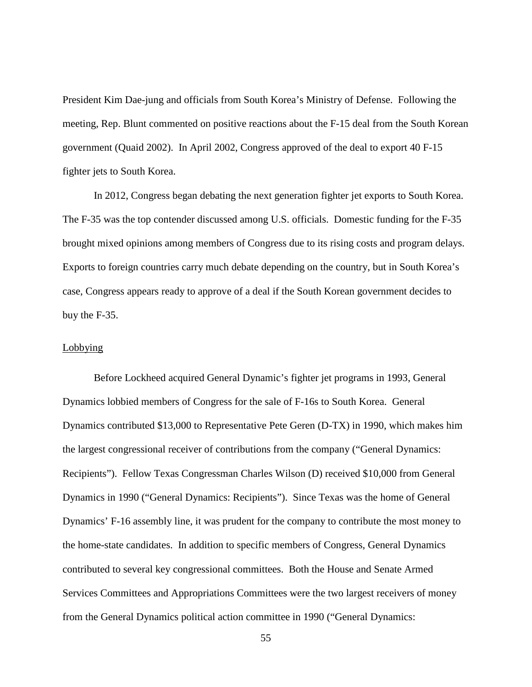President Kim Dae-jung and officials from South Korea's Ministry of Defense. Following the meeting, Rep. Blunt commented on positive reactions about the F-15 deal from the South Korean government (Quaid 2002). In April 2002, Congress approved of the deal to export 40 F-15 fighter jets to South Korea.

In 2012, Congress began debating the next generation fighter jet exports to South Korea. The F-35 was the top contender discussed among U.S. officials. Domestic funding for the F-35 brought mixed opinions among members of Congress due to its rising costs and program delays. Exports to foreign countries carry much debate depending on the country, but in South Korea's case, Congress appears ready to approve of a deal if the South Korean government decides to buy the F-35.

### **Lobbying**

Before Lockheed acquired General Dynamic's fighter jet programs in 1993, General Dynamics lobbied members of Congress for the sale of F-16s to South Korea. General Dynamics contributed \$13,000 to Representative Pete Geren (D-TX) in 1990, which makes him the largest congressional receiver of contributions from the company ("General Dynamics: Recipients"). Fellow Texas Congressman Charles Wilson (D) received \$10,000 from General Dynamics in 1990 ("General Dynamics: Recipients"). Since Texas was the home of General Dynamics' F-16 assembly line, it was prudent for the company to contribute the most money to the home-state candidates. In addition to specific members of Congress, General Dynamics contributed to several key congressional committees. Both the House and Senate Armed Services Committees and Appropriations Committees were the two largest receivers of money from the General Dynamics political action committee in 1990 ("General Dynamics: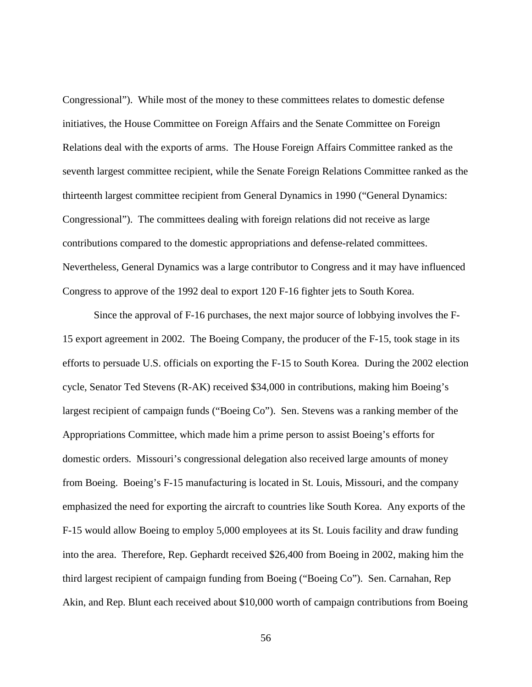Congressional"). While most of the money to these committees relates to domestic defense initiatives, the House Committee on Foreign Affairs and the Senate Committee on Foreign Relations deal with the exports of arms. The House Foreign Affairs Committee ranked as the seventh largest committee recipient, while the Senate Foreign Relations Committee ranked as the thirteenth largest committee recipient from General Dynamics in 1990 ("General Dynamics: Congressional"). The committees dealing with foreign relations did not receive as large contributions compared to the domestic appropriations and defense-related committees. Nevertheless, General Dynamics was a large contributor to Congress and it may have influenced Congress to approve of the 1992 deal to export 120 F-16 fighter jets to South Korea.

Since the approval of F-16 purchases, the next major source of lobbying involves the F-15 export agreement in 2002. The Boeing Company, the producer of the F-15, took stage in its efforts to persuade U.S. officials on exporting the F-15 to South Korea. During the 2002 election cycle, Senator Ted Stevens (R-AK) received \$34,000 in contributions, making him Boeing's largest recipient of campaign funds ("Boeing Co"). Sen. Stevens was a ranking member of the Appropriations Committee, which made him a prime person to assist Boeing's efforts for domestic orders. Missouri's congressional delegation also received large amounts of money from Boeing. Boeing's F-15 manufacturing is located in St. Louis, Missouri, and the company emphasized the need for exporting the aircraft to countries like South Korea. Any exports of the F-15 would allow Boeing to employ 5,000 employees at its St. Louis facility and draw funding into the area. Therefore, Rep. Gephardt received \$26,400 from Boeing in 2002, making him the third largest recipient of campaign funding from Boeing ("Boeing Co"). Sen. Carnahan, Rep Akin, and Rep. Blunt each received about \$10,000 worth of campaign contributions from Boeing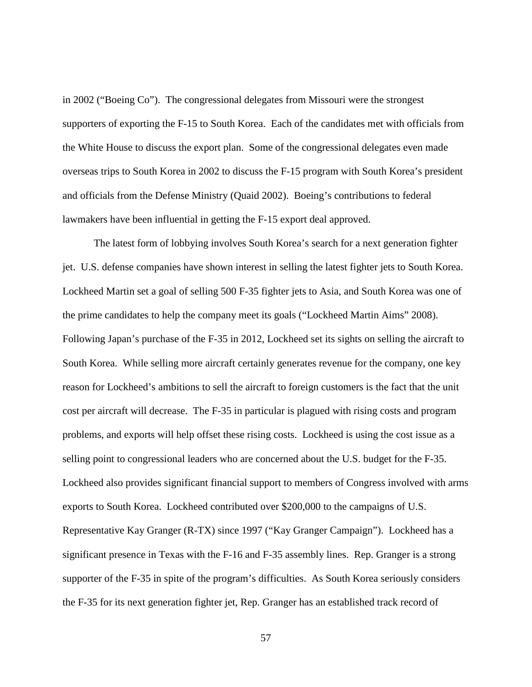in 2002 ("Boeing Co"). The congressional delegates from Missouri were the strongest supporters of exporting the F-15 to South Korea. Each of the candidates met with officials from the White House to discuss the export plan. Some of the congressional delegates even made overseas trips to South Korea in 2002 to discuss the F-15 program with South Korea's president and officials from the Defense Ministry (Quaid 2002). Boeing's contributions to federal lawmakers have been influential in getting the F-15 export deal approved.

The latest form of lobbying involves South Korea's search for a next generation fighter jet. U.S. defense companies have shown interest in selling the latest fighter jets to South Korea. Lockheed Martin set a goal of selling 500 F-35 fighter jets to Asia, and South Korea was one of the prime candidates to help the company meet its goals ("Lockheed Martin Aims" 2008). Following Japan's purchase of the F-35 in 2012, Lockheed set its sights on selling the aircraft to South Korea. While selling more aircraft certainly generates revenue for the company, one key reason for Lockheed's ambitions to sell the aircraft to foreign customers is the fact that the unit cost per aircraft will decrease. The F-35 in particular is plagued with rising costs and program problems, and exports will help offset these rising costs. Lockheed is using the cost issue as a selling point to congressional leaders who are concerned about the U.S. budget for the F-35. Lockheed also provides significant financial support to members of Congress involved with arms exports to South Korea. Lockheed contributed over \$200,000 to the campaigns of U.S. Representative Kay Granger (R-TX) since 1997 ("Kay Granger Campaign"). Lockheed has a significant presence in Texas with the F-16 and F-35 assembly lines. Rep. Granger is a strong supporter of the F-35 in spite of the program's difficulties. As South Korea seriously considers the F-35 for its next generation fighter jet, Rep. Granger has an established track record of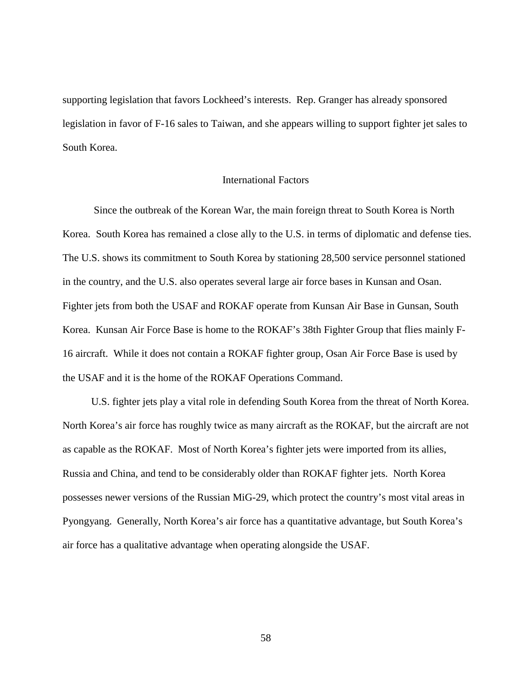supporting legislation that favors Lockheed's interests. Rep. Granger has already sponsored legislation in favor of F-16 sales to Taiwan, and she appears willing to support fighter jet sales to South Korea.

### International Factors

Since the outbreak of the Korean War, the main foreign threat to South Korea is North Korea. South Korea has remained a close ally to the U.S. in terms of diplomatic and defense ties. The U.S. shows its commitment to South Korea by stationing 28,500 service personnel stationed in the country, and the U.S. also operates several large air force bases in Kunsan and Osan. Fighter jets from both the USAF and ROKAF operate from Kunsan Air Base in Gunsan, South Korea. Kunsan Air Force Base is home to the ROKAF's 38th Fighter Group that flies mainly F-16 aircraft. While it does not contain a ROKAF fighter group, Osan Air Force Base is used by the USAF and it is the home of the ROKAF Operations Command.

U.S. fighter jets play a vital role in defending South Korea from the threat of North Korea. North Korea's air force has roughly twice as many aircraft as the ROKAF, but the aircraft are not as capable as the ROKAF. Most of North Korea's fighter jets were imported from its allies, Russia and China, and tend to be considerably older than ROKAF fighter jets. North Korea possesses newer versions of the Russian MiG-29, which protect the country's most vital areas in Pyongyang. Generally, North Korea's air force has a quantitative advantage, but South Korea's air force has a qualitative advantage when operating alongside the USAF.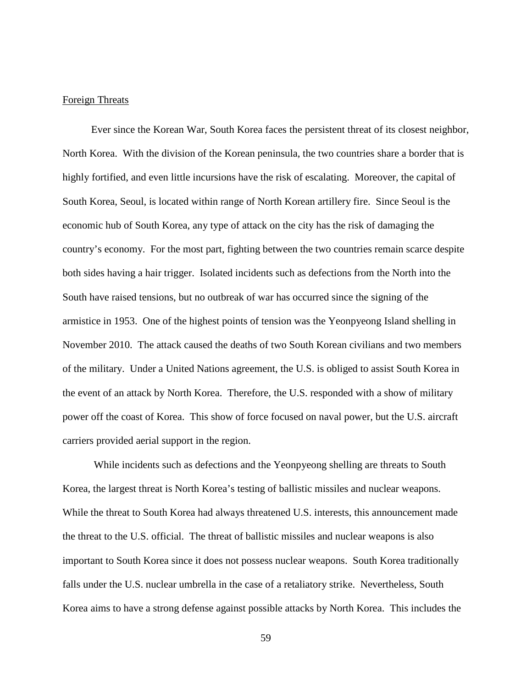## Foreign Threats

Ever since the Korean War, South Korea faces the persistent threat of its closest neighbor, North Korea. With the division of the Korean peninsula, the two countries share a border that is highly fortified, and even little incursions have the risk of escalating. Moreover, the capital of South Korea, Seoul, is located within range of North Korean artillery fire. Since Seoul is the economic hub of South Korea, any type of attack on the city has the risk of damaging the country's economy. For the most part, fighting between the two countries remain scarce despite both sides having a hair trigger. Isolated incidents such as defections from the North into the South have raised tensions, but no outbreak of war has occurred since the signing of the armistice in 1953. One of the highest points of tension was the Yeonpyeong Island shelling in November 2010. The attack caused the deaths of two South Korean civilians and two members of the military. Under a United Nations agreement, the U.S. is obliged to assist South Korea in the event of an attack by North Korea. Therefore, the U.S. responded with a show of military power off the coast of Korea. This show of force focused on naval power, but the U.S. aircraft carriers provided aerial support in the region.

While incidents such as defections and the Yeonpyeong shelling are threats to South Korea, the largest threat is North Korea's testing of ballistic missiles and nuclear weapons. While the threat to South Korea had always threatened U.S. interests, this announcement made the threat to the U.S. official. The threat of ballistic missiles and nuclear weapons is also important to South Korea since it does not possess nuclear weapons. South Korea traditionally falls under the U.S. nuclear umbrella in the case of a retaliatory strike. Nevertheless, South Korea aims to have a strong defense against possible attacks by North Korea. This includes the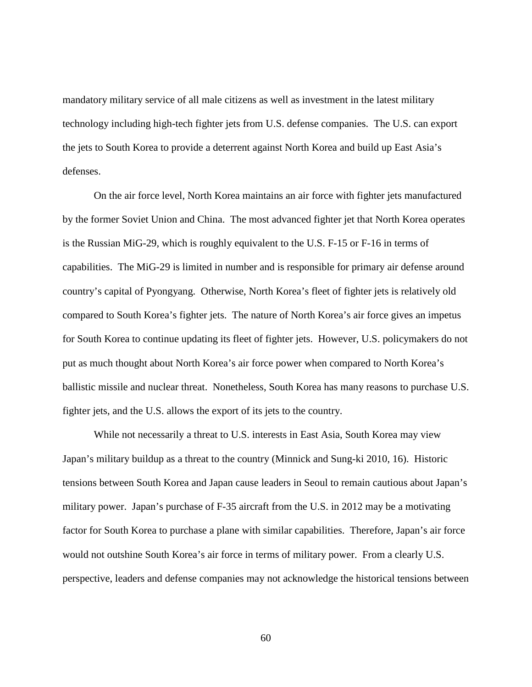mandatory military service of all male citizens as well as investment in the latest military technology including high-tech fighter jets from U.S. defense companies. The U.S. can export the jets to South Korea to provide a deterrent against North Korea and build up East Asia's defenses.

On the air force level, North Korea maintains an air force with fighter jets manufactured by the former Soviet Union and China. The most advanced fighter jet that North Korea operates is the Russian MiG-29, which is roughly equivalent to the U.S. F-15 or F-16 in terms of capabilities. The MiG-29 is limited in number and is responsible for primary air defense around country's capital of Pyongyang. Otherwise, North Korea's fleet of fighter jets is relatively old compared to South Korea's fighter jets. The nature of North Korea's air force gives an impetus for South Korea to continue updating its fleet of fighter jets. However, U.S. policymakers do not put as much thought about North Korea's air force power when compared to North Korea's ballistic missile and nuclear threat. Nonetheless, South Korea has many reasons to purchase U.S. fighter jets, and the U.S. allows the export of its jets to the country.

While not necessarily a threat to U.S. interests in East Asia, South Korea may view Japan's military buildup as a threat to the country (Minnick and Sung-ki 2010, 16). Historic tensions between South Korea and Japan cause leaders in Seoul to remain cautious about Japan's military power. Japan's purchase of F-35 aircraft from the U.S. in 2012 may be a motivating factor for South Korea to purchase a plane with similar capabilities. Therefore, Japan's air force would not outshine South Korea's air force in terms of military power. From a clearly U.S. perspective, leaders and defense companies may not acknowledge the historical tensions between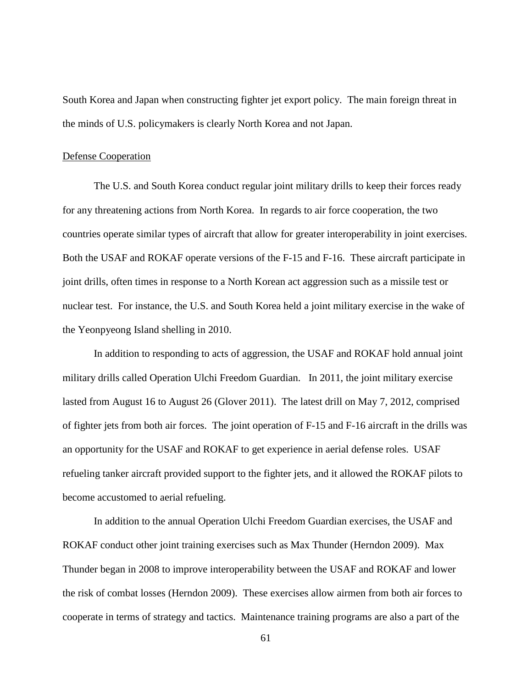South Korea and Japan when constructing fighter jet export policy. The main foreign threat in the minds of U.S. policymakers is clearly North Korea and not Japan.

#### Defense Cooperation

The U.S. and South Korea conduct regular joint military drills to keep their forces ready for any threatening actions from North Korea. In regards to air force cooperation, the two countries operate similar types of aircraft that allow for greater interoperability in joint exercises. Both the USAF and ROKAF operate versions of the F-15 and F-16. These aircraft participate in joint drills, often times in response to a North Korean act aggression such as a missile test or nuclear test. For instance, the U.S. and South Korea held a joint military exercise in the wake of the Yeonpyeong Island shelling in 2010.

In addition to responding to acts of aggression, the USAF and ROKAF hold annual joint military drills called Operation Ulchi Freedom Guardian. In 2011, the joint military exercise lasted from August 16 to August 26 (Glover 2011). The latest drill on May 7, 2012, comprised of fighter jets from both air forces. The joint operation of F-15 and F-16 aircraft in the drills was an opportunity for the USAF and ROKAF to get experience in aerial defense roles. USAF refueling tanker aircraft provided support to the fighter jets, and it allowed the ROKAF pilots to become accustomed to aerial refueling.

In addition to the annual Operation Ulchi Freedom Guardian exercises, the USAF and ROKAF conduct other joint training exercises such as Max Thunder (Herndon 2009). Max Thunder began in 2008 to improve interoperability between the USAF and ROKAF and lower the risk of combat losses (Herndon 2009). These exercises allow airmen from both air forces to cooperate in terms of strategy and tactics. Maintenance training programs are also a part of the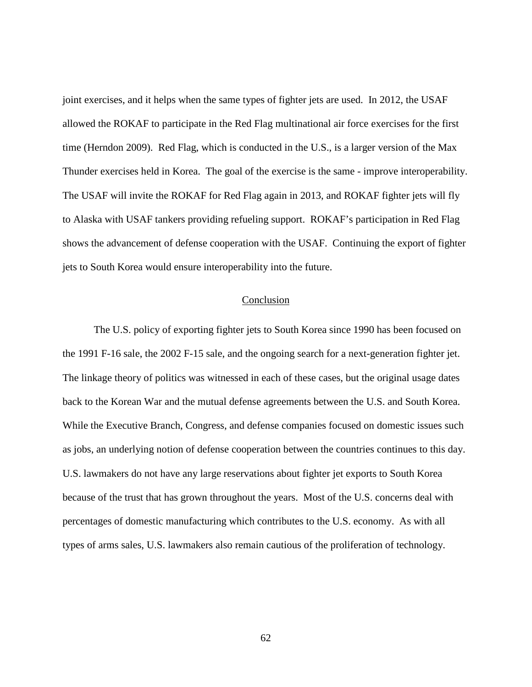joint exercises, and it helps when the same types of fighter jets are used. In 2012, the USAF allowed the ROKAF to participate in the Red Flag multinational air force exercises for the first time (Herndon 2009). Red Flag, which is conducted in the U.S., is a larger version of the Max Thunder exercises held in Korea. The goal of the exercise is the same - improve interoperability. The USAF will invite the ROKAF for Red Flag again in 2013, and ROKAF fighter jets will fly to Alaska with USAF tankers providing refueling support. ROKAF's participation in Red Flag shows the advancement of defense cooperation with the USAF. Continuing the export of fighter jets to South Korea would ensure interoperability into the future.

### Conclusion

The U.S. policy of exporting fighter jets to South Korea since 1990 has been focused on the 1991 F-16 sale, the 2002 F-15 sale, and the ongoing search for a next-generation fighter jet. The linkage theory of politics was witnessed in each of these cases, but the original usage dates back to the Korean War and the mutual defense agreements between the U.S. and South Korea. While the Executive Branch, Congress, and defense companies focused on domestic issues such as jobs, an underlying notion of defense cooperation between the countries continues to this day. U.S. lawmakers do not have any large reservations about fighter jet exports to South Korea because of the trust that has grown throughout the years. Most of the U.S. concerns deal with percentages of domestic manufacturing which contributes to the U.S. economy. As with all types of arms sales, U.S. lawmakers also remain cautious of the proliferation of technology.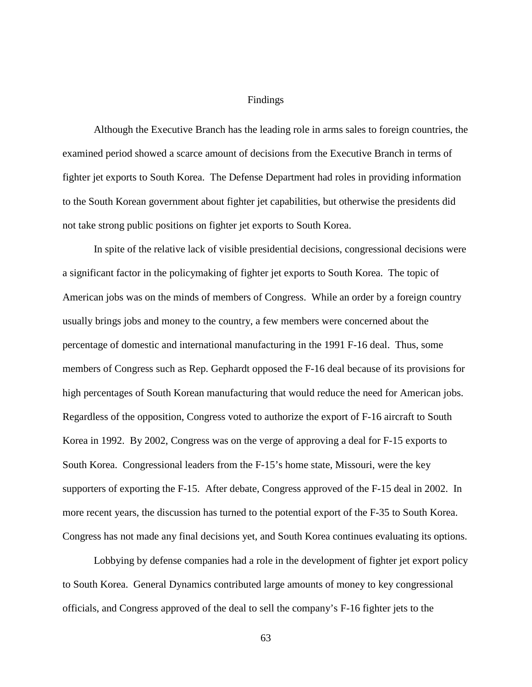### Findings

Although the Executive Branch has the leading role in arms sales to foreign countries, the examined period showed a scarce amount of decisions from the Executive Branch in terms of fighter jet exports to South Korea. The Defense Department had roles in providing information to the South Korean government about fighter jet capabilities, but otherwise the presidents did not take strong public positions on fighter jet exports to South Korea.

In spite of the relative lack of visible presidential decisions, congressional decisions were a significant factor in the policymaking of fighter jet exports to South Korea. The topic of American jobs was on the minds of members of Congress. While an order by a foreign country usually brings jobs and money to the country, a few members were concerned about the percentage of domestic and international manufacturing in the 1991 F-16 deal. Thus, some members of Congress such as Rep. Gephardt opposed the F-16 deal because of its provisions for high percentages of South Korean manufacturing that would reduce the need for American jobs. Regardless of the opposition, Congress voted to authorize the export of F-16 aircraft to South Korea in 1992. By 2002, Congress was on the verge of approving a deal for F-15 exports to South Korea. Congressional leaders from the F-15's home state, Missouri, were the key supporters of exporting the F-15. After debate, Congress approved of the F-15 deal in 2002. In more recent years, the discussion has turned to the potential export of the F-35 to South Korea. Congress has not made any final decisions yet, and South Korea continues evaluating its options.

Lobbying by defense companies had a role in the development of fighter jet export policy to South Korea. General Dynamics contributed large amounts of money to key congressional officials, and Congress approved of the deal to sell the company's F-16 fighter jets to the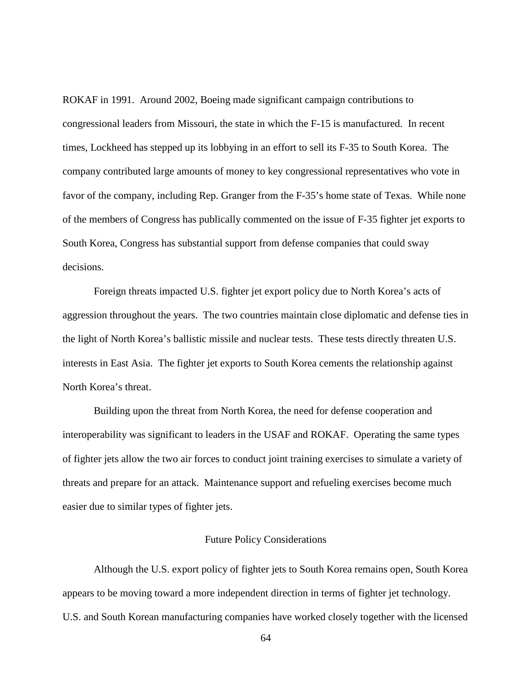ROKAF in 1991. Around 2002, Boeing made significant campaign contributions to congressional leaders from Missouri, the state in which the F-15 is manufactured. In recent times, Lockheed has stepped up its lobbying in an effort to sell its F-35 to South Korea. The company contributed large amounts of money to key congressional representatives who vote in favor of the company, including Rep. Granger from the F-35's home state of Texas. While none of the members of Congress has publically commented on the issue of F-35 fighter jet exports to South Korea, Congress has substantial support from defense companies that could sway decisions.

Foreign threats impacted U.S. fighter jet export policy due to North Korea's acts of aggression throughout the years. The two countries maintain close diplomatic and defense ties in the light of North Korea's ballistic missile and nuclear tests. These tests directly threaten U.S. interests in East Asia. The fighter jet exports to South Korea cements the relationship against North Korea's threat.

Building upon the threat from North Korea, the need for defense cooperation and interoperability was significant to leaders in the USAF and ROKAF. Operating the same types of fighter jets allow the two air forces to conduct joint training exercises to simulate a variety of threats and prepare for an attack. Maintenance support and refueling exercises become much easier due to similar types of fighter jets.

## Future Policy Considerations

Although the U.S. export policy of fighter jets to South Korea remains open, South Korea appears to be moving toward a more independent direction in terms of fighter jet technology. U.S. and South Korean manufacturing companies have worked closely together with the licensed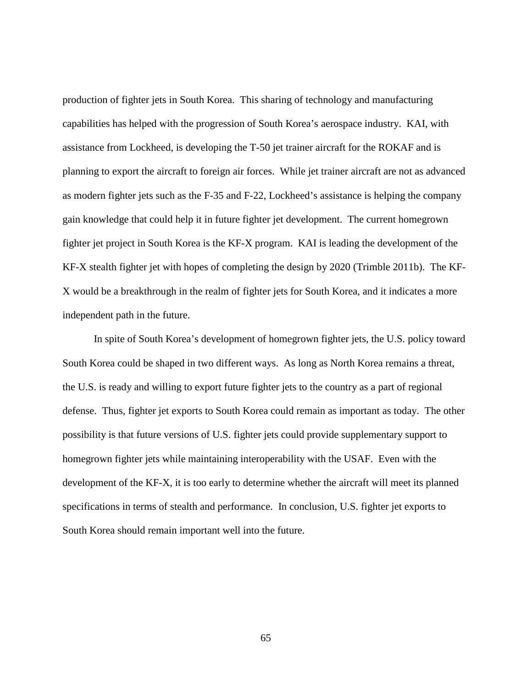production of fighter jets in South Korea. This sharing of technology and manufacturing capabilities has helped with the progression of South Korea's aerospace industry. KAI, with assistance from Lockheed, is developing the T-50 jet trainer aircraft for the ROKAF and is planning to export the aircraft to foreign air forces. While jet trainer aircraft are not as advanced as modern fighter jets such as the F-35 and F-22, Lockheed's assistance is helping the company gain knowledge that could help it in future fighter jet development. The current homegrown fighter jet project in South Korea is the KF-X program. KAI is leading the development of the KF-X stealth fighter jet with hopes of completing the design by 2020 (Trimble 2011b). The KF-X would be a breakthrough in the realm of fighter jets for South Korea, and it indicates a more independent path in the future.

In spite of South Korea's development of homegrown fighter jets, the U.S. policy toward South Korea could be shaped in two different ways. As long as North Korea remains a threat, the U.S. is ready and willing to export future fighter jets to the country as a part of regional defense. Thus, fighter jet exports to South Korea could remain as important as today. The other possibility is that future versions of U.S. fighter jets could provide supplementary support to homegrown fighter jets while maintaining interoperability with the USAF. Even with the development of the KF-X, it is too early to determine whether the aircraft will meet its planned specifications in terms of stealth and performance. In conclusion, U.S. fighter jet exports to South Korea should remain important well into the future.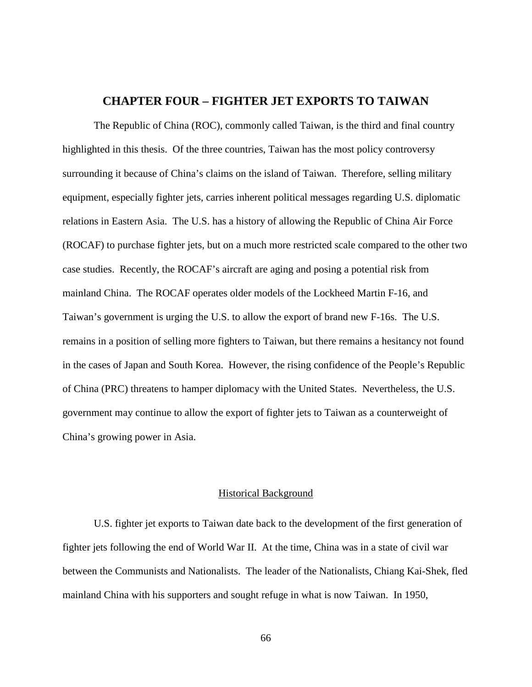# **CHAPTER FOUR – FIGHTER JET EXPORTS TO TAIWAN**

The Republic of China (ROC), commonly called Taiwan, is the third and final country highlighted in this thesis. Of the three countries, Taiwan has the most policy controversy surrounding it because of China's claims on the island of Taiwan. Therefore, selling military equipment, especially fighter jets, carries inherent political messages regarding U.S. diplomatic relations in Eastern Asia. The U.S. has a history of allowing the Republic of China Air Force (ROCAF) to purchase fighter jets, but on a much more restricted scale compared to the other two case studies. Recently, the ROCAF's aircraft are aging and posing a potential risk from mainland China. The ROCAF operates older models of the Lockheed Martin F-16, and Taiwan's government is urging the U.S. to allow the export of brand new F-16s. The U.S. remains in a position of selling more fighters to Taiwan, but there remains a hesitancy not found in the cases of Japan and South Korea. However, the rising confidence of the People's Republic of China (PRC) threatens to hamper diplomacy with the United States. Nevertheless, the U.S. government may continue to allow the export of fighter jets to Taiwan as a counterweight of China's growing power in Asia.

## Historical Background

U.S. fighter jet exports to Taiwan date back to the development of the first generation of fighter jets following the end of World War II. At the time, China was in a state of civil war between the Communists and Nationalists. The leader of the Nationalists, Chiang Kai-Shek, fled mainland China with his supporters and sought refuge in what is now Taiwan. In 1950,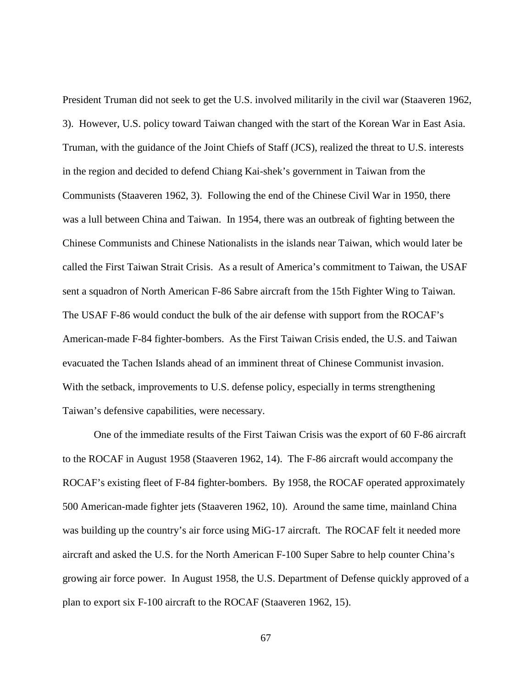President Truman did not seek to get the U.S. involved militarily in the civil war (Staaveren 1962, 3). However, U.S. policy toward Taiwan changed with the start of the Korean War in East Asia. Truman, with the guidance of the Joint Chiefs of Staff (JCS), realized the threat to U.S. interests in the region and decided to defend Chiang Kai-shek's government in Taiwan from the Communists (Staaveren 1962, 3). Following the end of the Chinese Civil War in 1950, there was a lull between China and Taiwan. In 1954, there was an outbreak of fighting between the Chinese Communists and Chinese Nationalists in the islands near Taiwan, which would later be called the First Taiwan Strait Crisis. As a result of America's commitment to Taiwan, the USAF sent a squadron of North American F-86 Sabre aircraft from the 15th Fighter Wing to Taiwan. The USAF F-86 would conduct the bulk of the air defense with support from the ROCAF's American-made F-84 fighter-bombers. As the First Taiwan Crisis ended, the U.S. and Taiwan evacuated the Tachen Islands ahead of an imminent threat of Chinese Communist invasion. With the setback, improvements to U.S. defense policy, especially in terms strengthening Taiwan's defensive capabilities, were necessary.

One of the immediate results of the First Taiwan Crisis was the export of 60 F-86 aircraft to the ROCAF in August 1958 (Staaveren 1962, 14). The F-86 aircraft would accompany the ROCAF's existing fleet of F-84 fighter-bombers. By 1958, the ROCAF operated approximately 500 American-made fighter jets (Staaveren 1962, 10). Around the same time, mainland China was building up the country's air force using MiG-17 aircraft. The ROCAF felt it needed more aircraft and asked the U.S. for the North American F-100 Super Sabre to help counter China's growing air force power. In August 1958, the U.S. Department of Defense quickly approved of a plan to export six F-100 aircraft to the ROCAF (Staaveren 1962, 15).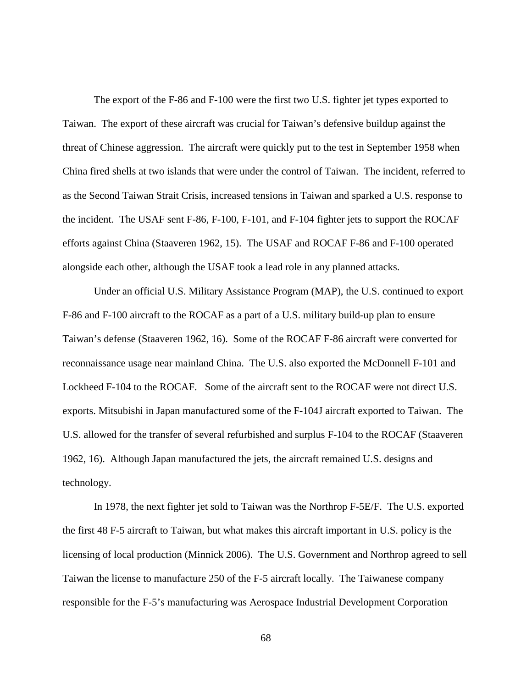The export of the F-86 and F-100 were the first two U.S. fighter jet types exported to Taiwan. The export of these aircraft was crucial for Taiwan's defensive buildup against the threat of Chinese aggression. The aircraft were quickly put to the test in September 1958 when China fired shells at two islands that were under the control of Taiwan. The incident, referred to as the Second Taiwan Strait Crisis, increased tensions in Taiwan and sparked a U.S. response to the incident. The USAF sent F-86, F-100, F-101, and F-104 fighter jets to support the ROCAF efforts against China (Staaveren 1962, 15). The USAF and ROCAF F-86 and F-100 operated alongside each other, although the USAF took a lead role in any planned attacks.

Under an official U.S. Military Assistance Program (MAP), the U.S. continued to export F-86 and F-100 aircraft to the ROCAF as a part of a U.S. military build-up plan to ensure Taiwan's defense (Staaveren 1962, 16). Some of the ROCAF F-86 aircraft were converted for reconnaissance usage near mainland China. The U.S. also exported the McDonnell F-101 and Lockheed F-104 to the ROCAF. Some of the aircraft sent to the ROCAF were not direct U.S. exports. Mitsubishi in Japan manufactured some of the F-104J aircraft exported to Taiwan. The U.S. allowed for the transfer of several refurbished and surplus F-104 to the ROCAF (Staaveren 1962, 16). Although Japan manufactured the jets, the aircraft remained U.S. designs and technology.

In 1978, the next fighter jet sold to Taiwan was the Northrop F-5E/F. The U.S. exported the first 48 F-5 aircraft to Taiwan, but what makes this aircraft important in U.S. policy is the licensing of local production (Minnick 2006). The U.S. Government and Northrop agreed to sell Taiwan the license to manufacture 250 of the F-5 aircraft locally. The Taiwanese company responsible for the F-5's manufacturing was Aerospace Industrial Development Corporation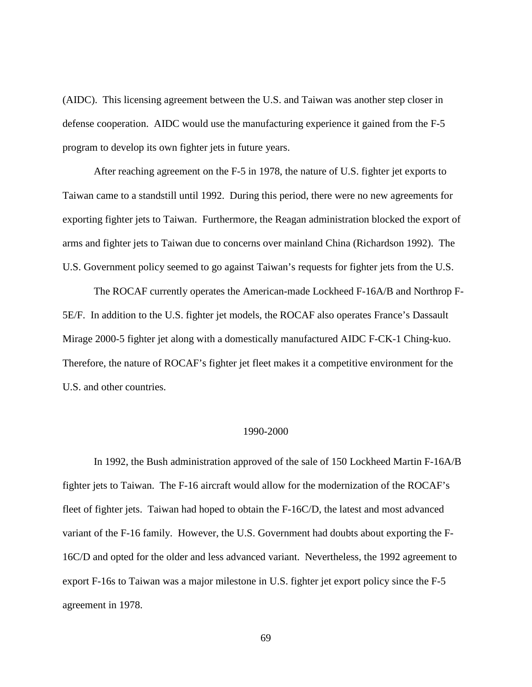(AIDC). This licensing agreement between the U.S. and Taiwan was another step closer in defense cooperation. AIDC would use the manufacturing experience it gained from the F-5 program to develop its own fighter jets in future years.

After reaching agreement on the F-5 in 1978, the nature of U.S. fighter jet exports to Taiwan came to a standstill until 1992. During this period, there were no new agreements for exporting fighter jets to Taiwan. Furthermore, the Reagan administration blocked the export of arms and fighter jets to Taiwan due to concerns over mainland China (Richardson 1992). The U.S. Government policy seemed to go against Taiwan's requests for fighter jets from the U.S.

The ROCAF currently operates the American-made Lockheed F-16A/B and Northrop F-5E/F. In addition to the U.S. fighter jet models, the ROCAF also operates France's Dassault Mirage 2000-5 fighter jet along with a domestically manufactured AIDC F-CK-1 Ching-kuo. Therefore, the nature of ROCAF's fighter jet fleet makes it a competitive environment for the U.S. and other countries.

#### 1990-2000

In 1992, the Bush administration approved of the sale of 150 Lockheed Martin F-16A/B fighter jets to Taiwan. The F-16 aircraft would allow for the modernization of the ROCAF's fleet of fighter jets. Taiwan had hoped to obtain the F-16C/D, the latest and most advanced variant of the F-16 family. However, the U.S. Government had doubts about exporting the F-16C/D and opted for the older and less advanced variant. Nevertheless, the 1992 agreement to export F-16s to Taiwan was a major milestone in U.S. fighter jet export policy since the F-5 agreement in 1978.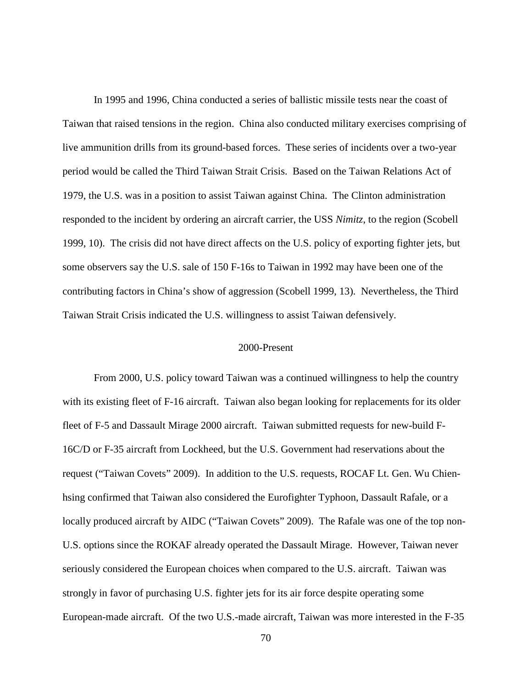In 1995 and 1996, China conducted a series of ballistic missile tests near the coast of Taiwan that raised tensions in the region. China also conducted military exercises comprising of live ammunition drills from its ground-based forces. These series of incidents over a two-year period would be called the Third Taiwan Strait Crisis. Based on the Taiwan Relations Act of 1979, the U.S. was in a position to assist Taiwan against China. The Clinton administration responded to the incident by ordering an aircraft carrier, the USS *Nimitz*, to the region (Scobell 1999, 10). The crisis did not have direct affects on the U.S. policy of exporting fighter jets, but some observers say the U.S. sale of 150 F-16s to Taiwan in 1992 may have been one of the contributing factors in China's show of aggression (Scobell 1999, 13). Nevertheless, the Third Taiwan Strait Crisis indicated the U.S. willingness to assist Taiwan defensively.

### 2000-Present

From 2000, U.S. policy toward Taiwan was a continued willingness to help the country with its existing fleet of F-16 aircraft. Taiwan also began looking for replacements for its older fleet of F-5 and Dassault Mirage 2000 aircraft. Taiwan submitted requests for new-build F-16C/D or F-35 aircraft from Lockheed, but the U.S. Government had reservations about the request ("Taiwan Covets" 2009). In addition to the U.S. requests, ROCAF Lt. Gen. Wu Chienhsing confirmed that Taiwan also considered the Eurofighter Typhoon, Dassault Rafale, or a locally produced aircraft by AIDC ("Taiwan Covets" 2009). The Rafale was one of the top non-U.S. options since the ROKAF already operated the Dassault Mirage. However, Taiwan never seriously considered the European choices when compared to the U.S. aircraft. Taiwan was strongly in favor of purchasing U.S. fighter jets for its air force despite operating some European-made aircraft. Of the two U.S.-made aircraft, Taiwan was more interested in the F-35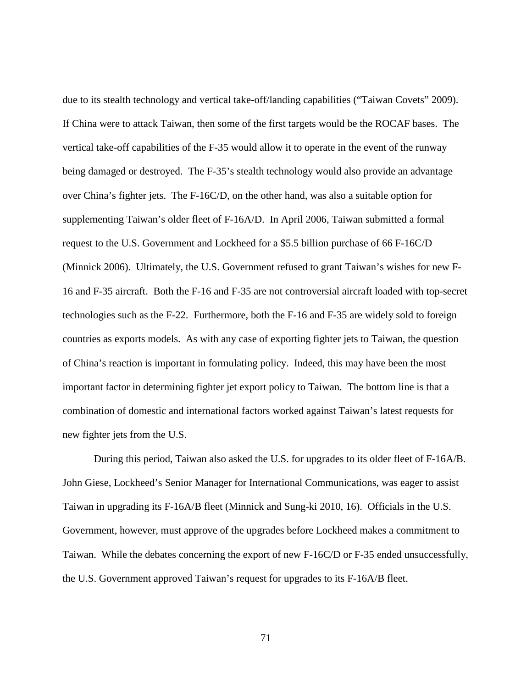due to its stealth technology and vertical take-off/landing capabilities ("Taiwan Covets" 2009). If China were to attack Taiwan, then some of the first targets would be the ROCAF bases. The vertical take-off capabilities of the F-35 would allow it to operate in the event of the runway being damaged or destroyed. The F-35's stealth technology would also provide an advantage over China's fighter jets. The F-16C/D, on the other hand, was also a suitable option for supplementing Taiwan's older fleet of F-16A/D. In April 2006, Taiwan submitted a formal request to the U.S. Government and Lockheed for a \$5.5 billion purchase of 66 F-16C/D (Minnick 2006). Ultimately, the U.S. Government refused to grant Taiwan's wishes for new F-16 and F-35 aircraft. Both the F-16 and F-35 are not controversial aircraft loaded with top-secret technologies such as the F-22. Furthermore, both the F-16 and F-35 are widely sold to foreign countries as exports models. As with any case of exporting fighter jets to Taiwan, the question of China's reaction is important in formulating policy. Indeed, this may have been the most important factor in determining fighter jet export policy to Taiwan. The bottom line is that a combination of domestic and international factors worked against Taiwan's latest requests for new fighter jets from the U.S.

During this period, Taiwan also asked the U.S. for upgrades to its older fleet of F-16A/B. John Giese, Lockheed's Senior Manager for International Communications, was eager to assist Taiwan in upgrading its F-16A/B fleet (Minnick and Sung-ki 2010, 16). Officials in the U.S. Government, however, must approve of the upgrades before Lockheed makes a commitment to Taiwan. While the debates concerning the export of new F-16C/D or F-35 ended unsuccessfully, the U.S. Government approved Taiwan's request for upgrades to its F-16A/B fleet.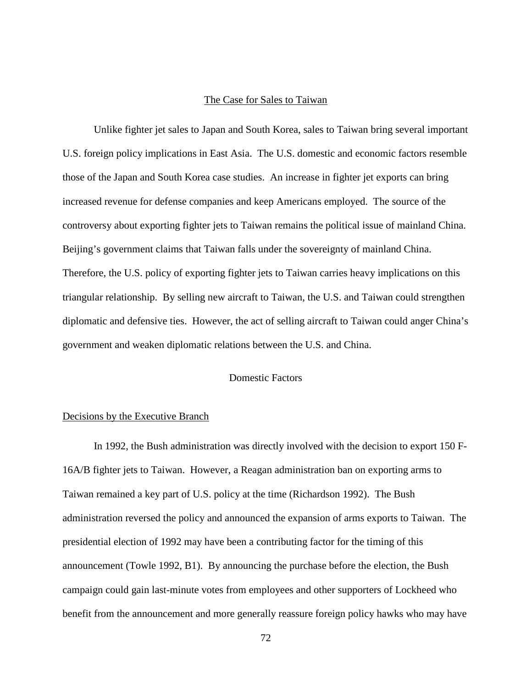# The Case for Sales to Taiwan

Unlike fighter jet sales to Japan and South Korea, sales to Taiwan bring several important U.S. foreign policy implications in East Asia. The U.S. domestic and economic factors resemble those of the Japan and South Korea case studies. An increase in fighter jet exports can bring increased revenue for defense companies and keep Americans employed. The source of the controversy about exporting fighter jets to Taiwan remains the political issue of mainland China. Beijing's government claims that Taiwan falls under the sovereignty of mainland China. Therefore, the U.S. policy of exporting fighter jets to Taiwan carries heavy implications on this triangular relationship. By selling new aircraft to Taiwan, the U.S. and Taiwan could strengthen diplomatic and defensive ties. However, the act of selling aircraft to Taiwan could anger China's government and weaken diplomatic relations between the U.S. and China.

# Domestic Factors

### Decisions by the Executive Branch

In 1992, the Bush administration was directly involved with the decision to export 150 F-16A/B fighter jets to Taiwan. However, a Reagan administration ban on exporting arms to Taiwan remained a key part of U.S. policy at the time (Richardson 1992). The Bush administration reversed the policy and announced the expansion of arms exports to Taiwan. The presidential election of 1992 may have been a contributing factor for the timing of this announcement (Towle 1992, B1). By announcing the purchase before the election, the Bush campaign could gain last-minute votes from employees and other supporters of Lockheed who benefit from the announcement and more generally reassure foreign policy hawks who may have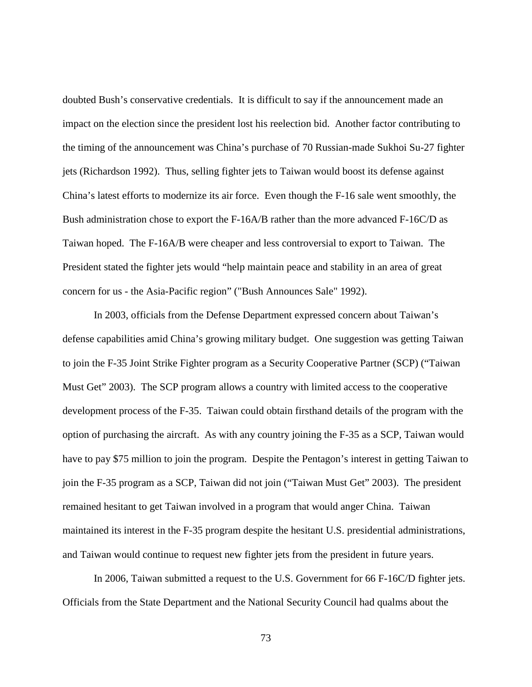doubted Bush's conservative credentials. It is difficult to say if the announcement made an impact on the election since the president lost his reelection bid. Another factor contributing to the timing of the announcement was China's purchase of 70 Russian-made Sukhoi Su-27 fighter jets (Richardson 1992). Thus, selling fighter jets to Taiwan would boost its defense against China's latest efforts to modernize its air force. Even though the F-16 sale went smoothly, the Bush administration chose to export the F-16A/B rather than the more advanced F-16C/D as Taiwan hoped. The F-16A/B were cheaper and less controversial to export to Taiwan. The President stated the fighter jets would "help maintain peace and stability in an area of great concern for us - the Asia-Pacific region" ("Bush Announces Sale" 1992).

In 2003, officials from the Defense Department expressed concern about Taiwan's defense capabilities amid China's growing military budget. One suggestion was getting Taiwan to join the F-35 Joint Strike Fighter program as a Security Cooperative Partner (SCP) ("Taiwan Must Get" 2003). The SCP program allows a country with limited access to the cooperative development process of the F-35. Taiwan could obtain firsthand details of the program with the option of purchasing the aircraft. As with any country joining the F-35 as a SCP, Taiwan would have to pay \$75 million to join the program. Despite the Pentagon's interest in getting Taiwan to join the F-35 program as a SCP, Taiwan did not join ("Taiwan Must Get" 2003). The president remained hesitant to get Taiwan involved in a program that would anger China. Taiwan maintained its interest in the F-35 program despite the hesitant U.S. presidential administrations, and Taiwan would continue to request new fighter jets from the president in future years.

In 2006, Taiwan submitted a request to the U.S. Government for 66 F-16C/D fighter jets. Officials from the State Department and the National Security Council had qualms about the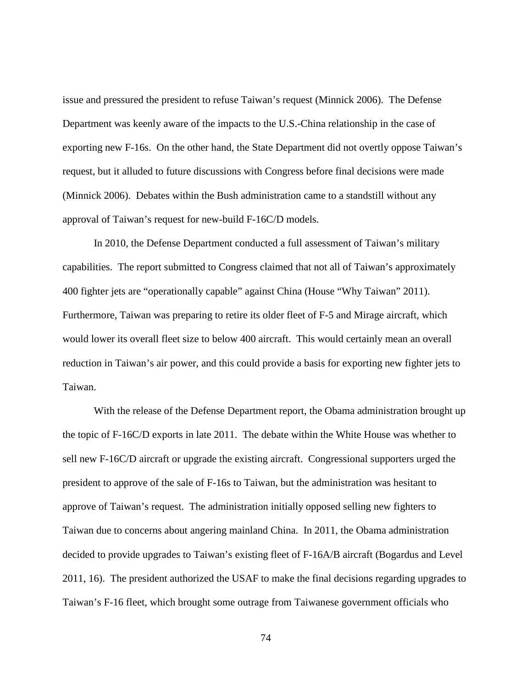issue and pressured the president to refuse Taiwan's request (Minnick 2006). The Defense Department was keenly aware of the impacts to the U.S.-China relationship in the case of exporting new F-16s. On the other hand, the State Department did not overtly oppose Taiwan's request, but it alluded to future discussions with Congress before final decisions were made (Minnick 2006). Debates within the Bush administration came to a standstill without any approval of Taiwan's request for new-build F-16C/D models.

In 2010, the Defense Department conducted a full assessment of Taiwan's military capabilities. The report submitted to Congress claimed that not all of Taiwan's approximately 400 fighter jets are "operationally capable" against China (House "Why Taiwan" 2011). Furthermore, Taiwan was preparing to retire its older fleet of F-5 and Mirage aircraft, which would lower its overall fleet size to below 400 aircraft. This would certainly mean an overall reduction in Taiwan's air power, and this could provide a basis for exporting new fighter jets to Taiwan.

With the release of the Defense Department report, the Obama administration brought up the topic of F-16C/D exports in late 2011. The debate within the White House was whether to sell new F-16C/D aircraft or upgrade the existing aircraft. Congressional supporters urged the president to approve of the sale of F-16s to Taiwan, but the administration was hesitant to approve of Taiwan's request. The administration initially opposed selling new fighters to Taiwan due to concerns about angering mainland China. In 2011, the Obama administration decided to provide upgrades to Taiwan's existing fleet of F-16A/B aircraft (Bogardus and Level 2011, 16). The president authorized the USAF to make the final decisions regarding upgrades to Taiwan's F-16 fleet, which brought some outrage from Taiwanese government officials who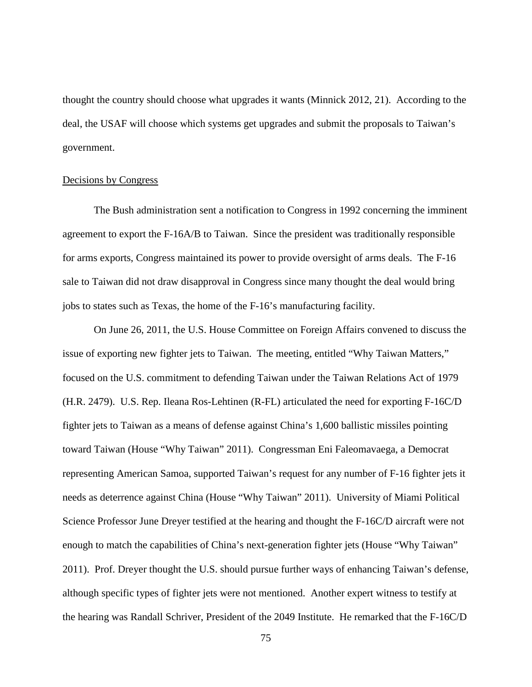thought the country should choose what upgrades it wants (Minnick 2012, 21). According to the deal, the USAF will choose which systems get upgrades and submit the proposals to Taiwan's government.

#### Decisions by Congress

The Bush administration sent a notification to Congress in 1992 concerning the imminent agreement to export the F-16A/B to Taiwan. Since the president was traditionally responsible for arms exports, Congress maintained its power to provide oversight of arms deals. The F-16 sale to Taiwan did not draw disapproval in Congress since many thought the deal would bring jobs to states such as Texas, the home of the F-16's manufacturing facility.

On June 26, 2011, the U.S. House Committee on Foreign Affairs convened to discuss the issue of exporting new fighter jets to Taiwan. The meeting, entitled "Why Taiwan Matters," focused on the U.S. commitment to defending Taiwan under the Taiwan Relations Act of 1979 (H.R. 2479). U.S. Rep. Ileana Ros-Lehtinen (R-FL) articulated the need for exporting F-16C/D fighter jets to Taiwan as a means of defense against China's 1,600 ballistic missiles pointing toward Taiwan (House "Why Taiwan" 2011). Congressman Eni Faleomavaega, a Democrat representing American Samoa, supported Taiwan's request for any number of F-16 fighter jets it needs as deterrence against China (House "Why Taiwan" 2011). University of Miami Political Science Professor June Dreyer testified at the hearing and thought the F-16C/D aircraft were not enough to match the capabilities of China's next-generation fighter jets (House "Why Taiwan" 2011). Prof. Dreyer thought the U.S. should pursue further ways of enhancing Taiwan's defense, although specific types of fighter jets were not mentioned. Another expert witness to testify at the hearing was Randall Schriver, President of the 2049 Institute. He remarked that the F-16C/D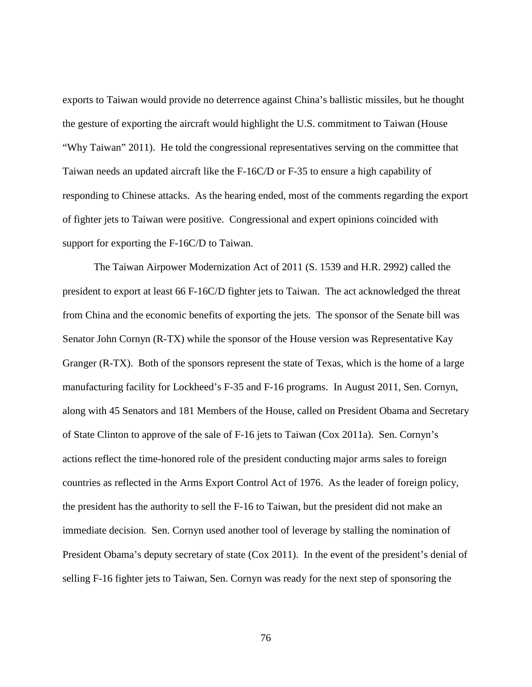exports to Taiwan would provide no deterrence against China's ballistic missiles, but he thought the gesture of exporting the aircraft would highlight the U.S. commitment to Taiwan (House "Why Taiwan" 2011). He told the congressional representatives serving on the committee that Taiwan needs an updated aircraft like the F-16C/D or F-35 to ensure a high capability of responding to Chinese attacks. As the hearing ended, most of the comments regarding the export of fighter jets to Taiwan were positive. Congressional and expert opinions coincided with support for exporting the F-16C/D to Taiwan.

The Taiwan Airpower Modernization Act of 2011 (S. 1539 and H.R. 2992) called the president to export at least 66 F-16C/D fighter jets to Taiwan. The act acknowledged the threat from China and the economic benefits of exporting the jets. The sponsor of the Senate bill was Senator John Cornyn (R-TX) while the sponsor of the House version was Representative Kay Granger (R-TX). Both of the sponsors represent the state of Texas, which is the home of a large manufacturing facility for Lockheed's F-35 and F-16 programs. In August 2011, Sen. Cornyn, along with 45 Senators and 181 Members of the House, called on President Obama and Secretary of State Clinton to approve of the sale of F-16 jets to Taiwan (Cox 2011a). Sen. Cornyn's actions reflect the time-honored role of the president conducting major arms sales to foreign countries as reflected in the Arms Export Control Act of 1976. As the leader of foreign policy, the president has the authority to sell the F-16 to Taiwan, but the president did not make an immediate decision. Sen. Cornyn used another tool of leverage by stalling the nomination of President Obama's deputy secretary of state (Cox 2011). In the event of the president's denial of selling F-16 fighter jets to Taiwan, Sen. Cornyn was ready for the next step of sponsoring the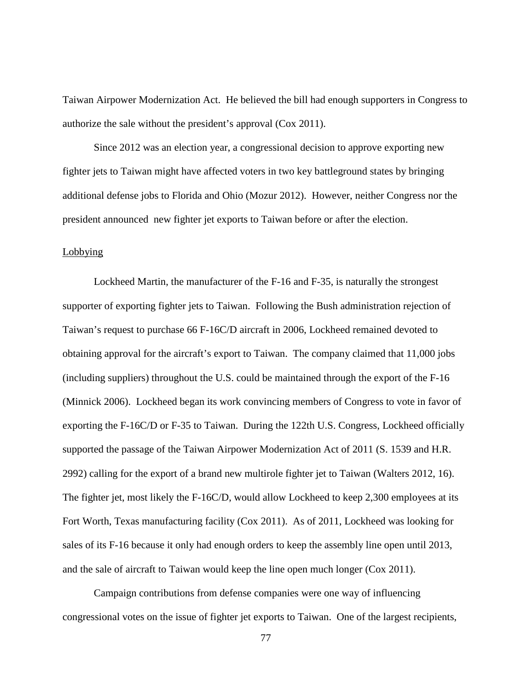Taiwan Airpower Modernization Act. He believed the bill had enough supporters in Congress to authorize the sale without the president's approval (Cox 2011).

Since 2012 was an election year, a congressional decision to approve exporting new fighter jets to Taiwan might have affected voters in two key battleground states by bringing additional defense jobs to Florida and Ohio (Mozur 2012). However, neither Congress nor the president announced new fighter jet exports to Taiwan before or after the election.

## **Lobbying**

Lockheed Martin, the manufacturer of the F-16 and F-35, is naturally the strongest supporter of exporting fighter jets to Taiwan. Following the Bush administration rejection of Taiwan's request to purchase 66 F-16C/D aircraft in 2006, Lockheed remained devoted to obtaining approval for the aircraft's export to Taiwan. The company claimed that 11,000 jobs (including suppliers) throughout the U.S. could be maintained through the export of the F-16 (Minnick 2006). Lockheed began its work convincing members of Congress to vote in favor of exporting the F-16C/D or F-35 to Taiwan. During the 122th U.S. Congress, Lockheed officially supported the passage of the Taiwan Airpower Modernization Act of 2011 (S. 1539 and H.R. 2992) calling for the export of a brand new multirole fighter jet to Taiwan (Walters 2012, 16). The fighter jet, most likely the F-16C/D, would allow Lockheed to keep 2,300 employees at its Fort Worth, Texas manufacturing facility (Cox 2011). As of 2011, Lockheed was looking for sales of its F-16 because it only had enough orders to keep the assembly line open until 2013, and the sale of aircraft to Taiwan would keep the line open much longer (Cox 2011).

Campaign contributions from defense companies were one way of influencing congressional votes on the issue of fighter jet exports to Taiwan. One of the largest recipients,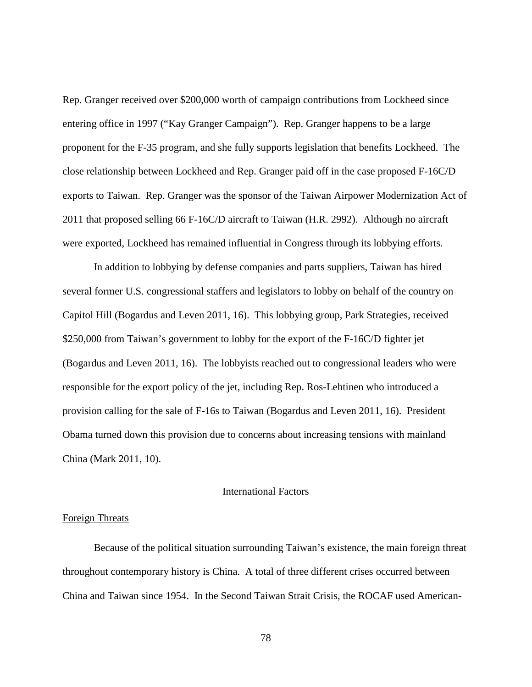Rep. Granger received over \$200,000 worth of campaign contributions from Lockheed since entering office in 1997 ("Kay Granger Campaign"). Rep. Granger happens to be a large proponent for the F-35 program, and she fully supports legislation that benefits Lockheed. The close relationship between Lockheed and Rep. Granger paid off in the case proposed F-16C/D exports to Taiwan. Rep. Granger was the sponsor of the Taiwan Airpower Modernization Act of 2011 that proposed selling 66 F-16C/D aircraft to Taiwan (H.R. 2992). Although no aircraft were exported, Lockheed has remained influential in Congress through its lobbying efforts.

In addition to lobbying by defense companies and parts suppliers, Taiwan has hired several former U.S. congressional staffers and legislators to lobby on behalf of the country on Capitol Hill (Bogardus and Leven 2011, 16). This lobbying group, Park Strategies, received \$250,000 from Taiwan's government to lobby for the export of the F-16C/D fighter jet (Bogardus and Leven 2011, 16). The lobbyists reached out to congressional leaders who were responsible for the export policy of the jet, including Rep. Ros-Lehtinen who introduced a provision calling for the sale of F-16s to Taiwan (Bogardus and Leven 2011, 16). President Obama turned down this provision due to concerns about increasing tensions with mainland China (Mark 2011, 10).

# International Factors

#### Foreign Threats

Because of the political situation surrounding Taiwan's existence, the main foreign threat throughout contemporary history is China. A total of three different crises occurred between China and Taiwan since 1954. In the Second Taiwan Strait Crisis, the ROCAF used American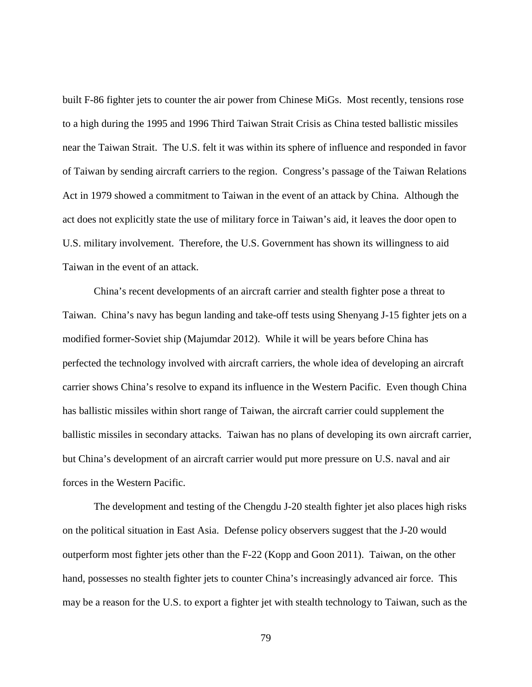built F-86 fighter jets to counter the air power from Chinese MiGs. Most recently, tensions rose to a high during the 1995 and 1996 Third Taiwan Strait Crisis as China tested ballistic missiles near the Taiwan Strait. The U.S. felt it was within its sphere of influence and responded in favor of Taiwan by sending aircraft carriers to the region. Congress's passage of the Taiwan Relations Act in 1979 showed a commitment to Taiwan in the event of an attack by China. Although the act does not explicitly state the use of military force in Taiwan's aid, it leaves the door open to U.S. military involvement. Therefore, the U.S. Government has shown its willingness to aid Taiwan in the event of an attack.

China's recent developments of an aircraft carrier and stealth fighter pose a threat to Taiwan. China's navy has begun landing and take-off tests using Shenyang J-15 fighter jets on a modified former-Soviet ship (Majumdar 2012). While it will be years before China has perfected the technology involved with aircraft carriers, the whole idea of developing an aircraft carrier shows China's resolve to expand its influence in the Western Pacific. Even though China has ballistic missiles within short range of Taiwan, the aircraft carrier could supplement the ballistic missiles in secondary attacks. Taiwan has no plans of developing its own aircraft carrier, but China's development of an aircraft carrier would put more pressure on U.S. naval and air forces in the Western Pacific.

The development and testing of the Chengdu J-20 stealth fighter jet also places high risks on the political situation in East Asia. Defense policy observers suggest that the J-20 would outperform most fighter jets other than the F-22 (Kopp and Goon 2011). Taiwan, on the other hand, possesses no stealth fighter jets to counter China's increasingly advanced air force. This may be a reason for the U.S. to export a fighter jet with stealth technology to Taiwan, such as the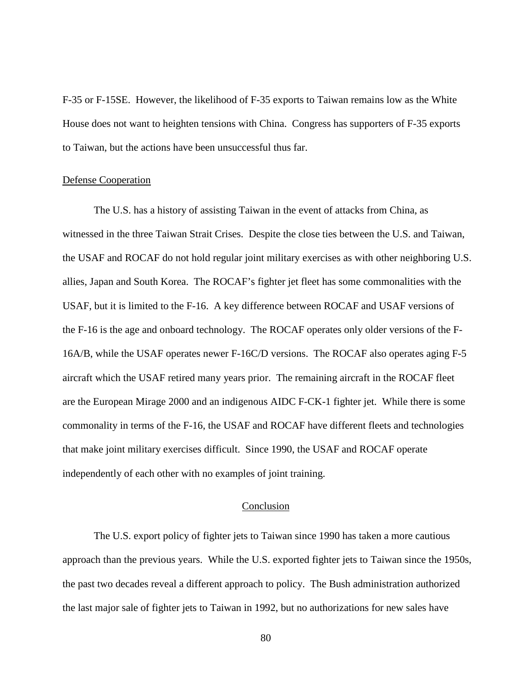F-35 or F-15SE. However, the likelihood of F-35 exports to Taiwan remains low as the White House does not want to heighten tensions with China. Congress has supporters of F-35 exports to Taiwan, but the actions have been unsuccessful thus far.

#### Defense Cooperation

The U.S. has a history of assisting Taiwan in the event of attacks from China, as witnessed in the three Taiwan Strait Crises. Despite the close ties between the U.S. and Taiwan, the USAF and ROCAF do not hold regular joint military exercises as with other neighboring U.S. allies, Japan and South Korea. The ROCAF's fighter jet fleet has some commonalities with the USAF, but it is limited to the F-16. A key difference between ROCAF and USAF versions of the F-16 is the age and onboard technology. The ROCAF operates only older versions of the F-16A/B, while the USAF operates newer F-16C/D versions. The ROCAF also operates aging F-5 aircraft which the USAF retired many years prior. The remaining aircraft in the ROCAF fleet are the European Mirage 2000 and an indigenous AIDC F-CK-1 fighter jet. While there is some commonality in terms of the F-16, the USAF and ROCAF have different fleets and technologies that make joint military exercises difficult. Since 1990, the USAF and ROCAF operate independently of each other with no examples of joint training.

# Conclusion

The U.S. export policy of fighter jets to Taiwan since 1990 has taken a more cautious approach than the previous years. While the U.S. exported fighter jets to Taiwan since the 1950s, the past two decades reveal a different approach to policy. The Bush administration authorized the last major sale of fighter jets to Taiwan in 1992, but no authorizations for new sales have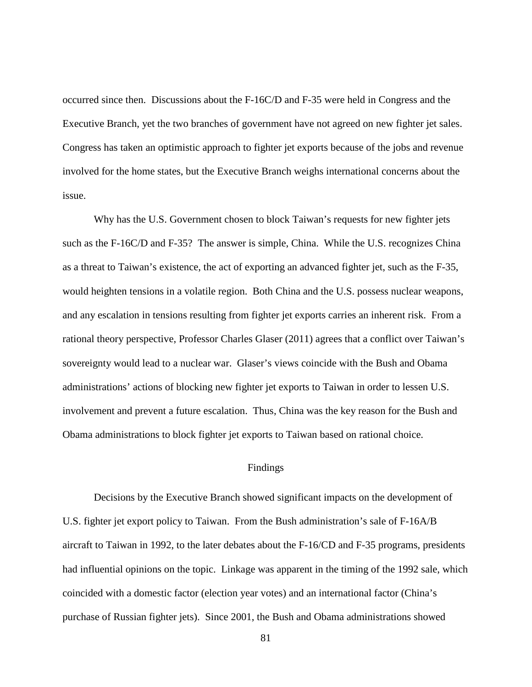occurred since then. Discussions about the F-16C/D and F-35 were held in Congress and the Executive Branch, yet the two branches of government have not agreed on new fighter jet sales. Congress has taken an optimistic approach to fighter jet exports because of the jobs and revenue involved for the home states, but the Executive Branch weighs international concerns about the issue.

Why has the U.S. Government chosen to block Taiwan's requests for new fighter jets such as the F-16C/D and F-35? The answer is simple, China. While the U.S. recognizes China as a threat to Taiwan's existence, the act of exporting an advanced fighter jet, such as the F-35, would heighten tensions in a volatile region. Both China and the U.S. possess nuclear weapons, and any escalation in tensions resulting from fighter jet exports carries an inherent risk. From a rational theory perspective, Professor Charles Glaser (2011) agrees that a conflict over Taiwan's sovereignty would lead to a nuclear war. Glaser's views coincide with the Bush and Obama administrations' actions of blocking new fighter jet exports to Taiwan in order to lessen U.S. involvement and prevent a future escalation. Thus, China was the key reason for the Bush and Obama administrations to block fighter jet exports to Taiwan based on rational choice.

# Findings

Decisions by the Executive Branch showed significant impacts on the development of U.S. fighter jet export policy to Taiwan. From the Bush administration's sale of F-16A/B aircraft to Taiwan in 1992, to the later debates about the F-16/CD and F-35 programs, presidents had influential opinions on the topic. Linkage was apparent in the timing of the 1992 sale, which coincided with a domestic factor (election year votes) and an international factor (China's purchase of Russian fighter jets). Since 2001, the Bush and Obama administrations showed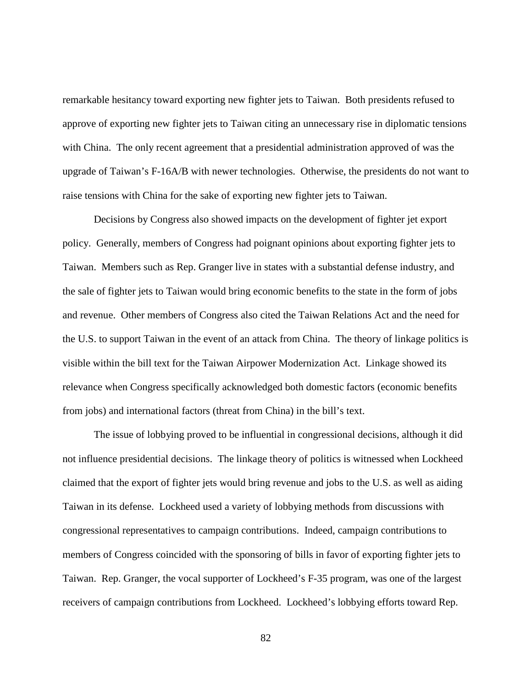remarkable hesitancy toward exporting new fighter jets to Taiwan. Both presidents refused to approve of exporting new fighter jets to Taiwan citing an unnecessary rise in diplomatic tensions with China. The only recent agreement that a presidential administration approved of was the upgrade of Taiwan's F-16A/B with newer technologies. Otherwise, the presidents do not want to raise tensions with China for the sake of exporting new fighter jets to Taiwan.

Decisions by Congress also showed impacts on the development of fighter jet export policy. Generally, members of Congress had poignant opinions about exporting fighter jets to Taiwan. Members such as Rep. Granger live in states with a substantial defense industry, and the sale of fighter jets to Taiwan would bring economic benefits to the state in the form of jobs and revenue. Other members of Congress also cited the Taiwan Relations Act and the need for the U.S. to support Taiwan in the event of an attack from China. The theory of linkage politics is visible within the bill text for the Taiwan Airpower Modernization Act. Linkage showed its relevance when Congress specifically acknowledged both domestic factors (economic benefits from jobs) and international factors (threat from China) in the bill's text.

The issue of lobbying proved to be influential in congressional decisions, although it did not influence presidential decisions. The linkage theory of politics is witnessed when Lockheed claimed that the export of fighter jets would bring revenue and jobs to the U.S. as well as aiding Taiwan in its defense. Lockheed used a variety of lobbying methods from discussions with congressional representatives to campaign contributions. Indeed, campaign contributions to members of Congress coincided with the sponsoring of bills in favor of exporting fighter jets to Taiwan. Rep. Granger, the vocal supporter of Lockheed's F-35 program, was one of the largest receivers of campaign contributions from Lockheed. Lockheed's lobbying efforts toward Rep.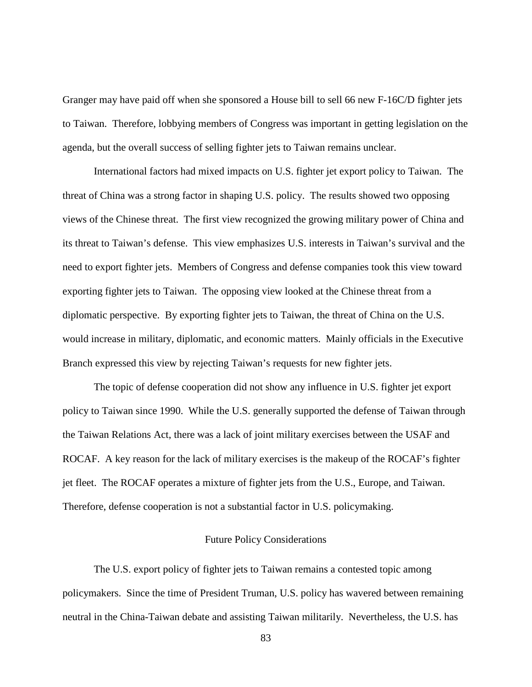Granger may have paid off when she sponsored a House bill to sell 66 new F-16C/D fighter jets to Taiwan. Therefore, lobbying members of Congress was important in getting legislation on the agenda, but the overall success of selling fighter jets to Taiwan remains unclear.

International factors had mixed impacts on U.S. fighter jet export policy to Taiwan. The threat of China was a strong factor in shaping U.S. policy. The results showed two opposing views of the Chinese threat. The first view recognized the growing military power of China and its threat to Taiwan's defense. This view emphasizes U.S. interests in Taiwan's survival and the need to export fighter jets. Members of Congress and defense companies took this view toward exporting fighter jets to Taiwan. The opposing view looked at the Chinese threat from a diplomatic perspective. By exporting fighter jets to Taiwan, the threat of China on the U.S. would increase in military, diplomatic, and economic matters. Mainly officials in the Executive Branch expressed this view by rejecting Taiwan's requests for new fighter jets.

The topic of defense cooperation did not show any influence in U.S. fighter jet export policy to Taiwan since 1990. While the U.S. generally supported the defense of Taiwan through the Taiwan Relations Act, there was a lack of joint military exercises between the USAF and ROCAF. A key reason for the lack of military exercises is the makeup of the ROCAF's fighter jet fleet. The ROCAF operates a mixture of fighter jets from the U.S., Europe, and Taiwan. Therefore, defense cooperation is not a substantial factor in U.S. policymaking.

# Future Policy Considerations

The U.S. export policy of fighter jets to Taiwan remains a contested topic among policymakers. Since the time of President Truman, U.S. policy has wavered between remaining neutral in the China-Taiwan debate and assisting Taiwan militarily. Nevertheless, the U.S. has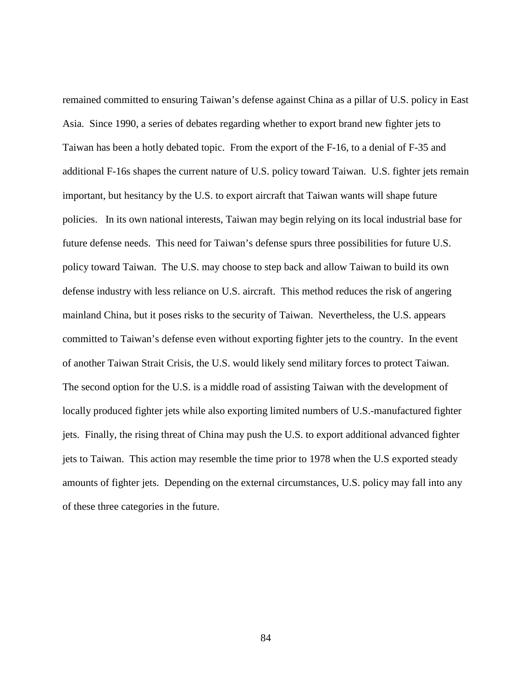remained committed to ensuring Taiwan's defense against China as a pillar of U.S. policy in East Asia. Since 1990, a series of debates regarding whether to export brand new fighter jets to Taiwan has been a hotly debated topic. From the export of the F-16, to a denial of F-35 and additional F-16s shapes the current nature of U.S. policy toward Taiwan. U.S. fighter jets remain important, but hesitancy by the U.S. to export aircraft that Taiwan wants will shape future policies. In its own national interests, Taiwan may begin relying on its local industrial base for future defense needs. This need for Taiwan's defense spurs three possibilities for future U.S. policy toward Taiwan. The U.S. may choose to step back and allow Taiwan to build its own defense industry with less reliance on U.S. aircraft. This method reduces the risk of angering mainland China, but it poses risks to the security of Taiwan. Nevertheless, the U.S. appears committed to Taiwan's defense even without exporting fighter jets to the country. In the event of another Taiwan Strait Crisis, the U.S. would likely send military forces to protect Taiwan. The second option for the U.S. is a middle road of assisting Taiwan with the development of locally produced fighter jets while also exporting limited numbers of U.S.-manufactured fighter jets. Finally, the rising threat of China may push the U.S. to export additional advanced fighter jets to Taiwan. This action may resemble the time prior to 1978 when the U.S exported steady amounts of fighter jets. Depending on the external circumstances, U.S. policy may fall into any of these three categories in the future.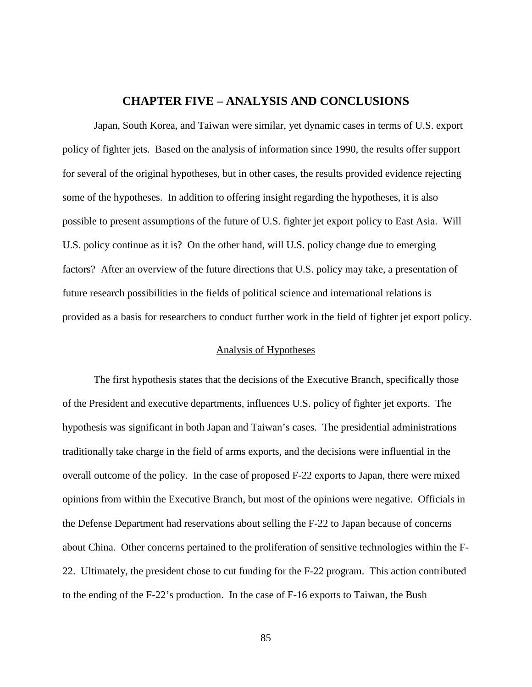# **CHAPTER FIVE – ANALYSIS AND CONCLUSIONS**

Japan, South Korea, and Taiwan were similar, yet dynamic cases in terms of U.S. export policy of fighter jets. Based on the analysis of information since 1990, the results offer support for several of the original hypotheses, but in other cases, the results provided evidence rejecting some of the hypotheses. In addition to offering insight regarding the hypotheses, it is also possible to present assumptions of the future of U.S. fighter jet export policy to East Asia. Will U.S. policy continue as it is? On the other hand, will U.S. policy change due to emerging factors? After an overview of the future directions that U.S. policy may take, a presentation of future research possibilities in the fields of political science and international relations is provided as a basis for researchers to conduct further work in the field of fighter jet export policy.

### Analysis of Hypotheses

The first hypothesis states that the decisions of the Executive Branch, specifically those of the President and executive departments, influences U.S. policy of fighter jet exports. The hypothesis was significant in both Japan and Taiwan's cases. The presidential administrations traditionally take charge in the field of arms exports, and the decisions were influential in the overall outcome of the policy. In the case of proposed F-22 exports to Japan, there were mixed opinions from within the Executive Branch, but most of the opinions were negative. Officials in the Defense Department had reservations about selling the F-22 to Japan because of concerns about China. Other concerns pertained to the proliferation of sensitive technologies within the F-22. Ultimately, the president chose to cut funding for the F-22 program. This action contributed to the ending of the F-22's production. In the case of F-16 exports to Taiwan, the Bush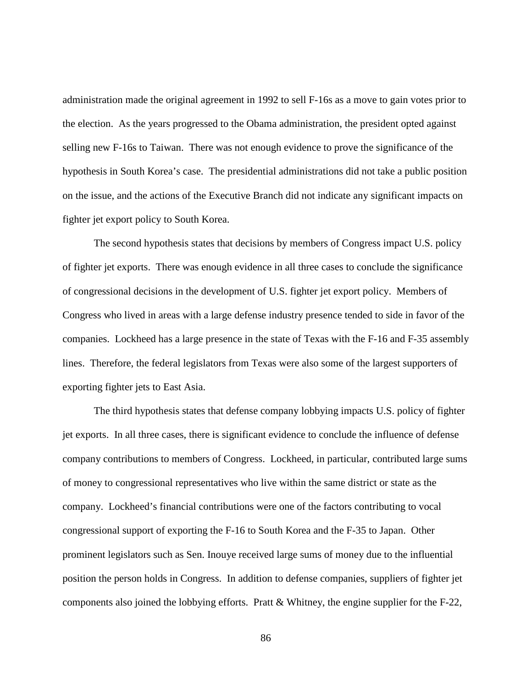administration made the original agreement in 1992 to sell F-16s as a move to gain votes prior to the election. As the years progressed to the Obama administration, the president opted against selling new F-16s to Taiwan. There was not enough evidence to prove the significance of the hypothesis in South Korea's case. The presidential administrations did not take a public position on the issue, and the actions of the Executive Branch did not indicate any significant impacts on fighter jet export policy to South Korea.

The second hypothesis states that decisions by members of Congress impact U.S. policy of fighter jet exports. There was enough evidence in all three cases to conclude the significance of congressional decisions in the development of U.S. fighter jet export policy. Members of Congress who lived in areas with a large defense industry presence tended to side in favor of the companies. Lockheed has a large presence in the state of Texas with the F-16 and F-35 assembly lines. Therefore, the federal legislators from Texas were also some of the largest supporters of exporting fighter jets to East Asia.

The third hypothesis states that defense company lobbying impacts U.S. policy of fighter jet exports. In all three cases, there is significant evidence to conclude the influence of defense company contributions to members of Congress. Lockheed, in particular, contributed large sums of money to congressional representatives who live within the same district or state as the company. Lockheed's financial contributions were one of the factors contributing to vocal congressional support of exporting the F-16 to South Korea and the F-35 to Japan. Other prominent legislators such as Sen. Inouye received large sums of money due to the influential position the person holds in Congress. In addition to defense companies, suppliers of fighter jet components also joined the lobbying efforts. Pratt & Whitney, the engine supplier for the F-22,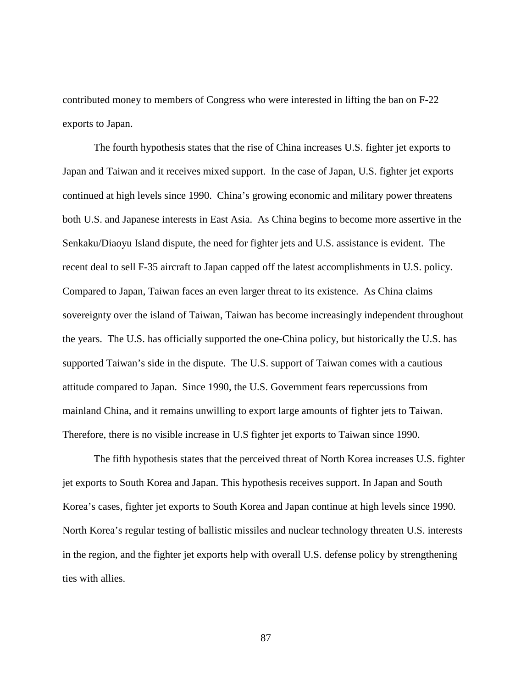contributed money to members of Congress who were interested in lifting the ban on F-22 exports to Japan.

The fourth hypothesis states that the rise of China increases U.S. fighter jet exports to Japan and Taiwan and it receives mixed support. In the case of Japan, U.S. fighter jet exports continued at high levels since 1990. China's growing economic and military power threatens both U.S. and Japanese interests in East Asia. As China begins to become more assertive in the Senkaku/Diaoyu Island dispute, the need for fighter jets and U.S. assistance is evident. The recent deal to sell F-35 aircraft to Japan capped off the latest accomplishments in U.S. policy. Compared to Japan, Taiwan faces an even larger threat to its existence. As China claims sovereignty over the island of Taiwan, Taiwan has become increasingly independent throughout the years. The U.S. has officially supported the one-China policy, but historically the U.S. has supported Taiwan's side in the dispute. The U.S. support of Taiwan comes with a cautious attitude compared to Japan. Since 1990, the U.S. Government fears repercussions from mainland China, and it remains unwilling to export large amounts of fighter jets to Taiwan. Therefore, there is no visible increase in U.S fighter jet exports to Taiwan since 1990.

The fifth hypothesis states that the perceived threat of North Korea increases U.S. fighter jet exports to South Korea and Japan. This hypothesis receives support. In Japan and South Korea's cases, fighter jet exports to South Korea and Japan continue at high levels since 1990. North Korea's regular testing of ballistic missiles and nuclear technology threaten U.S. interests in the region, and the fighter jet exports help with overall U.S. defense policy by strengthening ties with allies.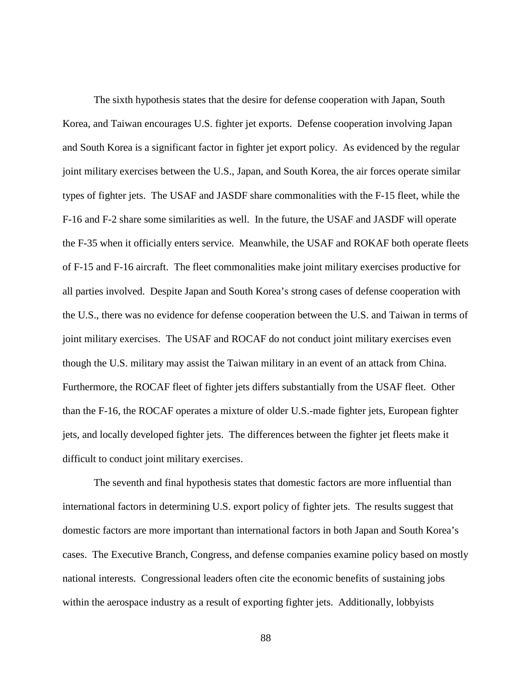The sixth hypothesis states that the desire for defense cooperation with Japan, South Korea, and Taiwan encourages U.S. fighter jet exports. Defense cooperation involving Japan and South Korea is a significant factor in fighter jet export policy. As evidenced by the regular joint military exercises between the U.S., Japan, and South Korea, the air forces operate similar types of fighter jets. The USAF and JASDF share commonalities with the F-15 fleet, while the F-16 and F-2 share some similarities as well. In the future, the USAF and JASDF will operate the F-35 when it officially enters service. Meanwhile, the USAF and ROKAF both operate fleets of F-15 and F-16 aircraft. The fleet commonalities make joint military exercises productive for all parties involved. Despite Japan and South Korea's strong cases of defense cooperation with the U.S., there was no evidence for defense cooperation between the U.S. and Taiwan in terms of joint military exercises. The USAF and ROCAF do not conduct joint military exercises even though the U.S. military may assist the Taiwan military in an event of an attack from China. Furthermore, the ROCAF fleet of fighter jets differs substantially from the USAF fleet. Other than the F-16, the ROCAF operates a mixture of older U.S.-made fighter jets, European fighter jets, and locally developed fighter jets. The differences between the fighter jet fleets make it difficult to conduct joint military exercises.

The seventh and final hypothesis states that domestic factors are more influential than international factors in determining U.S. export policy of fighter jets. The results suggest that domestic factors are more important than international factors in both Japan and South Korea's cases. The Executive Branch, Congress, and defense companies examine policy based on mostly national interests. Congressional leaders often cite the economic benefits of sustaining jobs within the aerospace industry as a result of exporting fighter jets. Additionally, lobbyists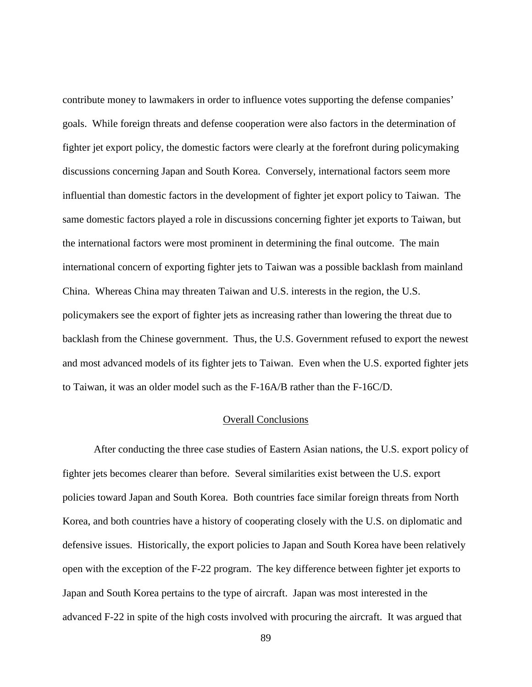contribute money to lawmakers in order to influence votes supporting the defense companies' goals. While foreign threats and defense cooperation were also factors in the determination of fighter jet export policy, the domestic factors were clearly at the forefront during policymaking discussions concerning Japan and South Korea. Conversely, international factors seem more influential than domestic factors in the development of fighter jet export policy to Taiwan. The same domestic factors played a role in discussions concerning fighter jet exports to Taiwan, but the international factors were most prominent in determining the final outcome. The main international concern of exporting fighter jets to Taiwan was a possible backlash from mainland China. Whereas China may threaten Taiwan and U.S. interests in the region, the U.S. policymakers see the export of fighter jets as increasing rather than lowering the threat due to backlash from the Chinese government. Thus, the U.S. Government refused to export the newest and most advanced models of its fighter jets to Taiwan. Even when the U.S. exported fighter jets to Taiwan, it was an older model such as the F-16A/B rather than the F-16C/D.

## Overall Conclusions

After conducting the three case studies of Eastern Asian nations, the U.S. export policy of fighter jets becomes clearer than before. Several similarities exist between the U.S. export policies toward Japan and South Korea. Both countries face similar foreign threats from North Korea, and both countries have a history of cooperating closely with the U.S. on diplomatic and defensive issues. Historically, the export policies to Japan and South Korea have been relatively open with the exception of the F-22 program. The key difference between fighter jet exports to Japan and South Korea pertains to the type of aircraft. Japan was most interested in the advanced F-22 in spite of the high costs involved with procuring the aircraft. It was argued that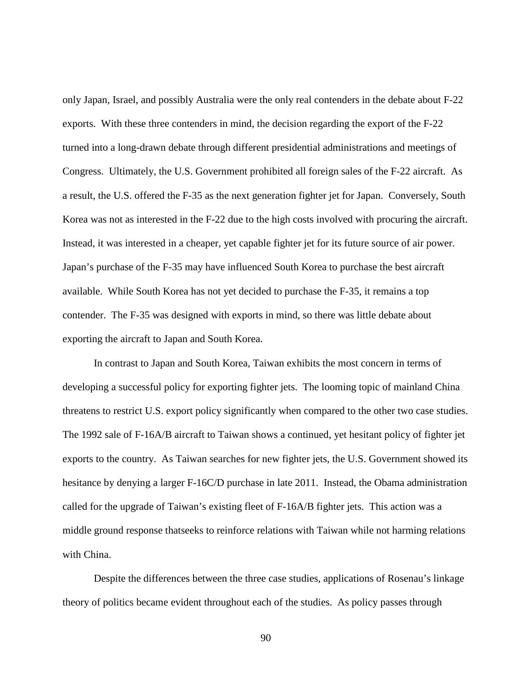only Japan, Israel, and possibly Australia were the only real contenders in the debate about F-22 exports. With these three contenders in mind, the decision regarding the export of the F-22 turned into a long-drawn debate through different presidential administrations and meetings of Congress. Ultimately, the U.S. Government prohibited all foreign sales of the F-22 aircraft. As a result, the U.S. offered the F-35 as the next generation fighter jet for Japan. Conversely, South Korea was not as interested in the F-22 due to the high costs involved with procuring the aircraft. Instead, it was interested in a cheaper, yet capable fighter jet for its future source of air power. Japan's purchase of the F-35 may have influenced South Korea to purchase the best aircraft available. While South Korea has not yet decided to purchase the F-35, it remains a top contender. The F-35 was designed with exports in mind, so there was little debate about exporting the aircraft to Japan and South Korea.

In contrast to Japan and South Korea, Taiwan exhibits the most concern in terms of developing a successful policy for exporting fighter jets. The looming topic of mainland China threatens to restrict U.S. export policy significantly when compared to the other two case studies. The 1992 sale of F-16A/B aircraft to Taiwan shows a continued, yet hesitant policy of fighter jet exports to the country. As Taiwan searches for new fighter jets, the U.S. Government showed its hesitance by denying a larger F-16C/D purchase in late 2011. Instead, the Obama administration called for the upgrade of Taiwan's existing fleet of F-16A/B fighter jets. This action was a middle ground response thatseeks to reinforce relations with Taiwan while not harming relations with China.

Despite the differences between the three case studies, applications of Rosenau's linkage theory of politics became evident throughout each of the studies. As policy passes through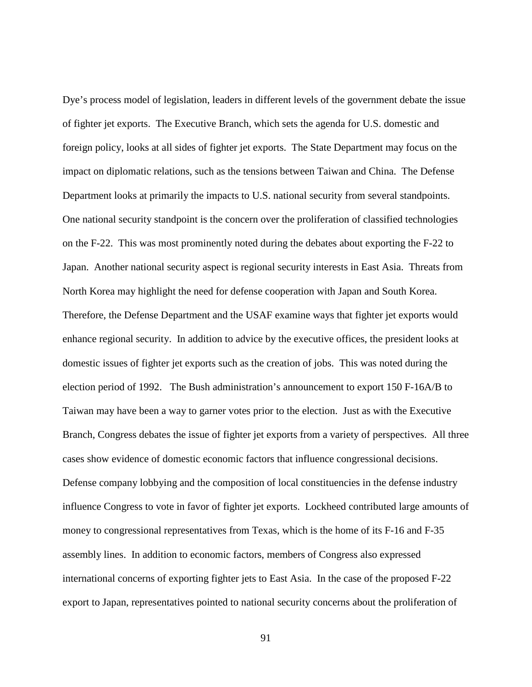Dye's process model of legislation, leaders in different levels of the government debate the issue of fighter jet exports. The Executive Branch, which sets the agenda for U.S. domestic and foreign policy, looks at all sides of fighter jet exports. The State Department may focus on the impact on diplomatic relations, such as the tensions between Taiwan and China. The Defense Department looks at primarily the impacts to U.S. national security from several standpoints. One national security standpoint is the concern over the proliferation of classified technologies on the F-22. This was most prominently noted during the debates about exporting the F-22 to Japan. Another national security aspect is regional security interests in East Asia. Threats from North Korea may highlight the need for defense cooperation with Japan and South Korea. Therefore, the Defense Department and the USAF examine ways that fighter jet exports would enhance regional security. In addition to advice by the executive offices, the president looks at domestic issues of fighter jet exports such as the creation of jobs. This was noted during the election period of 1992. The Bush administration's announcement to export 150 F-16A/B to Taiwan may have been a way to garner votes prior to the election. Just as with the Executive Branch, Congress debates the issue of fighter jet exports from a variety of perspectives. All three cases show evidence of domestic economic factors that influence congressional decisions. Defense company lobbying and the composition of local constituencies in the defense industry influence Congress to vote in favor of fighter jet exports. Lockheed contributed large amounts of money to congressional representatives from Texas, which is the home of its F-16 and F-35 assembly lines. In addition to economic factors, members of Congress also expressed international concerns of exporting fighter jets to East Asia. In the case of the proposed F-22 export to Japan, representatives pointed to national security concerns about the proliferation of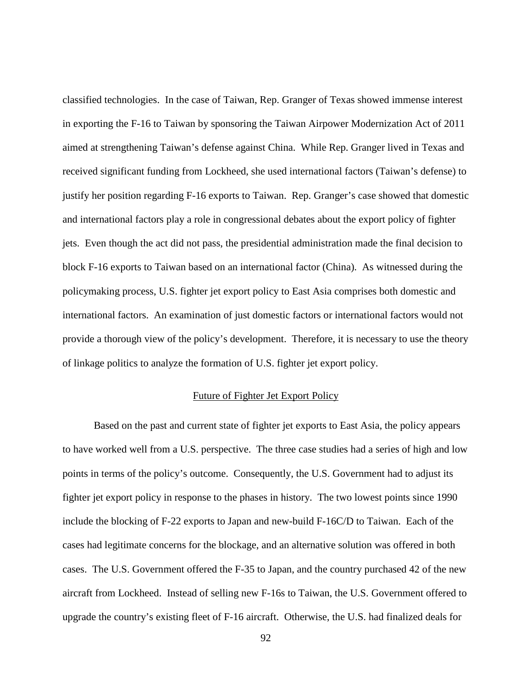classified technologies. In the case of Taiwan, Rep. Granger of Texas showed immense interest in exporting the F-16 to Taiwan by sponsoring the Taiwan Airpower Modernization Act of 2011 aimed at strengthening Taiwan's defense against China. While Rep. Granger lived in Texas and received significant funding from Lockheed, she used international factors (Taiwan's defense) to justify her position regarding F-16 exports to Taiwan. Rep. Granger's case showed that domestic and international factors play a role in congressional debates about the export policy of fighter jets. Even though the act did not pass, the presidential administration made the final decision to block F-16 exports to Taiwan based on an international factor (China). As witnessed during the policymaking process, U.S. fighter jet export policy to East Asia comprises both domestic and international factors. An examination of just domestic factors or international factors would not provide a thorough view of the policy's development. Therefore, it is necessary to use the theory of linkage politics to analyze the formation of U.S. fighter jet export policy.

### Future of Fighter Jet Export Policy

Based on the past and current state of fighter jet exports to East Asia, the policy appears to have worked well from a U.S. perspective. The three case studies had a series of high and low points in terms of the policy's outcome. Consequently, the U.S. Government had to adjust its fighter jet export policy in response to the phases in history. The two lowest points since 1990 include the blocking of F-22 exports to Japan and new-build F-16C/D to Taiwan. Each of the cases had legitimate concerns for the blockage, and an alternative solution was offered in both cases. The U.S. Government offered the F-35 to Japan, and the country purchased 42 of the new aircraft from Lockheed. Instead of selling new F-16s to Taiwan, the U.S. Government offered to upgrade the country's existing fleet of F-16 aircraft. Otherwise, the U.S. had finalized deals for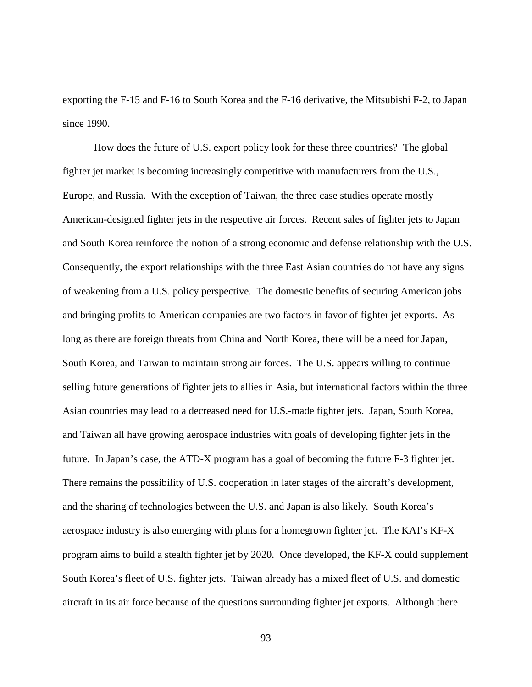exporting the F-15 and F-16 to South Korea and the F-16 derivative, the Mitsubishi F-2, to Japan since 1990.

How does the future of U.S. export policy look for these three countries? The global fighter jet market is becoming increasingly competitive with manufacturers from the U.S., Europe, and Russia. With the exception of Taiwan, the three case studies operate mostly American-designed fighter jets in the respective air forces. Recent sales of fighter jets to Japan and South Korea reinforce the notion of a strong economic and defense relationship with the U.S. Consequently, the export relationships with the three East Asian countries do not have any signs of weakening from a U.S. policy perspective. The domestic benefits of securing American jobs and bringing profits to American companies are two factors in favor of fighter jet exports. As long as there are foreign threats from China and North Korea, there will be a need for Japan, South Korea, and Taiwan to maintain strong air forces. The U.S. appears willing to continue selling future generations of fighter jets to allies in Asia, but international factors within the three Asian countries may lead to a decreased need for U.S.-made fighter jets. Japan, South Korea, and Taiwan all have growing aerospace industries with goals of developing fighter jets in the future. In Japan's case, the ATD-X program has a goal of becoming the future F-3 fighter jet. There remains the possibility of U.S. cooperation in later stages of the aircraft's development, and the sharing of technologies between the U.S. and Japan is also likely. South Korea's aerospace industry is also emerging with plans for a homegrown fighter jet. The KAI's KF-X program aims to build a stealth fighter jet by 2020. Once developed, the KF-X could supplement South Korea's fleet of U.S. fighter jets. Taiwan already has a mixed fleet of U.S. and domestic aircraft in its air force because of the questions surrounding fighter jet exports. Although there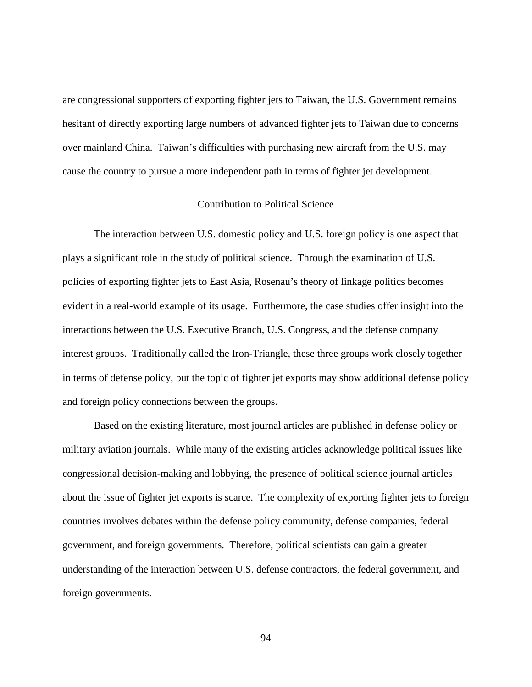are congressional supporters of exporting fighter jets to Taiwan, the U.S. Government remains hesitant of directly exporting large numbers of advanced fighter jets to Taiwan due to concerns over mainland China. Taiwan's difficulties with purchasing new aircraft from the U.S. may cause the country to pursue a more independent path in terms of fighter jet development.

#### Contribution to Political Science

The interaction between U.S. domestic policy and U.S. foreign policy is one aspect that plays a significant role in the study of political science. Through the examination of U.S. policies of exporting fighter jets to East Asia, Rosenau's theory of linkage politics becomes evident in a real-world example of its usage. Furthermore, the case studies offer insight into the interactions between the U.S. Executive Branch, U.S. Congress, and the defense company interest groups. Traditionally called the Iron-Triangle, these three groups work closely together in terms of defense policy, but the topic of fighter jet exports may show additional defense policy and foreign policy connections between the groups.

Based on the existing literature, most journal articles are published in defense policy or military aviation journals. While many of the existing articles acknowledge political issues like congressional decision-making and lobbying, the presence of political science journal articles about the issue of fighter jet exports is scarce. The complexity of exporting fighter jets to foreign countries involves debates within the defense policy community, defense companies, federal government, and foreign governments. Therefore, political scientists can gain a greater understanding of the interaction between U.S. defense contractors, the federal government, and foreign governments.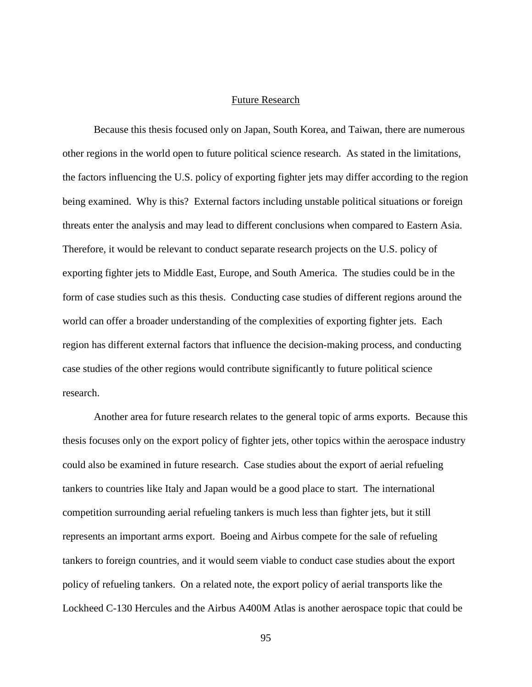# Future Research

Because this thesis focused only on Japan, South Korea, and Taiwan, there are numerous other regions in the world open to future political science research. As stated in the limitations, the factors influencing the U.S. policy of exporting fighter jets may differ according to the region being examined. Why is this? External factors including unstable political situations or foreign threats enter the analysis and may lead to different conclusions when compared to Eastern Asia. Therefore, it would be relevant to conduct separate research projects on the U.S. policy of exporting fighter jets to Middle East, Europe, and South America. The studies could be in the form of case studies such as this thesis. Conducting case studies of different regions around the world can offer a broader understanding of the complexities of exporting fighter jets. Each region has different external factors that influence the decision-making process, and conducting case studies of the other regions would contribute significantly to future political science research.

Another area for future research relates to the general topic of arms exports. Because this thesis focuses only on the export policy of fighter jets, other topics within the aerospace industry could also be examined in future research. Case studies about the export of aerial refueling tankers to countries like Italy and Japan would be a good place to start. The international competition surrounding aerial refueling tankers is much less than fighter jets, but it still represents an important arms export. Boeing and Airbus compete for the sale of refueling tankers to foreign countries, and it would seem viable to conduct case studies about the export policy of refueling tankers. On a related note, the export policy of aerial transports like the Lockheed C-130 Hercules and the Airbus A400M Atlas is another aerospace topic that could be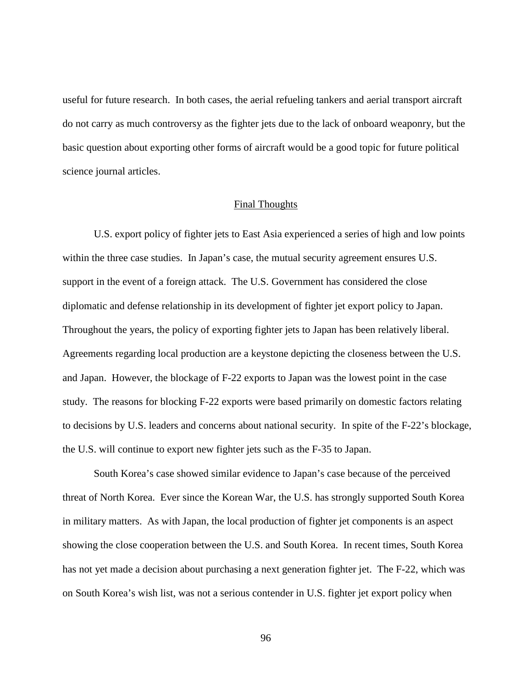useful for future research. In both cases, the aerial refueling tankers and aerial transport aircraft do not carry as much controversy as the fighter jets due to the lack of onboard weaponry, but the basic question about exporting other forms of aircraft would be a good topic for future political science journal articles.

#### Final Thoughts

U.S. export policy of fighter jets to East Asia experienced a series of high and low points within the three case studies. In Japan's case, the mutual security agreement ensures U.S. support in the event of a foreign attack. The U.S. Government has considered the close diplomatic and defense relationship in its development of fighter jet export policy to Japan. Throughout the years, the policy of exporting fighter jets to Japan has been relatively liberal. Agreements regarding local production are a keystone depicting the closeness between the U.S. and Japan. However, the blockage of F-22 exports to Japan was the lowest point in the case study. The reasons for blocking F-22 exports were based primarily on domestic factors relating to decisions by U.S. leaders and concerns about national security. In spite of the F-22's blockage, the U.S. will continue to export new fighter jets such as the F-35 to Japan.

South Korea's case showed similar evidence to Japan's case because of the perceived threat of North Korea. Ever since the Korean War, the U.S. has strongly supported South Korea in military matters. As with Japan, the local production of fighter jet components is an aspect showing the close cooperation between the U.S. and South Korea. In recent times, South Korea has not yet made a decision about purchasing a next generation fighter jet. The F-22, which was on South Korea's wish list, was not a serious contender in U.S. fighter jet export policy when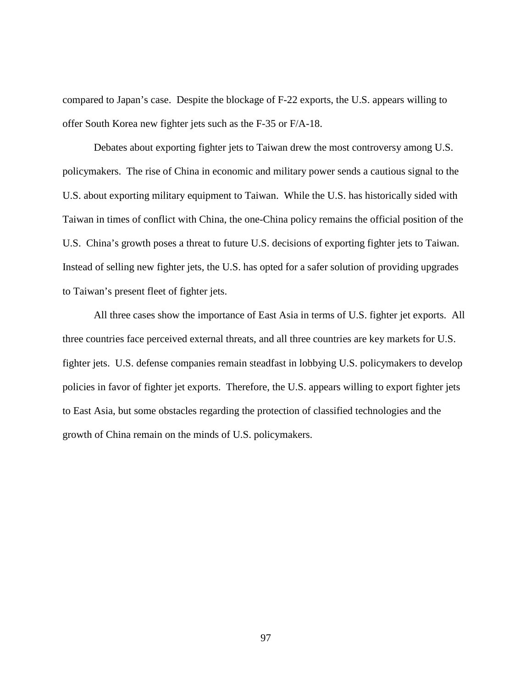compared to Japan's case. Despite the blockage of F-22 exports, the U.S. appears willing to offer South Korea new fighter jets such as the F-35 or F/A-18.

Debates about exporting fighter jets to Taiwan drew the most controversy among U.S. policymakers. The rise of China in economic and military power sends a cautious signal to the U.S. about exporting military equipment to Taiwan. While the U.S. has historically sided with Taiwan in times of conflict with China, the one-China policy remains the official position of the U.S. China's growth poses a threat to future U.S. decisions of exporting fighter jets to Taiwan. Instead of selling new fighter jets, the U.S. has opted for a safer solution of providing upgrades to Taiwan's present fleet of fighter jets.

All three cases show the importance of East Asia in terms of U.S. fighter jet exports. All three countries face perceived external threats, and all three countries are key markets for U.S. fighter jets. U.S. defense companies remain steadfast in lobbying U.S. policymakers to develop policies in favor of fighter jet exports. Therefore, the U.S. appears willing to export fighter jets to East Asia, but some obstacles regarding the protection of classified technologies and the growth of China remain on the minds of U.S. policymakers.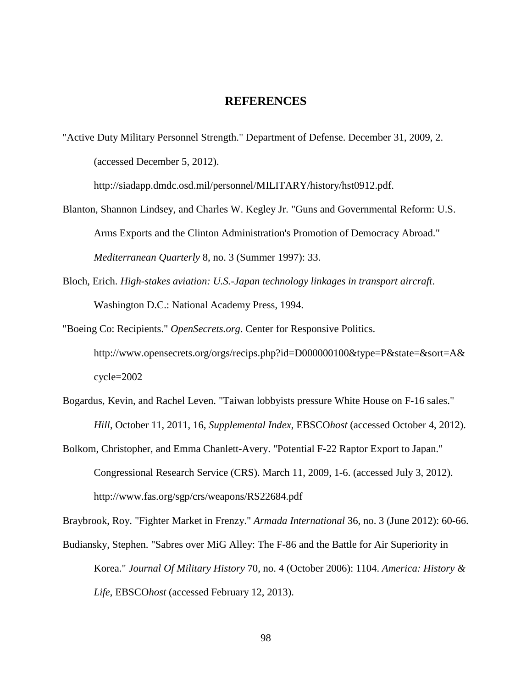# **REFERENCES**

"Active Duty Military Personnel Strength." Department of Defense. December 31, 2009, 2. (accessed December 5, 2012).

http://siadapp.dmdc.osd.mil/personnel/MILITARY/history/hst0912.pdf.

- Blanton, Shannon Lindsey, and Charles W. Kegley Jr. "Guns and Governmental Reform: U.S. Arms Exports and the Clinton Administration's Promotion of Democracy Abroad." *Mediterranean Quarterly* 8, no. 3 (Summer 1997): 33.
- Bloch, Erich. *High-stakes aviation: U.S.-Japan technology linkages in transport aircraft*. Washington D.C.: National Academy Press, 1994.
- "Boeing Co: Recipients." *OpenSecrets.org*. Center for Responsive Politics. http://www.opensecrets.org/orgs/recips.php?id=D000000100&type=P&state=&sort=A& cycle=2002
- Bogardus, Kevin, and Rachel Leven. "Taiwan lobbyists pressure White House on F-16 sales." *Hill*, October 11, 2011, 16, *Supplemental Index*, EBSCO*host* (accessed October 4, 2012).
- Bolkom, Christopher, and Emma Chanlett-Avery. "Potential F-22 Raptor Export to Japan." Congressional Research Service (CRS). March 11, 2009, 1-6. (accessed July 3, 2012). http://www.fas.org/sgp/crs/weapons/RS22684.pdf

Braybrook, Roy. "Fighter Market in Frenzy." *Armada International* 36, no. 3 (June 2012): 60-66.

Budiansky, Stephen. "Sabres over MiG Alley: The F-86 and the Battle for Air Superiority in Korea." *Journal Of Military History* 70, no. 4 (October 2006): 1104. *America: History & Life*, EBSCO*host* (accessed February 12, 2013).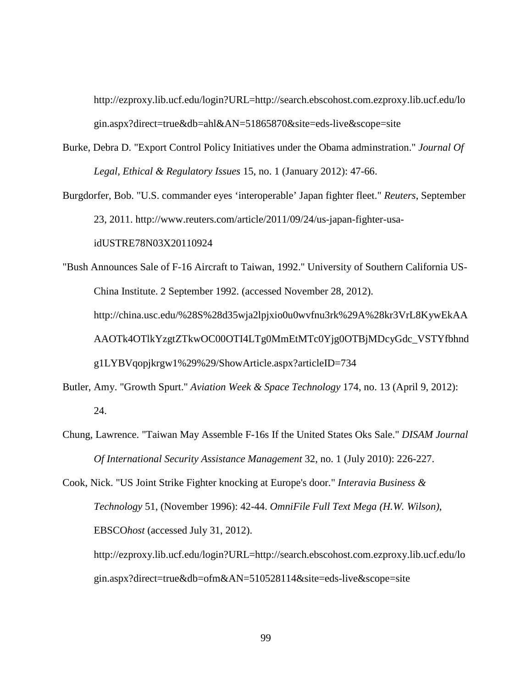http://ezproxy.lib.ucf.edu/login?URL=http://search.ebscohost.com.ezproxy.lib.ucf.edu/lo gin.aspx?direct=true&db=ahl&AN=51865870&site=eds-live&scope=site

- Burke, Debra D. "Export Control Policy Initiatives under the Obama adminstration." *Journal Of Legal, Ethical & Regulatory Issues* 15, no. 1 (January 2012): 47-66.
- Burgdorfer, Bob. "U.S. commander eyes 'interoperable' Japan fighter fleet." *Reuters*, September 23, 2011. http://www.reuters.com/article/2011/09/24/us-japan-fighter-usaidUSTRE78N03X20110924

"Bush Announces Sale of F-16 Aircraft to Taiwan, 1992." University of Southern California US-China Institute. 2 September 1992. (accessed November 28, 2012). http://china.usc.edu/%28S%28d35wja2lpjxio0u0wvfnu3rk%29A%28kr3VrL8KywEkAA AAOTk4OTlkYzgtZTkwOC00OTI4LTg0MmEtMTc0Yjg0OTBjMDcyGdc\_VSTYfbhnd g1LYBVqopjkrgw1%29%29/ShowArticle.aspx?articleID=734

- Butler, Amy. "Growth Spurt." *Aviation Week & Space Technology* 174, no. 13 (April 9, 2012): 24.
- Chung, Lawrence. "Taiwan May Assemble F-16s If the United States Oks Sale." *DISAM Journal Of International Security Assistance Management* 32, no. 1 (July 2010): 226-227.

Cook, Nick. "US Joint Strike Fighter knocking at Europe's door." *Interavia Business & Technology* 51, (November 1996): 42-44. *OmniFile Full Text Mega (H.W. Wilson)*, EBSCO*host* (accessed July 31, 2012). http://ezproxy.lib.ucf.edu/login?URL=http://search.ebscohost.com.ezproxy.lib.ucf.edu/lo

gin.aspx?direct=true&db=ofm&AN=510528114&site=eds-live&scope=site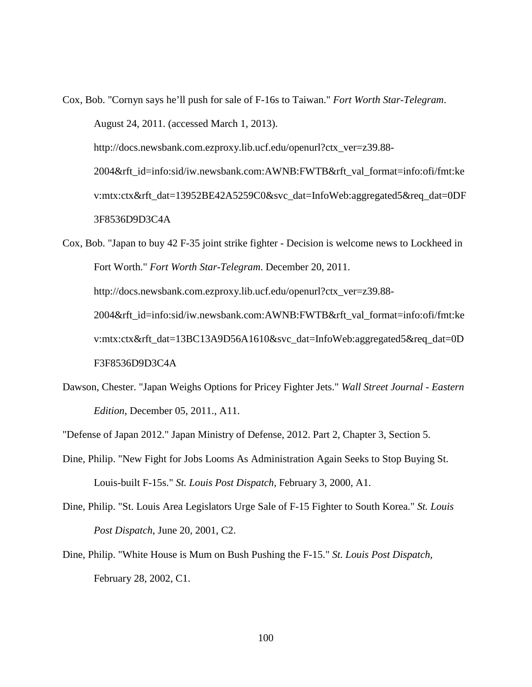Cox, Bob. "Cornyn says he'll push for sale of F-16s to Taiwan." *Fort Worth Star-Telegram*. August 24, 2011. (accessed March 1, 2013). http://docs.newsbank.com.ezproxy.lib.ucf.edu/openurl?ctx\_ver=z39.88- 2004&rft\_id=info:sid/iw.newsbank.com:AWNB:FWTB&rft\_val\_format=info:ofi/fmt:ke v:mtx:ctx&rft\_dat=13952BE42A5259C0&svc\_dat=InfoWeb:aggregated5&req\_dat=0DF 3F8536D9D3C4A

Cox, Bob. "Japan to buy 42 F-35 joint strike fighter - Decision is welcome news to Lockheed in Fort Worth." *Fort Worth Star-Telegram*. December 20, 2011. http://docs.newsbank.com.ezproxy.lib.ucf.edu/openurl?ctx\_ver=z39.88-2004&rft\_id=info:sid/iw.newsbank.com:AWNB:FWTB&rft\_val\_format=info:ofi/fmt:ke v:mtx:ctx&rft\_dat=13BC13A9D56A1610&svc\_dat=InfoWeb:aggregated5&req\_dat=0D F3F8536D9D3C4A

Dawson, Chester. "Japan Weighs Options for Pricey Fighter Jets." *Wall Street Journal - Eastern Edition*, December 05, 2011., A11.

"Defense of Japan 2012." Japan Ministry of Defense, 2012. Part 2, Chapter 3, Section 5.

- Dine, Philip. "New Fight for Jobs Looms As Administration Again Seeks to Stop Buying St. Louis-built F-15s." *St. Louis Post Dispatch*, February 3, 2000, A1.
- Dine, Philip. "St. Louis Area Legislators Urge Sale of F-15 Fighter to South Korea." *St. Louis Post Dispatch*, June 20, 2001, C2.
- Dine, Philip. "White House is Mum on Bush Pushing the F-15." *St. Louis Post Dispatch*, February 28, 2002, C1.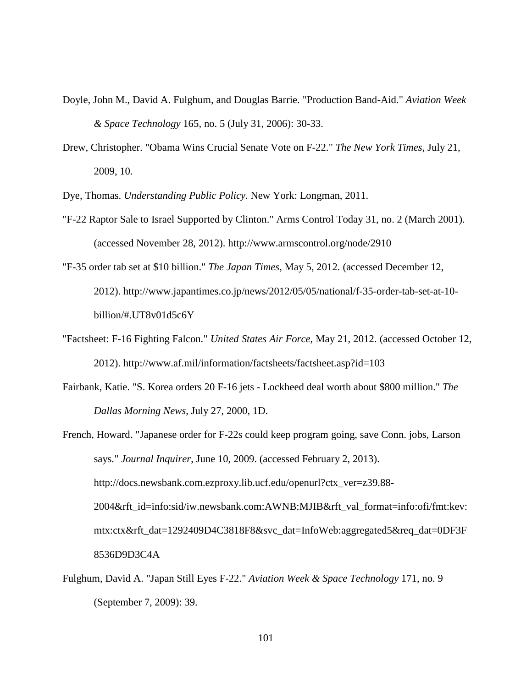- Doyle, John M., David A. Fulghum, and Douglas Barrie. "Production Band-Aid." *Aviation Week & Space Technology* 165, no. 5 (July 31, 2006): 30-33.
- Drew, Christopher. "Obama Wins Crucial Senate Vote on F-22." *The New York Times,* July 21, 2009, 10.

Dye, Thomas. *Understanding Public Policy*. New York: Longman, 2011.

- "F-22 Raptor Sale to Israel Supported by Clinton." Arms Control Today 31, no. 2 (March 2001). (accessed November 28, 2012). http://www.armscontrol.org/node/2910
- "F-35 order tab set at \$10 billion." *The Japan Times,* May 5, 2012. (accessed December 12, 2012). http://www.japantimes.co.jp/news/2012/05/05/national/f-35-order-tab-set-at-10 billion/#.UT8v01d5c6Y
- "Factsheet: F-16 Fighting Falcon." *United States Air Force*, May 21, 2012. (accessed October 12, 2012). http://www.af.mil/information/factsheets/factsheet.asp?id=103
- Fairbank, Katie. "S. Korea orders 20 F-16 jets Lockheed deal worth about \$800 million." *The Dallas Morning News*, July 27, 2000, 1D.
- French, Howard. "Japanese order for F-22s could keep program going, save Conn. jobs, Larson says." *Journal Inquirer*, June 10, 2009. (accessed February 2, 2013). http://docs.newsbank.com.ezproxy.lib.ucf.edu/openurl?ctx\_ver=z39.88- 2004&rft\_id=info:sid/iw.newsbank.com:AWNB:MJIB&rft\_val\_format=info:ofi/fmt:kev: mtx:ctx&rft\_dat=1292409D4C3818F8&svc\_dat=InfoWeb:aggregated5&req\_dat=0DF3F 8536D9D3C4A
- Fulghum, David A. "Japan Still Eyes F-22." *Aviation Week & Space Technology* 171, no. 9 (September 7, 2009): 39.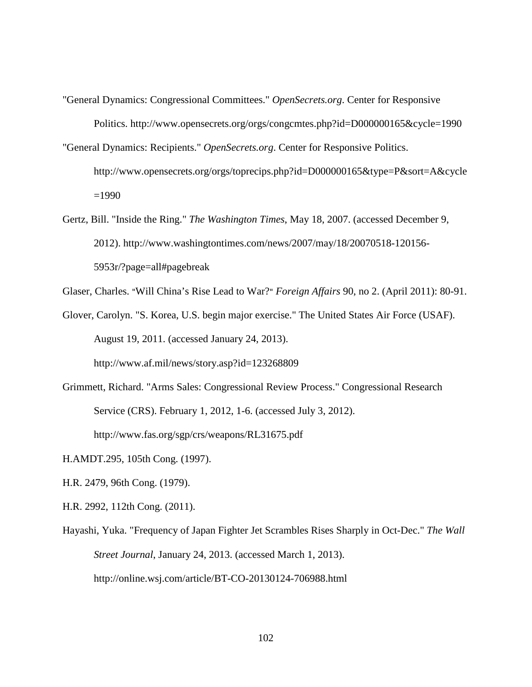- "General Dynamics: Congressional Committees." *OpenSecrets.org*. Center for Responsive Politics. http://www.opensecrets.org/orgs/congcmtes.php?id=D000000165&cycle=1990
- "General Dynamics: Recipients." *OpenSecrets.org*. Center for Responsive Politics. http://www.opensecrets.org/orgs/toprecips.php?id=D000000165&type=P&sort=A&cycle =1990
- Gertz, Bill. "Inside the Ring." *The Washington Times*, May 18, 2007. (accessed December 9, 2012). http://www.washingtontimes.com/news/2007/may/18/20070518-120156- 5953r/?page=all#pagebreak
- Glaser, Charles. "Will China's Rise Lead to War?" *Foreign Affairs* 90, no 2. (April 2011): 80-91.
- Glover, Carolyn. "S. Korea, U.S. begin major exercise." The United States Air Force (USAF). August 19, 2011. (accessed January 24, 2013).

http://www.af.mil/news/story.asp?id=123268809

Grimmett, Richard. "Arms Sales: Congressional Review Process." Congressional Research Service (CRS). February 1, 2012, 1-6. (accessed July 3, 2012).

http://www.fas.org/sgp/crs/weapons/RL31675.pdf

- H.AMDT.295, 105th Cong. (1997).
- H.R. 2479, 96th Cong. (1979).
- H.R. 2992, 112th Cong. (2011).
- Hayashi, Yuka. "Frequency of Japan Fighter Jet Scrambles Rises Sharply in Oct-Dec." *The Wall Street Journal*, January 24, 2013. (accessed March 1, 2013). http://online.wsj.com/article/BT-CO-20130124-706988.html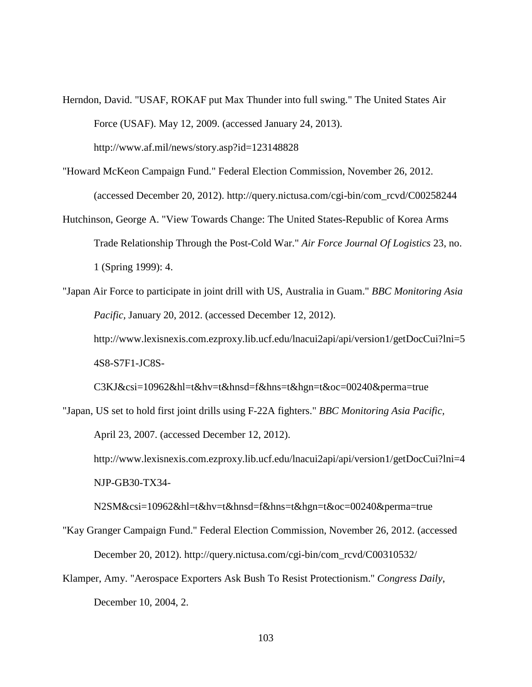- Herndon, David. "USAF, ROKAF put Max Thunder into full swing." The United States Air Force (USAF). May 12, 2009. (accessed January 24, 2013). http://www.af.mil/news/story.asp?id=123148828
- "Howard McKeon Campaign Fund." Federal Election Commission, November 26, 2012. (accessed December 20, 2012). http://query.nictusa.com/cgi-bin/com\_rcvd/C00258244
- Hutchinson, George A. "View Towards Change: The United States-Republic of Korea Arms Trade Relationship Through the Post-Cold War." *Air Force Journal Of Logistics* 23, no. 1 (Spring 1999): 4.
- "Japan Air Force to participate in joint drill with US, Australia in Guam." *BBC Monitoring Asia Pacific,* January 20, 2012. (accessed December 12, 2012). http://www.lexisnexis.com.ezproxy.lib.ucf.edu/lnacui2api/api/version1/getDocCui?lni=5 4S8-S7F1-JC8S-

C3KJ&csi=10962&hl=t&hv=t&hnsd=f&hns=t&hgn=t&oc=00240&perma=true

"Japan, US set to hold first joint drills using F-22A fighters." *BBC Monitoring Asia Pacific,*  April 23, 2007. (accessed December 12, 2012). http://www.lexisnexis.com.ezproxy.lib.ucf.edu/lnacui2api/api/version1/getDocCui?lni=4

NJP-GB30-TX34-

N2SM&csi=10962&hl=t&hv=t&hnsd=f&hns=t&hgn=t&oc=00240&perma=true

- "Kay Granger Campaign Fund." Federal Election Commission, November 26, 2012. (accessed December 20, 2012). http://query.nictusa.com/cgi-bin/com\_rcvd/C00310532/
- Klamper, Amy. "Aerospace Exporters Ask Bush To Resist Protectionism." *Congress Daily*, December 10, 2004, 2.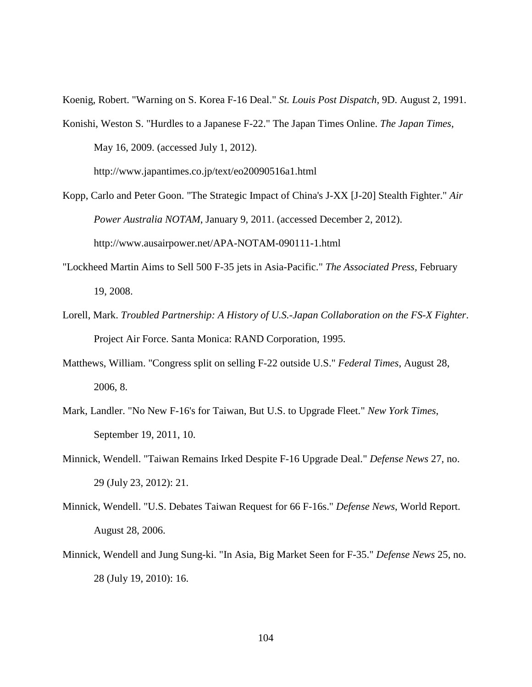Koenig, Robert. "Warning on S. Korea F-16 Deal." *St. Louis Post Dispatch*, 9D. August 2, 1991.

Konishi, Weston S. "Hurdles to a Japanese F-22." The Japan Times Online. *The Japan Times*, May 16, 2009. (accessed July 1, 2012).

http://www.japantimes.co.jp/text/eo20090516a1.html

- Kopp, Carlo and Peter Goon. "The Strategic Impact of China's J-XX [J-20] Stealth Fighter." *Air Power Australia NOTAM*, January 9, 2011. (accessed December 2, 2012). http://www.ausairpower.net/APA-NOTAM-090111-1.html
- "Lockheed Martin Aims to Sell 500 F-35 jets in Asia-Pacific." *The Associated Press,* February 19, 2008.
- Lorell, Mark. *Troubled Partnership: A History of U.S.-Japan Collaboration on the FS-X Fighter*. Project Air Force. Santa Monica: RAND Corporation, 1995.
- Matthews, William. "Congress split on selling F-22 outside U.S." *Federal Times*, August 28, 2006, 8.
- Mark, Landler. "No New F-16's for Taiwan, But U.S. to Upgrade Fleet." *New York Times*, September 19, 2011, 10.
- Minnick, Wendell. "Taiwan Remains Irked Despite F-16 Upgrade Deal." *Defense News* 27, no. 29 (July 23, 2012): 21.
- Minnick, Wendell. "U.S. Debates Taiwan Request for 66 F-16s." *Defense News*, World Report. August 28, 2006.
- Minnick, Wendell and Jung Sung-ki. "In Asia, Big Market Seen for F-35." *Defense News* 25, no. 28 (July 19, 2010): 16.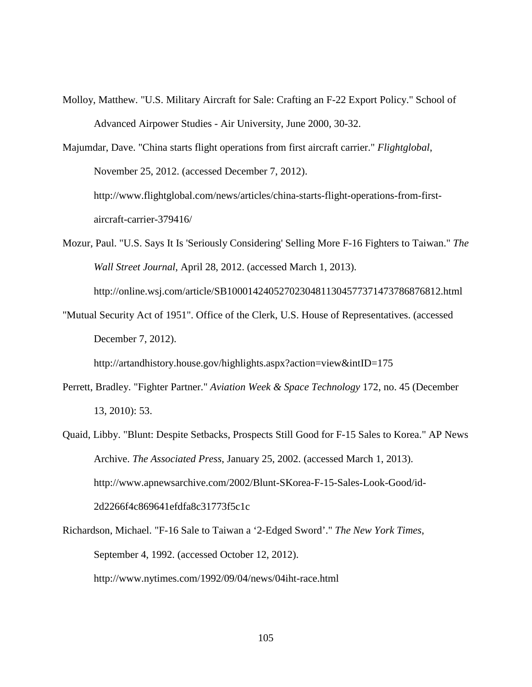Molloy, Matthew. "U.S. Military Aircraft for Sale: Crafting an F-22 Export Policy." School of Advanced Airpower Studies - Air University, June 2000, 30-32.

Majumdar, Dave. "China starts flight operations from first aircraft carrier." *Flightglobal*, November 25, 2012. (accessed December 7, 2012). http://www.flightglobal.com/news/articles/china-starts-flight-operations-from-firstaircraft-carrier-379416/

- Mozur, Paul. "U.S. Says It Is 'Seriously Considering' Selling More F-16 Fighters to Taiwan." *The Wall Street Journal*, April 28, 2012. (accessed March 1, 2013). http://online.wsj.com/article/SB10001424052702304811304577371473786876812.html
- "Mutual Security Act of 1951". Office of the Clerk, U.S. House of Representatives. (accessed December 7, 2012).

http://artandhistory.house.gov/highlights.aspx?action=view&intID=175

- Perrett, Bradley. "Fighter Partner." *Aviation Week & Space Technology* 172, no. 45 (December 13, 2010): 53.
- Quaid, Libby. "Blunt: Despite Setbacks, Prospects Still Good for F-15 Sales to Korea." AP News Archive. *The Associated Press*, January 25, 2002. (accessed March 1, 2013). http://www.apnewsarchive.com/2002/Blunt-SKorea-F-15-Sales-Look-Good/id-2d2266f4c869641efdfa8c31773f5c1c
- Richardson, Michael. "F-16 Sale to Taiwan a '2-Edged Sword'." *The New York Times*, September 4, 1992. (accessed October 12, 2012). http://www.nytimes.com/1992/09/04/news/04iht-race.html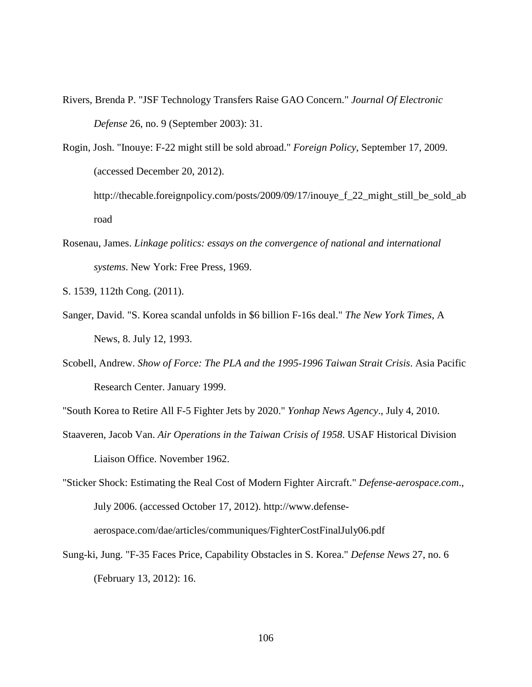Rivers, Brenda P. "JSF Technology Transfers Raise GAO Concern." *Journal Of Electronic Defense* 26, no. 9 (September 2003): 31.

Rogin, Josh. "Inouye: F-22 might still be sold abroad." *Foreign Policy*, September 17, 2009. (accessed December 20, 2012).

http://thecable.foreignpolicy.com/posts/2009/09/17/inouye\_f\_22\_might\_still\_be\_sold\_ab road

Rosenau, James. *Linkage politics: essays on the convergence of national and international systems*. New York: Free Press, 1969.

S. 1539, 112th Cong. (2011).

- Sanger, David. "S. Korea scandal unfolds in \$6 billion F-16s deal." *The New York Times*, A News, 8. July 12, 1993.
- Scobell, Andrew. *Show of Force: The PLA and the 1995-1996 Taiwan Strait Crisis*. Asia Pacific Research Center. January 1999.
- "South Korea to Retire All F-5 Fighter Jets by 2020." *Yonhap News Agency*., July 4, 2010.
- Staaveren, Jacob Van. *Air Operations in the Taiwan Crisis of 1958*. USAF Historical Division Liaison Office. November 1962.

"Sticker Shock: Estimating the Real Cost of Modern Fighter Aircraft." *Defense-aerospace.com*., July 2006. (accessed October 17, 2012). http://www.defenseaerospace.com/dae/articles/communiques/FighterCostFinalJuly06.pdf

Sung-ki, Jung. "F-35 Faces Price, Capability Obstacles in S. Korea." *Defense News* 27, no. 6 (February 13, 2012): 16.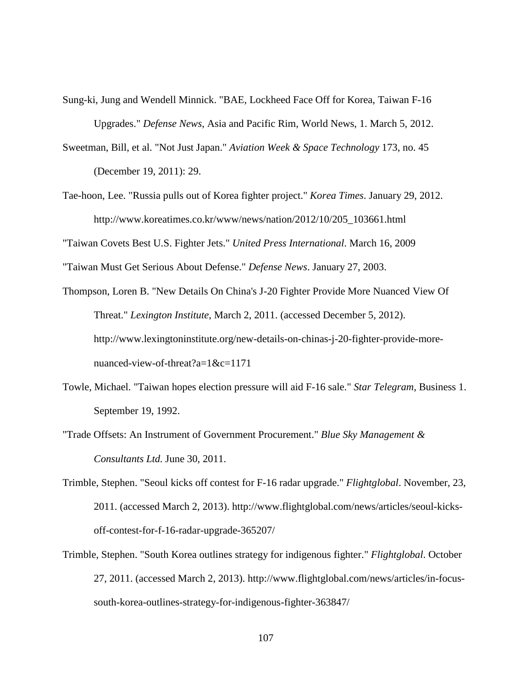- Sung-ki, Jung and Wendell Minnick. "BAE, Lockheed Face Off for Korea, Taiwan F-16 Upgrades." *Defense News*, Asia and Pacific Rim, World News, 1. March 5, 2012.
- Sweetman, Bill, et al. "Not Just Japan." *Aviation Week & Space Technology* 173, no. 45 (December 19, 2011): 29.
- Tae-hoon, Lee. "Russia pulls out of Korea fighter project." *Korea Times*. January 29, 2012. http://www.koreatimes.co.kr/www/news/nation/2012/10/205\_103661.html

"Taiwan Covets Best U.S. Fighter Jets." *United Press International*. March 16, 2009

- "Taiwan Must Get Serious About Defense." *Defense News*. January 27, 2003.
- Thompson, Loren B. "New Details On China's J-20 Fighter Provide More Nuanced View Of Threat." *Lexington Institute*, March 2, 2011. (accessed December 5, 2012). http://www.lexingtoninstitute.org/new-details-on-chinas-j-20-fighter-provide-morenuanced-view-of-threat?a=1&c=1171
- Towle, Michael. "Taiwan hopes election pressure will aid F-16 sale." *Star Telegram*, Business 1. September 19, 1992.
- "Trade Offsets: An Instrument of Government Procurement." *Blue Sky Management & Consultants Ltd.* June 30, 2011.
- Trimble, Stephen. "Seoul kicks off contest for F-16 radar upgrade." *Flightglobal*. November, 23, 2011. (accessed March 2, 2013). http://www.flightglobal.com/news/articles/seoul-kicksoff-contest-for-f-16-radar-upgrade-365207/
- Trimble, Stephen. "South Korea outlines strategy for indigenous fighter." *Flightglobal*. October 27, 2011. (accessed March 2, 2013). http://www.flightglobal.com/news/articles/in-focussouth-korea-outlines-strategy-for-indigenous-fighter-363847/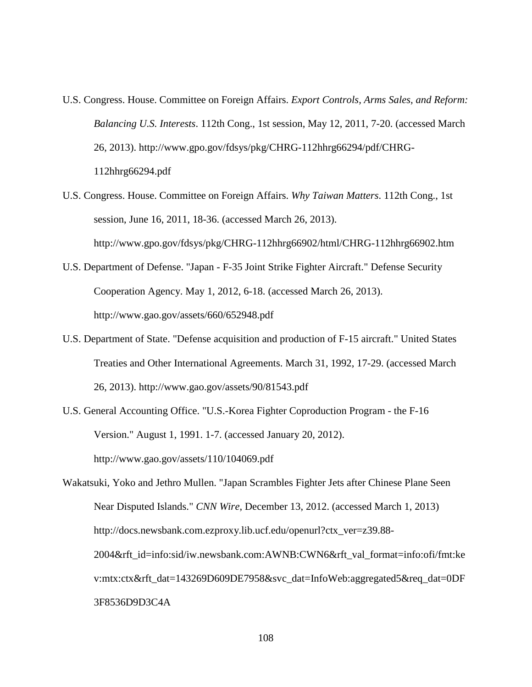- U.S. Congress. House. Committee on Foreign Affairs. *Export Controls, Arms Sales, and Reform: Balancing U.S. Interests*. 112th Cong., 1st session, May 12, 2011, 7-20. (accessed March 26, 2013). http://www.gpo.gov/fdsys/pkg/CHRG-112hhrg66294/pdf/CHRG-112hhrg66294.pdf
- U.S. Congress. House. Committee on Foreign Affairs. *Why Taiwan Matters*. 112th Cong., 1st session, June 16, 2011, 18-36. (accessed March 26, 2013). http://www.gpo.gov/fdsys/pkg/CHRG-112hhrg66902/html/CHRG-112hhrg66902.htm
- U.S. Department of Defense. "Japan F-35 Joint Strike Fighter Aircraft." Defense Security Cooperation Agency. May 1, 2012, 6-18. (accessed March 26, 2013). http://www.gao.gov/assets/660/652948.pdf
- U.S. Department of State. "Defense acquisition and production of F-15 aircraft." United States Treaties and Other International Agreements. March 31, 1992, 17-29. (accessed March 26, 2013). http://www.gao.gov/assets/90/81543.pdf
- U.S. General Accounting Office. "U.S.-Korea Fighter Coproduction Program the F-16 Version." August 1, 1991. 1-7. (accessed January 20, 2012). http://www.gao.gov/assets/110/104069.pdf

Wakatsuki, Yoko and Jethro Mullen. "Japan Scrambles Fighter Jets after Chinese Plane Seen Near Disputed Islands." *CNN Wire*, December 13, 2012. (accessed March 1, 2013) http://docs.newsbank.com.ezproxy.lib.ucf.edu/openurl?ctx\_ver=z39.88-2004&rft\_id=info:sid/iw.newsbank.com:AWNB:CWN6&rft\_val\_format=info:ofi/fmt:ke v:mtx:ctx&rft\_dat=143269D609DE7958&svc\_dat=InfoWeb:aggregated5&req\_dat=0DF 3F8536D9D3C4A